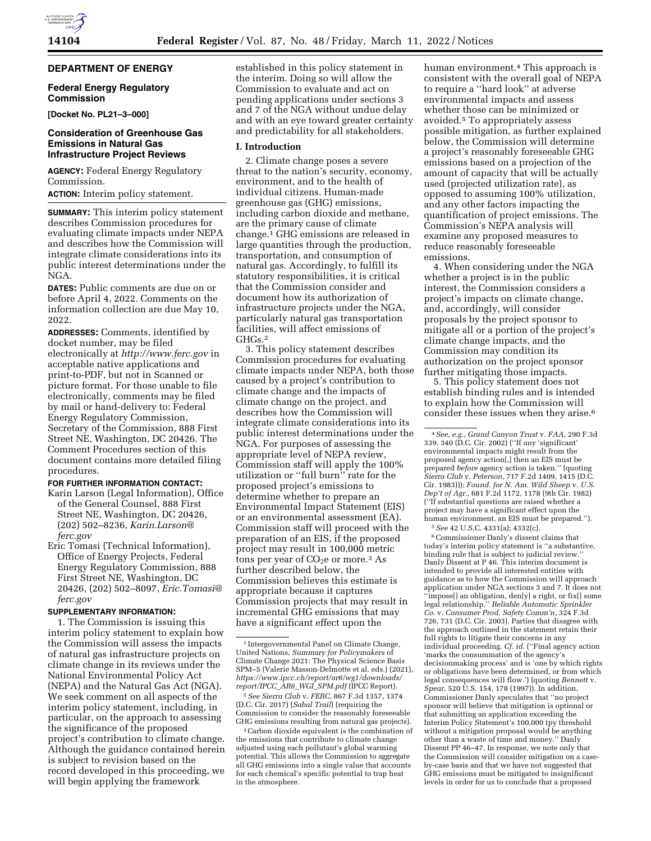# **DEPARTMENT OF ENERGY**

### **Federal Energy Regulatory Commission**

**[Docket No. PL21–3–000]** 

## **Consideration of Greenhouse Gas Emissions in Natural Gas Infrastructure Project Reviews**

**AGENCY:** Federal Energy Regulatory Commission.

**ACTION:** Interim policy statement.

**SUMMARY:** This interim policy statement describes Commission procedures for evaluating climate impacts under NEPA and describes how the Commission will integrate climate considerations into its public interest determinations under the NGA.

**DATES:** Public comments are due on or before April 4, 2022. Comments on the information collection are due May 10, 2022.

**ADDRESSES:** Comments, identified by docket number, may be filed electronically at *<http://www.ferc.gov>*in acceptable native applications and print-to-PDF, but not in Scanned or picture format. For those unable to file electronically, comments may be filed by mail or hand-delivery to: Federal Energy Regulatory Commission, Secretary of the Commission, 888 First Street NE, Washington, DC 20426. The Comment Procedures section of this document contains more detailed filing procedures.

# **FOR FURTHER INFORMATION CONTACT:**

Karin Larson (Legal Information), Office of the General Counsel, 888 First Street NE, Washington, DC 20426, (202) 502–8236, *[Karin.Larson@](mailto:Karin.Larson@ferc.gov) [ferc.gov](mailto:Karin.Larson@ferc.gov)* 

Eric Tomasi (Technical Information), Office of Energy Projects, Federal Energy Regulatory Commission, 888 First Street NE, Washington, DC 20426, (202) 502–8097, *[Eric.Tomasi@](mailto:Eric.Tomasi@ferc.gov) [ferc.gov](mailto:Eric.Tomasi@ferc.gov)* 

## **SUPPLEMENTARY INFORMATION:**

1. The Commission is issuing this interim policy statement to explain how the Commission will assess the impacts of natural gas infrastructure projects on climate change in its reviews under the National Environmental Policy Act (NEPA) and the Natural Gas Act (NGA). We seek comment on all aspects of the interim policy statement, including, in particular, on the approach to assessing the significance of the proposed project's contribution to climate change. Although the guidance contained herein is subject to revision based on the record developed in this proceeding, we will begin applying the framework

established in this policy statement in the interim. Doing so will allow the Commission to evaluate and act on pending applications under sections 3 and 7 of the NGA without undue delay and with an eye toward greater certainty and predictability for all stakeholders.

#### **I. Introduction**

2. Climate change poses a severe threat to the nation's security, economy, environment, and to the health of individual citizens. Human-made greenhouse gas (GHG) emissions, including carbon dioxide and methane, are the primary cause of climate change.1 GHG emissions are released in large quantities through the production, transportation, and consumption of natural gas. Accordingly, to fulfill its statutory responsibilities, it is critical that the Commission consider and document how its authorization of infrastructure projects under the NGA, particularly natural gas transportation facilities, will affect emissions of GHGs.2

3. This policy statement describes Commission procedures for evaluating climate impacts under NEPA, both those caused by a project's contribution to climate change and the impacts of climate change on the project, and describes how the Commission will integrate climate considerations into its public interest determinations under the NGA. For purposes of assessing the appropriate level of NEPA review, Commission staff will apply the 100% utilization or ''full burn'' rate for the proposed project's emissions to determine whether to prepare an Environmental Impact Statement (EIS) or an environmental assessment (EA). Commission staff will proceed with the preparation of an EIS, if the proposed project may result in 100,000 metric tons per year of  $CO<sub>2</sub>e$  or more.<sup>3</sup> As further described below, the Commission believes this estimate is appropriate because it captures Commission projects that may result in incremental GHG emissions that may have a significant effect upon the

human environment.4 This approach is consistent with the overall goal of NEPA to require a ''hard look'' at adverse environmental impacts and assess whether those can be minimized or avoided.5 To appropriately assess possible mitigation, as further explained below, the Commission will determine a project's reasonably foreseeable GHG emissions based on a projection of the amount of capacity that will be actually used (projected utilization rate), as opposed to assuming 100% utilization, and any other factors impacting the quantification of project emissions. The Commission's NEPA analysis will examine any proposed measures to reduce reasonably foreseeable emissions.

4. When considering under the NGA whether a project is in the public interest, the Commission considers a project's impacts on climate change, and, accordingly, will consider proposals by the project sponsor to mitigate all or a portion of the project's climate change impacts, and the Commission may condition its authorization on the project sponsor further mitigating those impacts.

5. This policy statement does not establish binding rules and is intended to explain how the Commission will consider these issues when they arise.6

5*See* 42 U.S.C. 4331(a); 4332(c).

6Commissioner Danly's dissent claims that today's interim policy statement is ''a substantive, binding rule that is subject to judicial review. Danly Dissent at P 46. This interim document is intended to provide all interested entities with guidance as to how the Commission will approach application under NGA sections 3 and 7. It does not ''impose[] an obligation, den[y] a right, or fix[] some legal relationship.'' *Reliable Automatic Sprinkler Co.* v. *Consumer Prod. Safety Comm'n,* 324 F.3d 726, 731 (D.C. Cir. 2003). Parties that disagree with the approach outlined in the statement retain their full rights to litigate their concerns in any individual proceeding. *Cf. id.* (''Final agency action 'marks the consummation of the agency's decisionmaking process' and is 'one by which rights or obligations have been determined, or from which legal consequences will flow.') (quoting *Bennett* v. *Spear,* 520 U.S. 154, 178 (1997)). In addition, Commissioner Danly speculates that ''no project sponsor will believe that mitigation is optional or that submitting an application exceeding the Interim Policy Statement's 100,000 tpy threshold without a mitigation proposal would be anything other than a waste of time and money.'' Danly Dissent PP 46–47. In response, we note only that the Commission will consider mitigation on a caseby-case basis and that we have not suggested that GHG emissions must be mitigated to insignificant levels in order for us to conclude that a proposed

<sup>1</sup> Intergovernmental Panel on Climate Change, United Nations, *Summary for Policymakers* of Climate Change 2021: The Physical Science Basis SPM–5 (Valerie Masson-Delmotte et al. eds.) (2021), *[https://www.ipcc.ch/report/ar6/wg1/downloads/](https://www.ipcc.ch/report/ar6/wg1/downloads/report/IPCC_AR6_WGI_SPM.pdf) [report/IPCC](https://www.ipcc.ch/report/ar6/wg1/downloads/report/IPCC_AR6_WGI_SPM.pdf)*\_*AR6*\_*WGI*\_*SPM.pdf* (IPCC Report).

<sup>2</sup>*See Sierra Club* v. *FERC,* 867 F.3d 1357, 1374 (D.C. Cir. 2017) (*Sabal Trail*) (requiring the Commission to consider the reasonably foreseeable GHG emissions resulting from natural gas projects).

<sup>3</sup>Carbon dioxide equivalent is the combination of the emissions that contribute to climate change adjusted using each pollutant's global warming potential. This allows the Commission to aggregate all GHG emissions into a single value that accounts for each chemical's specific potential to trap heat in the atmosphere.

<sup>4</sup>*See, e.g., Grand Canyon Trust* v. *FAA,* 290 F.3d 339, 340 (D.C. Cir. 2002) (''If *any* 'significant' environmental impacts might result from the proposed agency action[,] then an EIS must be prepared *before* agency action is taken.'' (quoting *Sierra Club* v. *Peterson,* 717 F.2d 1409, 1415 (D.C. Cir. 1983))); *Found. for N. Am. Wild Sheep* v. *U.S. Dep't of Agr.,* 681 F.2d 1172, 1178 (9th Cir. 1982) (''If substantial questions are raised whether a project may have a significant effect upon the human environment, an EIS must be prepared.'').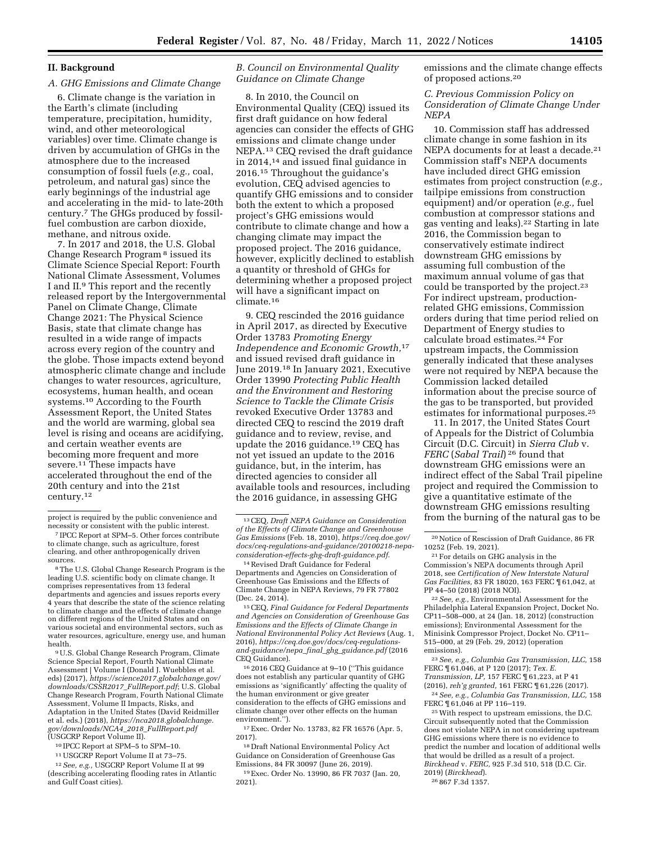## **II. Background**

## *A. GHG Emissions and Climate Change*

6. Climate change is the variation in the Earth's climate (including temperature, precipitation, humidity, wind, and other meteorological variables) over time. Climate change is driven by accumulation of GHGs in the atmosphere due to the increased consumption of fossil fuels (*e.g.,* coal, petroleum, and natural gas) since the early beginnings of the industrial age and accelerating in the mid- to late-20th century.7 The GHGs produced by fossilfuel combustion are carbon dioxide, methane, and nitrous oxide.

7. In 2017 and 2018, the U.S. Global Change Research Program 8 issued its Climate Science Special Report: Fourth National Climate Assessment, Volumes I and II.9 This report and the recently released report by the Intergovernmental Panel on Climate Change, Climate Change 2021: The Physical Science Basis, state that climate change has resulted in a wide range of impacts across every region of the country and the globe. Those impacts extend beyond atmospheric climate change and include changes to water resources, agriculture, ecosystems, human health, and ocean systems.10 According to the Fourth Assessment Report, the United States and the world are warming, global sea level is rising and oceans are acidifying, and certain weather events are becoming more frequent and more severe.11 These impacts have accelerated throughout the end of the 20th century and into the 21st century.12

<sup>8</sup> The U.S. Global Change Research Program is the leading U.S. scientific body on climate change. It comprises representatives from 13 federal departments and agencies and issues reports every 4 years that describe the state of the science relating to climate change and the effects of climate change on different regions of the United States and on various societal and environmental sectors, such as water resources, agriculture, energy use, and human health.

9U.S. Global Change Research Program, Climate Science Special Report, Fourth National Climate Assessment | Volume I (Donald J. Wuebbles et al. eds) (2017), *[https://science2017.globalchange.gov/](https://science2017.globalchange.gov/downloads/CSSR2017_FullReport.pdf) [downloads/CSSR2017](https://science2017.globalchange.gov/downloads/CSSR2017_FullReport.pdf)*\_*FullReport.pdf*; U.S. Global Change Research Program, Fourth National Climate Assessment, Volume II Impacts, Risks, and Adaptation in the United States (David Reidmiller et al. eds.) (2018), *[https://nca2018.globalchange.](https://nca2018.globalchange.gov/downloads/NCA4_2018_FullReport.pdf) [gov/downloads/NCA4](https://nca2018.globalchange.gov/downloads/NCA4_2018_FullReport.pdf)*\_*2018*\_*FullReport.pdf*  (USGCRP Report Volume II).

- 10 IPCC Report at SPM–5 to SPM–10.
- 11USGCRP Report Volume II at 73–75.

12*See, e.g.,* USGCRP Report Volume II at 99 (describing accelerating flooding rates in Atlantic and Gulf Coast cities).

## *B. Council on Environmental Quality Guidance on Climate Change*

8. In 2010, the Council on Environmental Quality (CEQ) issued its first draft guidance on how federal agencies can consider the effects of GHG emissions and climate change under NEPA.13 CEQ revised the draft guidance in 2014,14 and issued final guidance in 2016.15 Throughout the guidance's evolution, CEQ advised agencies to quantify GHG emissions and to consider both the extent to which a proposed project's GHG emissions would contribute to climate change and how a changing climate may impact the proposed project. The 2016 guidance, however, explicitly declined to establish a quantity or threshold of GHGs for determining whether a proposed project will have a significant impact on climate.16

9. CEQ rescinded the 2016 guidance in April 2017, as directed by Executive Order 13783 *Promoting Energy Independence and Economic Growth,*17 and issued revised draft guidance in June 2019.18 In January 2021, Executive Order 13990 *Protecting Public Health and the Environment and Restoring Science to Tackle the Climate Crisis*  revoked Executive Order 13783 and directed CEQ to rescind the 2019 draft guidance and to review, revise, and update the 2016 guidance.19 CEQ has not yet issued an update to the 2016 guidance, but, in the interim, has directed agencies to consider all available tools and resources, including the 2016 guidance, in assessing GHG

Departments and Agencies on Consideration of Greenhouse Gas Emissions and the Effects of Climate Change in NEPA Reviews, 79 FR 77802 (Dec. 24, 2014).

15CEQ, *Final Guidance for Federal Departments and Agencies on Consideration of Greenhouse Gas Emissions and the Effects of Climate Change in National Environmental Policy Act Reviews* (Aug. 1, 2016), *[https://ceq.doe.gov/docs/ceq-regulations](https://ceq.doe.gov/docs/ceq-regulations-and-guidance/nepa_final_ghg_guidance.pdf)[and-guidance/nepa](https://ceq.doe.gov/docs/ceq-regulations-and-guidance/nepa_final_ghg_guidance.pdf)*\_*final*\_*ghg*\_*guidance.pdf* (2016 CEQ Guidance).

16 2016 CEQ Guidance at 9–10 (''This guidance does not establish any particular quantity of GHG emissions as 'significantly' affecting the quality of the human environment or give greater consideration to the effects of GHG emissions and climate change over other effects on the human environment.'').

17Exec. Order No. 13783, 82 FR 16576 (Apr. 5, 2017).

18 Draft National Environmental Policy Act Guidance on Consideration of Greenhouse Gas Emissions, 84 FR 30097 (June 26, 2019). 19Exec. Order No. 13990, 86 FR 7037 (Jan. 20,

2021).

emissions and the climate change effects of proposed actions.20

*C. Previous Commission Policy on Consideration of Climate Change Under NEPA* 

10. Commission staff has addressed climate change in some fashion in its NEPA documents for at least a decade.<sup>21</sup> Commission staff's NEPA documents have included direct GHG emission estimates from project construction (*e.g.,*  tailpipe emissions from construction equipment) and/or operation (*e.g.,* fuel combustion at compressor stations and gas venting and leaks).22 Starting in late 2016, the Commission began to conservatively estimate indirect downstream GHG emissions by assuming full combustion of the maximum annual volume of gas that could be transported by the project.<sup>23</sup> For indirect upstream, productionrelated GHG emissions, Commission orders during that time period relied on Department of Energy studies to calculate broad estimates.24 For upstream impacts, the Commission generally indicated that these analyses were not required by NEPA because the Commission lacked detailed information about the precise source of the gas to be transported, but provided estimates for informational purposes.25

11. In 2017, the United States Court of Appeals for the District of Columbia Circuit (D.C. Circuit) in *Sierra Club* v. *FERC* (*Sabal Trail*) 26 found that downstream GHG emissions were an indirect effect of the Sabal Trail pipeline project and required the Commission to give a quantitative estimate of the downstream GHG emissions resulting from the burning of the natural gas to be

22*See, e.g.,* Environmental Assessment for the Philadelphia Lateral Expansion Project, Docket No. CP11–508–000, at 24 (Jan. 18, 2012) (construction emissions); Environmental Assessment for the Minisink Compressor Project, Docket No. CP11– 515–000, at 29 (Feb. 29, 2012) (operation emissions).

23*See, e.g., Columbia Gas Transmission, LLC,* 158 FERC ¶ 61,046, at P 120 (2017); *Tex. E. Transmission, LP,* 157 FERC ¶ 61,223, at P 41 (2016), *reh'g granted,* 161 FERC ¶ 61,226 (2017).

24*See, e.g., Columbia Gas Transmission, LLC,* 158 FERC ¶ 61,046 at PP 116–119.

25With respect to upstream emissions, the D.C. Circuit subsequently noted that the Commission does not violate NEPA in not considering upstream GHG emissions where there is no evidence to predict the number and location of additional wells that would be drilled as a result of a project. *Birckhead* v. *FERC,* 925 F.3d 510, 518 (D.C. Cir. 2019) (*Birckhead*).

26 867 F.3d 1357.

project is required by the public convenience and

<sup>&</sup>lt;sup>7</sup> IPCC Report at SPM–5. Other forces contribute to climate change, such as agriculture, forest clearing, and other anthropogenically driven

<sup>13</sup>CEQ, *Draft NEPA Guidance on Consideration of the Effects of Climate Change and Greenhouse Gas Emissions* (Feb. 18, 2010), *[https://ceq.doe.gov/](https://ceq.doe.gov/docs/ceq-regulations-and-guidance/20100218-nepa-consideration-effects-ghg-draft-guidance.pdf)  [docs/ceq-regulations-and-guidance/20100218-nepa](https://ceq.doe.gov/docs/ceq-regulations-and-guidance/20100218-nepa-consideration-effects-ghg-draft-guidance.pdf)[consideration-effects-ghg-draft-guidance.pdf](https://ceq.doe.gov/docs/ceq-regulations-and-guidance/20100218-nepa-consideration-effects-ghg-draft-guidance.pdf)*. 14Revised Draft Guidance for Federal

 $^{\rm 20}\rm{Notice}$  of Rescission of Draft Guidance, 86 FR 10252 (Feb. 19, 2021).

<sup>21</sup>For details on GHG analysis in the Commission's NEPA documents through April 2018, see *Certification of New Interstate Natural Gas Facilities,* 83 FR 18020, 163 FERC ¶ 61,042, at PP 44–50 (2018) (2018 NOI).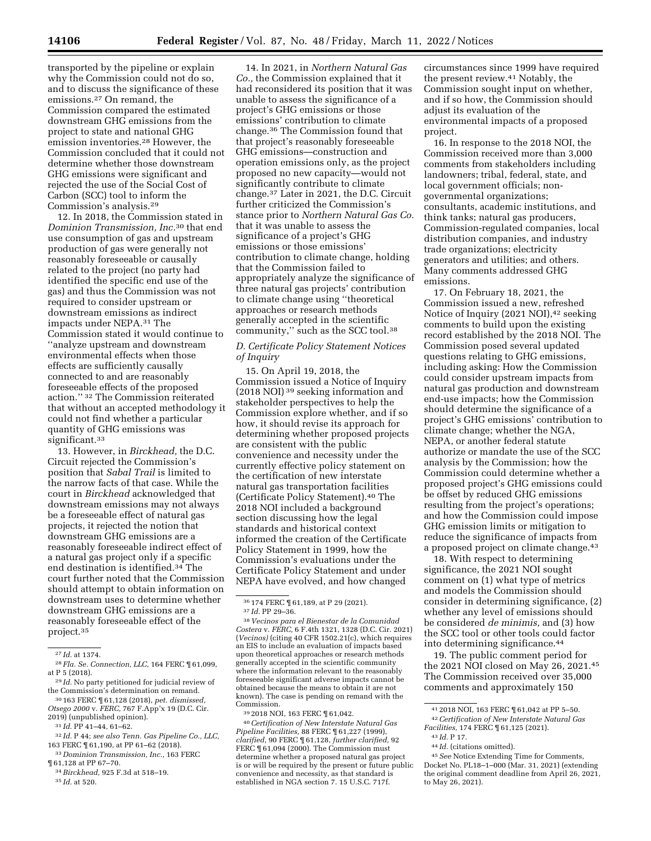transported by the pipeline or explain why the Commission could not do so, and to discuss the significance of these emissions.27 On remand, the Commission compared the estimated downstream GHG emissions from the project to state and national GHG emission inventories.28 However, the Commission concluded that it could not determine whether those downstream GHG emissions were significant and rejected the use of the Social Cost of Carbon (SCC) tool to inform the Commission's analysis.29

12. In 2018, the Commission stated in *Dominion Transmission, Inc.*30 that end use consumption of gas and upstream production of gas were generally not reasonably foreseeable or causally related to the project (no party had identified the specific end use of the gas) and thus the Commission was not required to consider upstream or downstream emissions as indirect impacts under NEPA.31 The Commission stated it would continue to ''analyze upstream and downstream environmental effects when those effects are sufficiently causally connected to and are reasonably foreseeable effects of the proposed action.'' 32 The Commission reiterated that without an accepted methodology it could not find whether a particular quantity of GHG emissions was significant.<sup>33</sup>

13. However, in *Birckhead,* the D.C. Circuit rejected the Commission's position that *Sabal Trail* is limited to the narrow facts of that case. While the court in *Birckhead* acknowledged that downstream emissions may not always be a foreseeable effect of natural gas projects, it rejected the notion that downstream GHG emissions are a reasonably foreseeable indirect effect of a natural gas project only if a specific end destination is identified.34 The court further noted that the Commission should attempt to obtain information on downstream uses to determine whether downstream GHG emissions are a reasonably foreseeable effect of the project.35

32 *Id.* P 44; *see also Tenn. Gas Pipeline Co., LLC,*  163 FERC ¶ 61,190, at PP 61–62 (2018).

33 *Dominion Transmission, Inc.,* 163 FERC ¶ 61,128 at PP 67–70.

34*Birckhead,* 925 F.3d at 518–19.

35 *Id.* at 520.

14. In 2021, in *Northern Natural Gas Co.,* the Commission explained that it had reconsidered its position that it was unable to assess the significance of a project's GHG emissions or those emissions' contribution to climate change.36 The Commission found that that project's reasonably foreseeable GHG emissions—construction and operation emissions only, as the project proposed no new capacity—would not significantly contribute to climate change.37 Later in 2021, the D.C. Circuit further criticized the Commission's stance prior to *Northern Natural Gas Co.*  that it was unable to assess the significance of a project's GHG emissions or those emissions' contribution to climate change, holding that the Commission failed to appropriately analyze the significance of three natural gas projects' contribution to climate change using ''theoretical approaches or research methods generally accepted in the scientific community,'' such as the SCC tool.38

### *D. Certificate Policy Statement Notices of Inquiry*

15. On April 19, 2018, the Commission issued a Notice of Inquiry (2018 NOI) 39 seeking information and stakeholder perspectives to help the Commission explore whether, and if so how, it should revise its approach for determining whether proposed projects are consistent with the public convenience and necessity under the currently effective policy statement on the certification of new interstate natural gas transportation facilities (Certificate Policy Statement).40 The 2018 NOI included a background section discussing how the legal standards and historical context informed the creation of the Certificate Policy Statement in 1999, how the Commission's evaluations under the Certificate Policy Statement and under NEPA have evolved, and how changed

<sup>36</sup> 174 FERC ¶ 61,189, at P 29 (2021). 37 *Id.* PP 29–36. 38 *Vecinos para el Bienestar de la Comunidad* 

39 2018 NOI, 163 FERC ¶ 61,042.

40*Certification of New Interstate Natural Gas Pipeline Facilities,* 88 FERC ¶ 61,227 (1999), *clarified,* 90 FERC ¶ 61,128, *further clarified,* 92 FERC  $\P$  61,094 (2000). The Commission must determine whether a proposed natural gas project is or will be required by the present or future public convenience and necessity, as that standard is established in NGA section 7. 15 U.S.C. 717f.

circumstances since 1999 have required the present review.41 Notably, the Commission sought input on whether, and if so how, the Commission should adjust its evaluation of the environmental impacts of a proposed project.

16. In response to the 2018 NOI, the Commission received more than 3,000 comments from stakeholders including landowners; tribal, federal, state, and local government officials; nongovernmental organizations; consultants, academic institutions, and think tanks; natural gas producers, Commission-regulated companies, local distribution companies, and industry trade organizations; electricity generators and utilities; and others. Many comments addressed GHG emissions.

17. On February 18, 2021, the Commission issued a new, refreshed Notice of Inquiry (2021 NOI), <sup>42</sup> seeking comments to build upon the existing record established by the 2018 NOI. The Commission posed several updated questions relating to GHG emissions, including asking: How the Commission could consider upstream impacts from natural gas production and downstream end-use impacts; how the Commission should determine the significance of a project's GHG emissions' contribution to climate change; whether the NGA, NEPA, or another federal statute authorize or mandate the use of the SCC analysis by the Commission; how the Commission could determine whether a proposed project's GHG emissions could be offset by reduced GHG emissions resulting from the project's operations; and how the Commission could impose GHG emission limits or mitigation to reduce the significance of impacts from a proposed project on climate change.43

18. With respect to determining significance, the 2021 NOI sought comment on (1) what type of metrics and models the Commission should consider in determining significance, (2) whether any level of emissions should be considered *de minimis,* and (3) how the SCC tool or other tools could factor into determining significance.44

19. The public comment period for the 2021 NOI closed on May 26, 2021.45 The Commission received over 35,000 comments and approximately 150

<sup>27</sup> *Id.* at 1374.

<sup>28</sup> *Fla. Se. Connection, LLC,* 164 FERC ¶ 61,099, at P 5 (2018).

<sup>29</sup> *Id.* No party petitioned for judicial review of the Commission's determination on remand.

<sup>30</sup> 163 FERC ¶ 61,128 (2018), *pet. dismissed, Otsego 2000* v. *FERC,* 767 F.App'x 19 (D.C. Cir. 2019) (unpublished opinion).

<sup>31</sup> *Id.* PP 41–44, 61–62.

*Costera* v. *FERC,* 6 F.4th 1321, 1328 (D.C. Cir. 2021) (*Vecinos)* (citing 40 CFR 1502.21(c), which requires an EIS to include an evaluation of impacts based upon theoretical approaches or research methods generally accepted in the scientific community where the information relevant to the reasonably foreseeable significant adverse impacts cannot be obtained because the means to obtain it are not known). The case is pending on remand with the Commission.

<sup>41</sup> 2018 NOI, 163 FERC ¶ 61,042 at PP 5–50.

<sup>42</sup>*Certification of New Interstate Natural Gas Facilities,* 174 FERC ¶ 61,125 (2021). 43 *Id.* P 17.

<sup>44</sup> *Id.* (citations omitted).

<sup>45</sup>*See* Notice Extending Time for Comments, Docket No. PL18–1–000 (Mar. 31, 2021) (extending the original comment deadline from April 26, 2021, to May 26, 2021).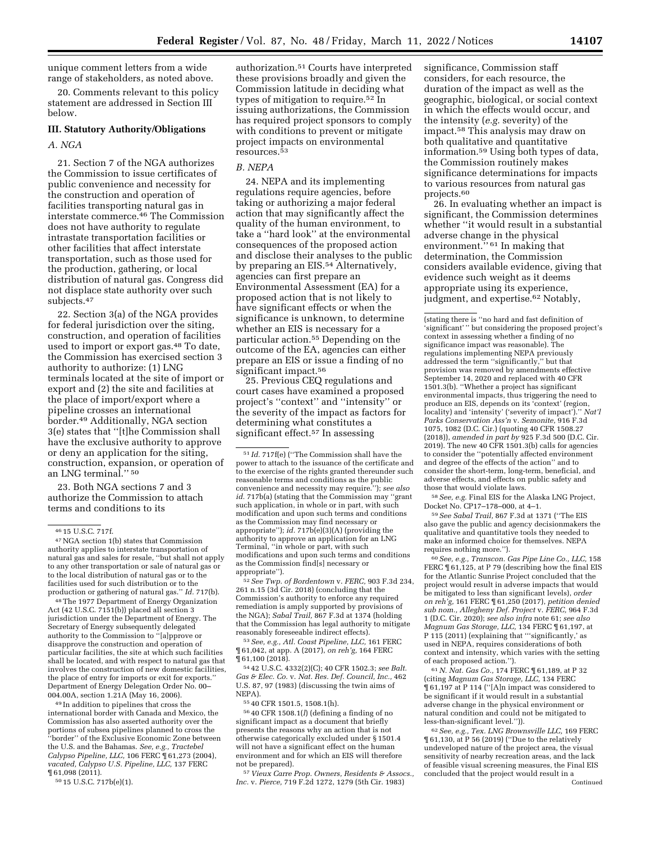unique comment letters from a wide range of stakeholders, as noted above.

20. Comments relevant to this policy statement are addressed in Section III below.

## **III. Statutory Authority/Obligations**

#### *A. NGA*

21. Section 7 of the NGA authorizes the Commission to issue certificates of public convenience and necessity for the construction and operation of facilities transporting natural gas in interstate commerce.46 The Commission does not have authority to regulate intrastate transportation facilities or other facilities that affect interstate transportation, such as those used for the production, gathering, or local distribution of natural gas. Congress did not displace state authority over such subjects.<sup>47</sup>

22. Section 3(a) of the NGA provides for federal jurisdiction over the siting, construction, and operation of facilities used to import or export gas.48 To date, the Commission has exercised section 3 authority to authorize: (1) LNG terminals located at the site of import or export and (2) the site and facilities at the place of import/export where a pipeline crosses an international border.49 Additionally, NGA section 3(e) states that ''[t]he Commission shall have the exclusive authority to approve or deny an application for the siting, construction, expansion, or operation of an LNG terminal.'' 50

23. Both NGA sections 7 and 3 authorize the Commission to attach terms and conditions to its

48The 1977 Department of Energy Organization Act (42 U.S.C. 7151(b)) placed all section 3 jurisdiction under the Department of Energy. The Secretary of Energy subsequently delegated authority to the Commission to ''[a]pprove or disapprove the construction and operation of particular facilities, the site at which such facilities shall be located, and with respect to natural gas that involves the construction of new domestic facilities, the place of entry for imports or exit for exports.'' Department of Energy Delegation Order No. 00– 004.00A, section 1.21A (May 16, 2006).

49 In addition to pipelines that cross the international border with Canada and Mexico, the Commission has also asserted authority over the portions of subsea pipelines planned to cross the ''border'' of the Exclusive Economic Zone between the U.S. and the Bahamas. *See, e.g., Tractebel Calypso Pipeline, LLC,* 106 FERC ¶ 61,273 (2004), *vacated, Calypso U.S. Pipeline, LLC,* 137 FERC ¶ 61,098 (2011).

50 15 U.S.C. 717b(e)(1).

authorization.51 Courts have interpreted these provisions broadly and given the Commission latitude in deciding what types of mitigation to require.52 In issuing authorizations, the Commission has required project sponsors to comply with conditions to prevent or mitigate project impacts on environmental resources.53

## *B. NEPA*

24. NEPA and its implementing regulations require agencies, before taking or authorizing a major federal action that may significantly affect the quality of the human environment, to take a ''hard look'' at the environmental consequences of the proposed action and disclose their analyses to the public by preparing an EIS.<sup>54</sup> Alternatively, agencies can first prepare an Environmental Assessment (EA) for a proposed action that is not likely to have significant effects or when the significance is unknown, to determine whether an EIS is necessary for a particular action.55 Depending on the outcome of the EA, agencies can either prepare an EIS or issue a finding of no significant impact.<sup>56</sup>

25. Previous CEQ regulations and court cases have examined a proposed project's ''context'' and ''intensity'' or the severity of the impact as factors for determining what constitutes a significant effect.<sup>57</sup> In assessing

51 *Id.* 717f(e) (''The Commission shall have the power to attach to the issuance of the certificate and to the exercise of the rights granted thereunder such reasonable terms and conditions as the public convenience and necessity may require.''); *see also id.* 717b(a) (stating that the Commission may ''grant such application, in whole or in part, with such modification and upon such terms and conditions as the Commission may find necessary or appropriate''); *id.* 717b(e)(3)(A) (providing the authority to approve an application for an LNG Terminal, ''in whole or part, with such modifications and upon such terms and conditions as the Commission find[s] necessary or appropriate'').

52*See Twp. of Bordentown* v. *FERC,* 903 F.3d 234, 261 n.15 (3d Cir. 2018) (concluding that the Commission's authority to enforce any required remediation is amply supported by provisions of the NGA); *Sabal Trail,* 867 F.3d at 1374 (holding that the Commission has legal authority to mitigate reasonably foreseeable indirect effects).

53*See, e.g., Atl. Coast Pipeline, LLC,* 161 FERC ¶ 61,042, at app. A (2017), *on reh'g,* 164 FERC ¶ 61,100 (2018).

54 42 U.S.C. 4332(2)(C); 40 CFR 1502.3; *see Balt. Gas & Elec. Co.* v. *Nat. Res. Def. Council, Inc.,* 462 U.S. 87, 97 (1983) (discussing the twin aims of NEPA).

55 40 CFR 1501.5, 1508.1(h).

56 40 CFR 1508.1(*l*) (defining a finding of no significant impact as a document that briefly presents the reasons why an action that is not otherwise categorically excluded under § 1501.4 will not have a significant effect on the human environment and for which an EIS will therefore not be prepared).

57 *Vieux Carre Prop. Owners, Residents & Assocs., Inc.* v. *Pierce,* 719 F.2d 1272, 1279 (5th Cir. 1983)

significance, Commission staff considers, for each resource, the duration of the impact as well as the geographic, biological, or social context in which the effects would occur, and the intensity (*e.g.* severity) of the impact.58 This analysis may draw on both qualitative and quantitative information.59 Using both types of data, the Commission routinely makes significance determinations for impacts to various resources from natural gas projects.60

26. In evaluating whether an impact is significant, the Commission determines whether ''it would result in a substantial adverse change in the physical environment."<sup>61</sup> In making that determination, the Commission considers available evidence, giving that evidence such weight as it deems appropriate using its experience, judgment, and expertise.<sup>62</sup> Notably,

58*See, e.g.* Final EIS for the Alaska LNG Project, Docket No. CP17–178–000, at 4–1.

59*See Sabal Trail,* 867 F.3d at 1371 (''The EIS also gave the public and agency decisionmakers the qualitative and quantitative tools they needed to make an informed choice for themselves. NEPA requires nothing more.'').

60*See, e.g., Transcon. Gas Pipe Line Co., LLC,* 158 FERC  $\P$  61,125, at P 79 (describing how the final EIS for the Atlantic Sunrise Project concluded that the project would result in adverse impacts that would be mitigated to less than significant levels), *order on reh'g,* 161 FERC ¶ 61,250 (2017), *petition denied sub nom., Allegheny Def. Project* v. *FERC,* 964 F.3d 1 (D.C. Cir. 2020); *see also infra* note 61; *see also Magnum Gas Storage, LLC,* 134 FERC ¶ 61,197, at P 115 (2011) (explaining that "'significantly,' as used in NEPA, requires considerations of both context and intensity, which varies with the setting of each proposed action.'').

61*N. Nat. Gas Co.,* 174 FERC ¶ 61,189, at P 32 (citing *Magnum Gas Storage, LLC,* 134 FERC ¶ 61,197 at P 114 (''[A]n impact was considered to be significant if it would result in a substantial adverse change in the physical environment or natural condition and could not be mitigated to less-than-significant level.'')).

62*See, e.g., Tex. LNG Brownsville LLC,* 169 FERC ¶ 61,130, at P 56 (2019) (''Due to the relatively undeveloped nature of the project area, the visual sensitivity of nearby recreation areas, and the lack of feasible visual screening measures, the Final EIS concluded that the project would result in a Continued

<sup>46</sup> 15 U.S.C. 717f.

<sup>47</sup>NGA section 1(b) states that Commission authority applies to interstate transportation of natural gas and sales for resale, ''but shall not apply to any other transportation or sale of natural gas or to the local distribution of natural gas or to the facilities used for such distribution or to the production or gathering of natural gas.'' *Id.* 717(b).

<sup>(</sup>stating there is ''no hard and fast definition of 'significant' '' but considering the proposed project's context in assessing whether a finding of no significance impact was reasonable). The regulations implementing NEPA previously addressed the term ''significantly,'' but that provision was removed by amendments effective September 14, 2020 and replaced with 40 CFR 1501.3(b). ''Whether a project has significant environmental impacts, thus triggering the need to produce an EIS, depends on its 'context' (region, locality) and 'intensity' ('severity of impact').'' *Nat'l Parks Conservation Ass'n* v. *Semonite,* 916 F.3d 1075, 1082 (D.C. Cir.) (quoting 40 CFR 1508.27 (2018)), *amended in part by* 925 F.3d 500 (D.C. Cir. 2019). The new 40 CFR 1501.3(b) calls for agencies to consider the ''potentially affected environment and degree of the effects of the action'' and to consider the short-term, long-term, beneficial, and adverse effects, and effects on public safety and those that would violate laws.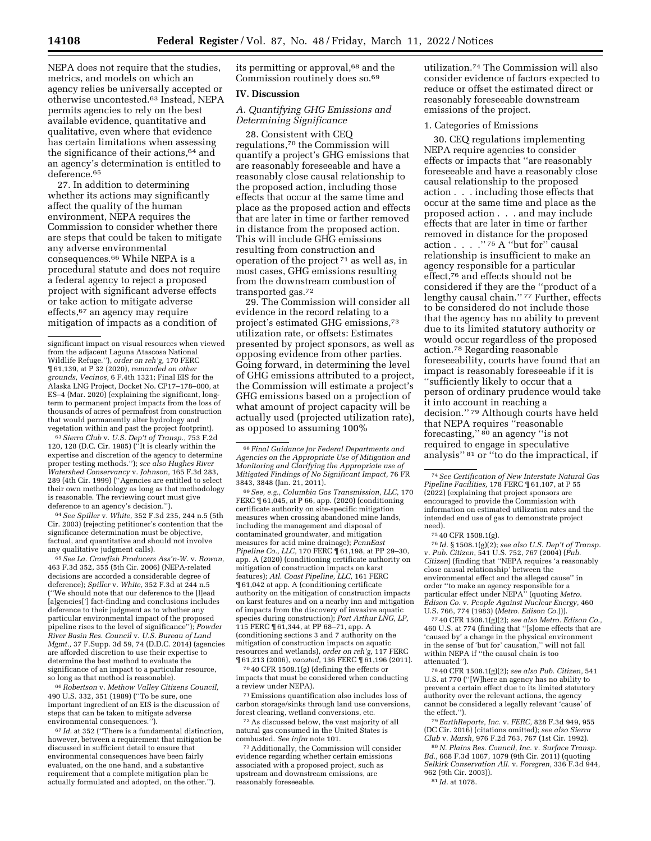NEPA does not require that the studies, metrics, and models on which an agency relies be universally accepted or otherwise uncontested.63 Instead, NEPA permits agencies to rely on the best available evidence, quantitative and qualitative, even where that evidence has certain limitations when assessing the significance of their actions,64 and an agency's determination is entitled to deference.65

27. In addition to determining whether its actions may significantly affect the quality of the human environment, NEPA requires the Commission to consider whether there are steps that could be taken to mitigate any adverse environmental consequences.66 While NEPA is a procedural statute and does not require a federal agency to reject a proposed project with significant adverse effects or take action to mitigate adverse effects,67 an agency may require mitigation of impacts as a condition of

63*Sierra Club* v. *U.S. Dep't of Transp.,* 753 F.2d 120, 128 (D.C. Cir. 1985) (''It is clearly within the expertise and discretion of the agency to determine proper testing methods.''); *see also Hughes River Watershed Conservancy* v. *Johnson,* 165 F.3d 283, 289 (4th Cir. 1999) (''Agencies are entitled to select their own methodology as long as that methodology is reasonable. The reviewing court must give deference to an agency's decision.'').

64*See Spiller* v. *White,* 352 F.3d 235, 244 n.5 (5th Cir. 2003) (rejecting petitioner's contention that the significance determination must be objective, factual, and quantitative and should not involve any qualitative judgment calls).

65*See La. Crawfish Producers Ass'n-W.* v. *Rowan,*  463 F.3d 352, 355 (5th Cir. 2006) (NEPA-related decisions are accorded a considerable degree of deference); *Spiller* v. *White,* 352 F.3d at 244 n.5 (''We should note that our deference to the [l]ead [a]gencies['] fact-finding and conclusions includes deference to their judgment as to whether any particular environmental impact of the proposed pipeline rises to the level of significance''); *Powder River Basin Res. Council* v. *U.S. Bureau of Land Mgmt.,* 37 F.Supp. 3d 59, 74 (D.D.C. 2014) (agencies are afforded discretion to use their expertise to determine the best method to evaluate the significance of an impact to a particular resource, so long as that method is reasonable).

66*Robertson* v. *Methow Valley Citizens Council,*  490 U.S. 332, 351 (1989) (''To be sure, one important ingredient of an EIS is the discussion of steps that can be taken to mitigate adverse environmental consequences.'').

67 *Id.* at 352 (''There is a fundamental distinction, however, between a requirement that mitigation be discussed in sufficient detail to ensure that environmental consequences have been fairly evaluated, on the one hand, and a substantive requirement that a complete mitigation plan be actually formulated and adopted, on the other.'').

its permitting or approval,<sup>68</sup> and the Commission routinely does so.69

## **IV. Discussion**

# *A. Quantifying GHG Emissions and Determining Significance*

28. Consistent with CEQ regulations,70 the Commission will quantify a project's GHG emissions that are reasonably foreseeable and have a reasonably close causal relationship to the proposed action, including those effects that occur at the same time and place as the proposed action and effects that are later in time or farther removed in distance from the proposed action. This will include GHG emissions resulting from construction and operation of the project 71 as well as, in most cases, GHG emissions resulting from the downstream combustion of transported gas.72

29. The Commission will consider all evidence in the record relating to a project's estimated GHG emissions,73 utilization rate, or offsets: Estimates presented by project sponsors, as well as opposing evidence from other parties. Going forward, in determining the level of GHG emissions attributed to a project, the Commission will estimate a project's GHG emissions based on a projection of what amount of project capacity will be actually used (projected utilization rate), as opposed to assuming 100%

69*See, e.g., Columbia Gas Transmission, LLC,* 170 FERC ¶ 61,045, at P 66, app. (2020) (conditioning certificate authority on site-specific mitigation measures when crossing abandoned mine lands, including the management and disposal of contaminated groundwater, and mitigation measures for acid mine drainage); *PennEast Pipeline Co., LLC,* 170 FERC ¶ 61,198, at PP 29–30, app. A (2020) (conditioning certificate authority on mitigation of construction impacts on karst features); *Atl. Coast Pipeline, LLC,* 161 FERC ¶ 61,042 at app. A (conditioning certificate authority on the mitigation of construction impacts on karst features and on a nearby inn and mitigation of impacts from the discovery of invasive aquatic species during construction); *Port Arthur LNG, LP,*  115 FERC ¶ 61,344, at PP 68–71, app. A (conditioning sections 3 and 7 authority on the mitigation of construction impacts on aquatic resources and wetlands), *order on reh'g,* 117 FERC ¶ 61,213 (2006), *vacated,* 136 FERC ¶ 61,196 (2011).

70 40 CFR 1508.1(g) (defining the effects or impacts that must be considered when conducting a review under NEPA).

71Emissions quantification also includes loss of carbon storage/sinks through land use conversions, forest clearing, wetland conversions, etc.

72As discussed below, the vast majority of all natural gas consumed in the United States is combusted. *See infra* note 101.

73Additionally, the Commission will consider evidence regarding whether certain emissions associated with a proposed project, such as upstream and downstream emissions, are reasonably foreseeable.

utilization.74 The Commission will also consider evidence of factors expected to reduce or offset the estimated direct or reasonably foreseeable downstream emissions of the project.

#### 1. Categories of Emissions

30. CEQ regulations implementing NEPA require agencies to consider effects or impacts that ''are reasonably foreseeable and have a reasonably close causal relationship to the proposed action . . . including those effects that occur at the same time and place as the proposed action . . . and may include effects that are later in time or farther removed in distance for the proposed action . . . .'' 75 A ''but for'' causal relationship is insufficient to make an agency responsible for a particular effect,76 and effects should not be considered if they are the ''product of a lengthy causal chain."<sup>77</sup> Further, effects to be considered do not include those that the agency has no ability to prevent due to its limited statutory authority or would occur regardless of the proposed action.78 Regarding reasonable foreseeability, courts have found that an impact is reasonably foreseeable if it is ''sufficiently likely to occur that a person of ordinary prudence would take it into account in reaching a decision.'' 79 Although courts have held that NEPA requires ''reasonable forecasting,'' 80 an agency ''is not required to engage in speculative analysis'' 81 or ''to do the impractical, if

need).<br><sup>75</sup> 40 CFR 1508.1(g).<br><sup>76</sup> Id. § 1508.1(g)(2); *see also U.S. Dep't of Transp.* v. *Pub. Citizen,* 541 U.S. 752, 767 (2004) (*Pub. Citizen*) (finding that ''NEPA requires 'a reasonably close causal relationship' between the environmental effect and the alleged cause'' in order ''to make an agency responsible for a particular effect under NEPA'' (quoting *Metro. Edison Co.* v. *People Against Nuclear Energy,* 460 U.S. 766, 774 (1983) (*Metro. Edison Co.*))).

77 40 CFR 1508.1(g)(2); *see also Metro. Edison Co.,*  460 U.S. at 774 (finding that ''[s]ome effects that are 'caused by' a change in the physical environment in the sense of 'but for' causation,'' will not fall within NEPA if ''the causal chain is too

attenuated''). 78 40 CFR 1508.1(g)(2); *see also Pub. Citizen,* <sup>541</sup> U.S. at 770 (''[W]here an agency has no ability to prevent a certain effect due to its limited statutory authority over the relevant actions, the agency cannot be considered a legally relevant 'cause' of

the effect.''). 79*EarthReports, Inc.* v. *FERC,* 828 F.3d 949, 955 (DC Cir. 2016) (citations omitted); *see also Sierra* 

*Club* v. *Marsh,* 976 F.2d 763, 767 (1st Cir. 1992). 80*N. Plains Res. Council, Inc.* v. *Surface Transp. Bd.,* 668 F.3d 1067, 1079 (9th Cir. 2011) (quoting *Selkirk Conservation All.* v. *Forsgren,* 336 F.3d 944, 962 (9th Cir. 2003)).

significant impact on visual resources when viewed from the adjacent Laguna Atascosa National Wildlife Refuge.''), *order on reh'g,* 170 FERC ¶ 61,139, at P 32 (2020), *remanded on other grounds, Vecinos,* 6 F.4th 1321; Final EIS for the Alaska LNG Project, Docket No. CP17–178–000, at ES–4 (Mar. 2020) (explaining the significant, longterm to permanent project impacts from the loss of thousands of acres of permafrost from construction that would permanently alter hydrology and vegetation within and past the project footprint).

<sup>68</sup> *Final Guidance for Federal Departments and Agencies on the Appropriate Use of Mitigation and Monitoring and Clarifying the Appropriate use of Mitigated Findings of No Significant Impact,* 76 FR 3843, 3848 (Jan. 21, 2011).

<sup>74</sup>*See Certification of New Interstate Natural Gas Pipeline Facilities,* 178 FERC ¶ 61,107, at P 55 (2022) (explaining that project sponsors are encouraged to provide the Commission with information on estimated utilization rates and the intended end use of gas to demonstrate project

<sup>81</sup> *Id.* at 1078.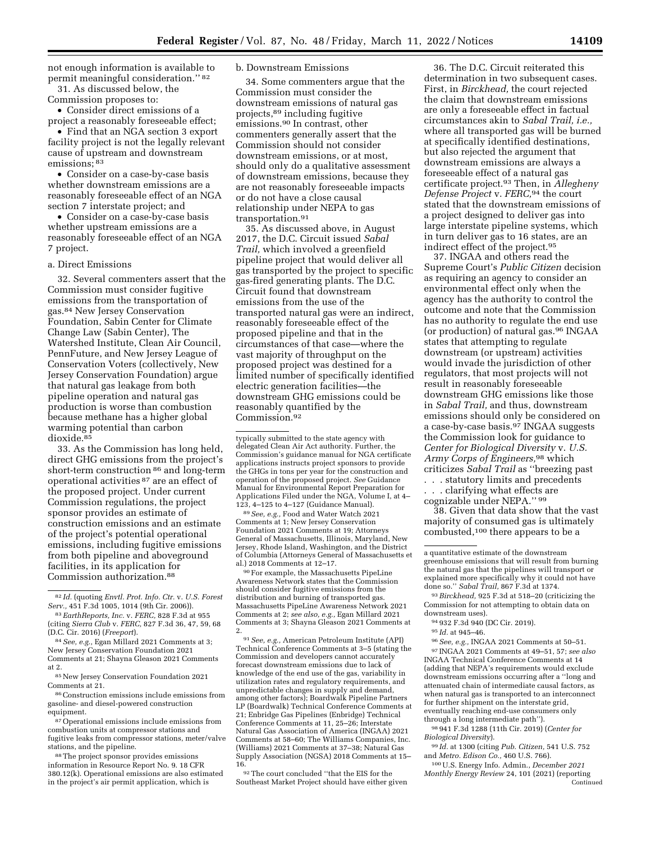not enough information is available to permit meaningful consideration.'' 82 31. As discussed below, the

Commission proposes to:

• Consider direct emissions of a project a reasonably foreseeable effect;

• Find that an NGA section 3 export facility project is not the legally relevant cause of upstream and downstream emissions;<sup>83</sup>

• Consider on a case-by-case basis whether downstream emissions are a reasonably foreseeable effect of an NGA section 7 interstate project; and

• Consider on a case-by-case basis whether upstream emissions are a reasonably foreseeable effect of an NGA 7 project.

#### a. Direct Emissions

32. Several commenters assert that the Commission must consider fugitive emissions from the transportation of gas.84 New Jersey Conservation Foundation, Sabin Center for Climate Change Law (Sabin Center), The Watershed Institute, Clean Air Council, PennFuture, and New Jersey League of Conservation Voters (collectively, New Jersey Conservation Foundation) argue that natural gas leakage from both pipeline operation and natural gas production is worse than combustion because methane has a higher global warming potential than carbon dioxide.85

33. As the Commission has long held, direct GHG emissions from the project's short-term construction 86 and long-term operational activities 87 are an effect of the proposed project. Under current Commission regulations, the project sponsor provides an estimate of construction emissions and an estimate of the project's potential operational emissions, including fugitive emissions from both pipeline and aboveground facilities, in its application for Commission authorization.88

84*See, e.g.,* Egan Millard 2021 Comments at 3; New Jersey Conservation Foundation 2021 Comments at 21; Shayna Gleason 2021 Comments at 2.

85New Jersey Conservation Foundation 2021 Comments at 21.

86Construction emissions include emissions from gasoline- and diesel-powered construction equipment.

87Operational emissions include emissions from combustion units at compressor stations and fugitive leaks from compressor stations, meter/valve stations, and the pipeline.

88The project sponsor provides emissions information in Resource Report No. 9. 18 CFR 380.12(k). Operational emissions are also estimated in the project's air permit application, which is

#### b. Downstream Emissions

34. Some commenters argue that the Commission must consider the downstream emissions of natural gas projects,89 including fugitive emissions.90 In contrast, other commenters generally assert that the Commission should not consider downstream emissions, or at most, should only do a qualitative assessment of downstream emissions, because they are not reasonably foreseeable impacts or do not have a close causal relationship under NEPA to gas transportation.91

35. As discussed above, in August 2017, the D.C. Circuit issued *Sabal Trail,* which involved a greenfield pipeline project that would deliver all gas transported by the project to specific gas-fired generating plants. The D.C. Circuit found that downstream emissions from the use of the transported natural gas were an indirect, reasonably foreseeable effect of the proposed pipeline and that in the circumstances of that case—where the vast majority of throughput on the proposed project was destined for a limited number of specifically identified electric generation facilities—the downstream GHG emissions could be reasonably quantified by the Commission.92

typically submitted to the state agency with delegated Clean Air Act authority. Further, the Commission's guidance manual for NGA certificate applications instructs project sponsors to provide the GHGs in tons per year for the construction and operation of the proposed project. *See* Guidance Manual for Environmental Report Preparation for Applications Filed under the NGA, Volume I, at 4– 123, 4–125 to 4–127 (Guidance Manual).

89*See, e.g.,* Food and Water Watch 2021 Comments at 1; New Jersey Conservation Foundation 2021 Comments at 19; Attorneys General of Massachusetts, Illinois, Maryland, New Jersey, Rhode Island, Washington, and the District of Columbia (Attorneys General of Massachusetts et

<sup>90</sup> For example, the Massachusetts PipeLine Awareness Network states that the Commission should consider fugitive emissions from the distribution and burning of transported gas. Massachusetts PipeLine Awareness Network 2021 Comments at 2; *see also, e.g.,* Egan Millard 2021 Comments at 3; Shayna Gleason 2021 Comments at

2.<br><sup>91</sup> *See, e.g.,* American Petroleum Institute (API)<br>Technical Conference Comments at 3–5 (stating the Commission and developers cannot accurately forecast downstream emissions due to lack of knowledge of the end use of the gas, variability in utilization rates and regulatory requirements, and unpredictable changes in supply and demand, among other factors); Boardwalk Pipeline Partners LP (Boardwalk) Technical Conference Comments at 21; Enbridge Gas Pipelines (Enbridge) Technical Conference Comments at 11, 25–26; Interstate Natural Gas Association of America (INGAA) 2021 Comments at 58–60; The Williams Companies, Inc. (Williams) 2021 Comments at 37–38; Natural Gas Supply Association (NGSA) 2018 Comments at 15– 16.

 $^{92}\mathrm{The}$  court concluded ''that the EIS for the Southeast Market Project should have either given

36. The D.C. Circuit reiterated this determination in two subsequent cases. First, in *Birckhead,* the court rejected the claim that downstream emissions are only a foreseeable effect in factual circumstances akin to *Sabal Trail, i.e.,*  where all transported gas will be burned at specifically identified destinations, but also rejected the argument that downstream emissions are always a foreseeable effect of a natural gas certificate project.93 Then, in *Allegheny Defense Project* v. *FERC,*94 the court stated that the downstream emissions of a project designed to deliver gas into large interstate pipeline systems, which in turn deliver gas to 16 states, are an indirect effect of the project.95

37. INGAA and others read the Supreme Court's *Public Citizen* decision as requiring an agency to consider an environmental effect only when the agency has the authority to control the outcome and note that the Commission has no authority to regulate the end use (or production) of natural gas.96 INGAA states that attempting to regulate downstream (or upstream) activities would invade the jurisdiction of other regulators, that most projects will not result in reasonably foreseeable downstream GHG emissions like those in *Sabal Trail,* and thus, downstream emissions should only be considered on a case-by-case basis.97 INGAA suggests the Commission look for guidance to *Center for Biological Diversity* v. *U.S. Army Corps of Engineers,*98 which criticizes *Sabal Trail* as ''breezing past . . . statutory limits and precedents

. . . clarifying what effects are cognizable under NEPA.'' 99

38. Given that data show that the vast majority of consumed gas is ultimately combusted,100 there appears to be a

93*Birckhead,* 925 F.3d at 518–20 (criticizing the Commission for not attempting to obtain data on downstream uses).

- 94 932 F.3d 940 (DC Cir. 2019).
- 95 *Id.* at 945–46.

96*See, e.g.,* INGAA 2021 Comments at 50–51.

97 INGAA 2021 Comments at 49–51, 57; *see also*  INGAA Technical Conference Comments at 14 (adding that NEPA's requirements would exclude downstream emissions occurring after a ''long and attenuated chain of intermediate causal factors, as when natural gas is transported to an interconnect for further shipment on the interstate grid, eventually reaching end-use consumers only through a long intermediate path'').

98 941 F.3d 1288 (11th Cir. 2019) (*Center for Biological Diversity*).

99 *Id.* at 1300 (citing *Pub. Citizen,* 541 U.S. 752 and *Metro. Edison Co.,* 460 U.S. 766).

100U.S. Energy Info. Admin., *December 2021 Monthly Energy Review* 24, 101 (2021) (reporting Continued

<sup>82</sup> *Id.* (quoting *Envtl. Prot. Info. Ctr.* v. *U.S. Forest Serv.,* 451 F.3d 1005, 1014 (9th Cir. 2006)).

<sup>83</sup>*EarthReports, Inc.* v. *FERC,* 828 F.3d at 955 (citing *Sierra Club* v. *FERC,* 827 F.3d 36, 47, 59, 68 (D.C. Cir. 2016) (*Freeport*).

a quantitative estimate of the downstream greenhouse emissions that will result from burning the natural gas that the pipelines will transport or explained more specifically why it could not have done so.'' *Sabal Trail,* 867 F.3d at 1374.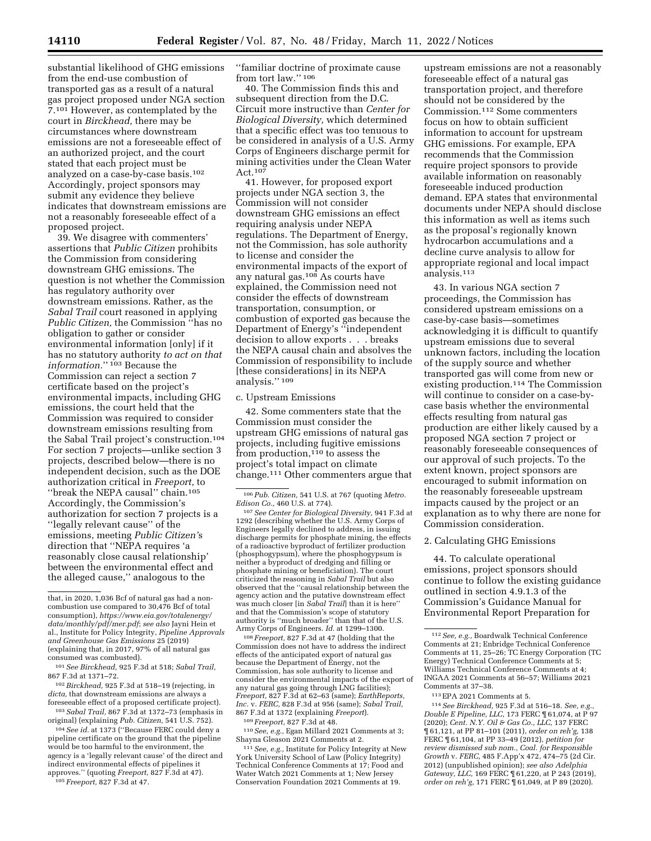substantial likelihood of GHG emissions from the end-use combustion of transported gas as a result of a natural gas project proposed under NGA section 7.101 However, as contemplated by the court in *Birckhead,* there may be circumstances where downstream emissions are not a foreseeable effect of an authorized project, and the court stated that each project must be analyzed on a case-by-case basis.102 Accordingly, project sponsors may submit any evidence they believe indicates that downstream emissions are not a reasonably foreseeable effect of a proposed project.

39. We disagree with commenters' assertions that *Public Citizen* prohibits the Commission from considering downstream GHG emissions. The question is not whether the Commission has regulatory authority over downstream emissions. Rather, as the *Sabal Trail* court reasoned in applying *Public Citizen,* the Commission ''has no obligation to gather or consider environmental information [only] if it has no statutory authority *to act on that information.*'' 103 Because the Commission can reject a section 7 certificate based on the project's environmental impacts, including GHG emissions, the court held that the Commission was required to consider downstream emissions resulting from the Sabal Trail project's construction.104 For section 7 projects—unlike section 3 projects, described below—there is no independent decision, such as the DOE authorization critical in *Freeport,* to ''break the NEPA causal'' chain.105 Accordingly, the Commission's authorization for section 7 projects is a ''legally relevant cause'' of the emissions, meeting *Public Citizen'*s direction that ''NEPA requires 'a reasonably close causal relationship' between the environmental effect and the alleged cause,'' analogous to the

101*See Birckhead,* 925 F.3d at 518; *Sabal Trail,*  867 F.3d at 1371–72.

102*Birckhead,* 925 F.3d at 518–19 (rejecting, in *dicta,* that downstream emissions are always a foreseeable effect of a proposed certificate project).

103*Sabal Trail,* 867 F.3d at 1372–73 (emphasis in original) (explaining *Pub. Citizen,* 541 U.S. 752).

104*See id.* at 1373 (''Because FERC could deny a pipeline certificate on the ground that the pipeline would be too harmful to the environment, the agency is a 'legally relevant cause' of the direct and indirect environmental effects of pipelines it approves.'' (quoting *Freeport,* 827 F.3d at 47).

105 *Freeport,* 827 F.3d at 47.

''familiar doctrine of proximate cause from tort law.'' 106

40. The Commission finds this and subsequent direction from the D.C. Circuit more instructive than *Center for Biological Diversity,* which determined that a specific effect was too tenuous to be considered in analysis of a U.S. Army Corps of Engineers discharge permit for mining activities under the Clean Water Act.107

41. However, for proposed export projects under NGA section 3, the Commission will not consider downstream GHG emissions an effect requiring analysis under NEPA regulations. The Department of Energy, not the Commission, has sole authority to license and consider the environmental impacts of the export of any natural gas.108 As courts have explained, the Commission need not consider the effects of downstream transportation, consumption, or combustion of exported gas because the Department of Energy's ''independent decision to allow exports . . . breaks the NEPA causal chain and absolves the Commission of responsibility to include [these considerations] in its NEPA analysis.'' 109

#### c. Upstream Emissions

42. Some commenters state that the Commission must consider the upstream GHG emissions of natural gas projects, including fugitive emissions from production, $110$  to assess the project's total impact on climate change.111 Other commenters argue that

<sup>107</sup> See Center for Biological Diversity, 941 F.3d at 1292 (describing whether the U.S. Army Corps of Engineers legally declined to address, in issuing discharge permits for phosphate mining, the effects of a radioactive byproduct of fertilizer production (phosphogypsum), where the phosphogypsum is neither a byproduct of dredging and filling or phosphate mining or beneficiation). The court criticized the reasoning in *Sabal Trail* but also observed that the ''causal relationship between the agency action and the putative downstream effect was much closer [in *Sabal Trail*] than it is here'' and that the Commission's scope of statutory authority is ''much broader'' than that of the U.S. Army Corps of Engineers. *Id.* at 1299–1300.

108 *Freeport,* 827 F.3d at 47 (holding that the Commission does not have to address the indirect effects of the anticipated export of natural gas because the Department of Energy, not the Commission, has sole authority to license and consider the environmental impacts of the export of any natural gas going through LNG facilities); *Freeport,* 827 F.3d at 62–63 (same); *EarthReports, Inc.* v. *FERC,* 828 F.3d at 956 (same); *Sabal Trail,*  867 F.3d at 1372 (explaining *Freeport*).

<sup>110</sup> *See, e.g.,* Egan Millard 2021 Comments at 3;<br>Shayna Gleason 2021 Comments at 2.

<sup>111</sup> See, e.g., Institute for Policy Integrity at New York University School of Law (Policy Integrity) Technical Conference Comments at 17; Food and Water Watch 2021 Comments at 1; New Jersey Conservation Foundation 2021 Comments at 19.

upstream emissions are not a reasonably foreseeable effect of a natural gas transportation project, and therefore should not be considered by the Commission.112 Some commenters focus on how to obtain sufficient information to account for upstream GHG emissions. For example, EPA recommends that the Commission require project sponsors to provide available information on reasonably foreseeable induced production demand. EPA states that environmental documents under NEPA should disclose this information as well as items such as the proposal's regionally known hydrocarbon accumulations and a decline curve analysis to allow for appropriate regional and local impact analysis.113

43. In various NGA section 7 proceedings, the Commission has considered upstream emissions on a case-by-case basis—sometimes acknowledging it is difficult to quantify upstream emissions due to several unknown factors, including the location of the supply source and whether transported gas will come from new or existing production.114 The Commission will continue to consider on a case-bycase basis whether the environmental effects resulting from natural gas production are either likely caused by a proposed NGA section 7 project or reasonably foreseeable consequences of our approval of such projects. To the extent known, project sponsors are encouraged to submit information on the reasonably foreseeable upstream impacts caused by the project or an explanation as to why there are none for Commission consideration.

### 2. Calculating GHG Emissions

44. To calculate operational emissions, project sponsors should continue to follow the existing guidance outlined in section 4.9.1.3 of the Commission's Guidance Manual for Environmental Report Preparation for

114*See Birckhead,* 925 F.3d at 516–18. *See, e.g., Double E Pipeline, LLC,* 173 FERC ¶ 61,074, at P 97 (2020); *Cent. N.Y. Oil & Gas Co., LLC,* 137 FERC ¶ 61,121, at PP 81–101 (2011), *order on reh'g,* 138 FERC ¶ 61,104, at PP 33–49 (2012), *petition for review dismissed sub nom., Coal. for Responsible Growth* v. *FERC,* 485 F.App'x 472, 474–75 (2d Cir. 2012) (unpublished opinion); *see also Adelphia Gateway, LLC,* 169 FERC ¶ 61,220, at P 243 (2019), *order on reh'g,* 171 FERC ¶ 61,049, at P 89 (2020).

that, in 2020, 1,036 Bcf of natural gas had a noncombustion use compared to 30,476 Bcf of total consumption), *[https://www.eia.gov/totalenergy/](https://www.eia.gov/totalenergy/data/monthly/pdf/mer.pdf) [data/monthly/pdf/mer.pdf](https://www.eia.gov/totalenergy/data/monthly/pdf/mer.pdf)*; *see also* Jayni Hein et al., Institute for Policy Integrity, *Pipeline Approvals and Greenhouse Gas Emissions* 25 (2019) (explaining that, in 2017, 97% of all natural gas consumed was combusted).

<sup>106</sup>*Pub. Citizen,* 541 U.S. at 767 (quoting *Metro.* 

<sup>112</sup>*See, e.g.,* Boardwalk Technical Conference Comments at 21; Enbridge Technical Conference Comments at 11, 25–26; TC Energy Corporation (TC Energy) Technical Conference Comments at 5; Williams Technical Conference Comments at 4; INGAA 2021 Comments at 56–57; Williams 2021 Comments at 37–38.

<sup>113</sup>EPA 2021 Comments at 5.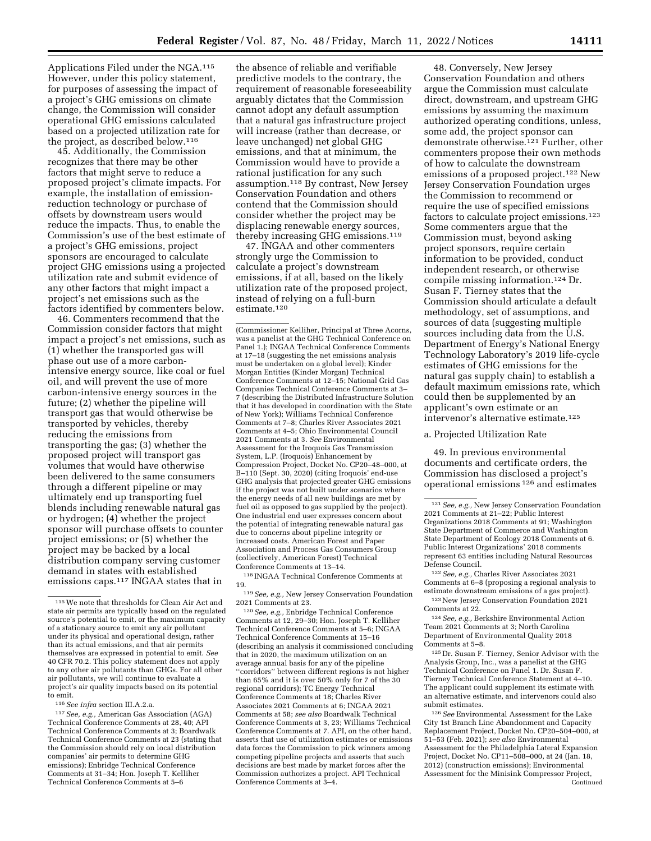Applications Filed under the NGA.115 However, under this policy statement, for purposes of assessing the impact of a project's GHG emissions on climate change, the Commission will consider operational GHG emissions calculated based on a projected utilization rate for the project, as described below.116

45. Additionally, the Commission recognizes that there may be other factors that might serve to reduce a proposed project's climate impacts. For example, the installation of emissionreduction technology or purchase of offsets by downstream users would reduce the impacts. Thus, to enable the Commission's use of the best estimate of a project's GHG emissions, project sponsors are encouraged to calculate project GHG emissions using a projected utilization rate and submit evidence of any other factors that might impact a project's net emissions such as the factors identified by commenters below.

46. Commenters recommend that the Commission consider factors that might impact a project's net emissions, such as (1) whether the transported gas will phase out use of a more carbonintensive energy source, like coal or fuel oil, and will prevent the use of more carbon-intensive energy sources in the future; (2) whether the pipeline will transport gas that would otherwise be transported by vehicles, thereby reducing the emissions from transporting the gas; (3) whether the proposed project will transport gas volumes that would have otherwise been delivered to the same consumers through a different pipeline or may ultimately end up transporting fuel blends including renewable natural gas or hydrogen; (4) whether the project sponsor will purchase offsets to counter project emissions; or (5) whether the project may be backed by a local distribution company serving customer demand in states with established emissions caps.117 INGAA states that in

116*See infra* section III.A.2.a.

117*See, e.g.,* American Gas Association (AGA) Technical Conference Comments at 28, 40; API Technical Conference Comments at 3; Boardwalk Technical Conference Comments at 23 (stating that the Commission should rely on local distribution companies' air permits to determine GHG emissions); Enbridge Technical Conference Comments at 31–34; Hon. Joseph T. Kelliher Technical Conference Comments at 5–6

the absence of reliable and verifiable predictive models to the contrary, the requirement of reasonable foreseeability arguably dictates that the Commission cannot adopt any default assumption that a natural gas infrastructure project will increase (rather than decrease, or leave unchanged) net global GHG emissions, and that at minimum, the Commission would have to provide a rational justification for any such assumption.118 By contrast, New Jersey Conservation Foundation and others contend that the Commission should consider whether the project may be displacing renewable energy sources, thereby increasing GHG emissions.119

47. INGAA and other commenters strongly urge the Commission to calculate a project's downstream emissions, if at all, based on the likely utilization rate of the proposed project, instead of relying on a full-burn estimate.120

(Commissioner Kelliher, Principal at Three Acorns, was a panelist at the GHG Technical Conference on Panel 1.); INGAA Technical Conference Comments at 17–18 (suggesting the net emissions analysis must be undertaken on a global level); Kinder Morgan Entities (Kinder Morgan) Technical Conference Comments at 12–15; National Grid Gas Companies Technical Conference Comments at 3– 7 (describing the Distributed Infrastructure Solution that it has developed in coordination with the State of New York); Williams Technical Conference Comments at 7–8; Charles River Associates 2021 Comments at 4–5; Ohio Environmental Council 2021 Comments at 3. *See* Environmental Assessment for the Iroquois Gas Transmission System, L.P. (Iroquois) Enhancement by Compression Project, Docket No. CP20–48–000, at B–110 (Sept. 30, 2020) (citing Iroquois' end-use GHG analysis that projected greater GHG emissions if the project was not built under scenarios where the energy needs of all new buildings are met by fuel oil as opposed to gas supplied by the project). One industrial end user expresses concern about the potential of integrating renewable natural gas due to concerns about pipeline integrity or increased costs. American Forest and Paper Association and Process Gas Consumers Group (collectively, American Forest) Technical Conference Comments at 13–14.

118 INGAA Technical Conference Comments at 19.

119*See, e.g.,* New Jersey Conservation Foundation 2021 Comments at 23.

120*See, e.g.,* Enbridge Technical Conference Comments at 12, 29–30; Hon. Joseph T. Kelliher Technical Conference Comments at 5–6; INGAA Technical Conference Comments at 15–16 (describing an analysis it commissioned concluding that in 2020, the maximum utilization on an average annual basis for any of the pipeline ''corridors'' between different regions is not higher than 65% and it is over 50% only for 7 of the 30 regional corridors); TC Energy Technical Conference Comments at 18; Charles River Associates 2021 Comments at 6; INGAA 2021 Comments at 58; *see also* Boardwalk Technical Conference Comments at 3, 23; Williams Technical Conference Comments at 7. API, on the other hand, asserts that use of utilization estimates or emissions data forces the Commission to pick winners among competing pipeline projects and asserts that such decisions are best made by market forces after the Commission authorizes a project. API Technical Conference Comments at 3–4.

48. Conversely, New Jersey Conservation Foundation and others argue the Commission must calculate direct, downstream, and upstream GHG emissions by assuming the maximum authorized operating conditions, unless, some add, the project sponsor can demonstrate otherwise.121 Further, other commenters propose their own methods of how to calculate the downstream emissions of a proposed project.122 New Jersey Conservation Foundation urges the Commission to recommend or require the use of specified emissions factors to calculate project emissions.123 Some commenters argue that the Commission must, beyond asking project sponsors, require certain information to be provided, conduct independent research, or otherwise compile missing information.124 Dr. Susan F. Tierney states that the Commission should articulate a default methodology, set of assumptions, and sources of data (suggesting multiple sources including data from the U.S. Department of Energy's National Energy Technology Laboratory's 2019 life-cycle estimates of GHG emissions for the natural gas supply chain) to establish a default maximum emissions rate, which could then be supplemented by an applicant's own estimate or an intervenor's alternative estimate.125

## a. Projected Utilization Rate

49. In previous environmental documents and certificate orders, the Commission has disclosed a project's operational emissions 126 and estimates

123New Jersey Conservation Foundation 2021 Comments at 22.

124*See, e.g.,* Berkshire Environmental Action Team 2021 Comments at 3; North Carolina Department of Environmental Quality 2018 Comments at 5–8.

125 Dr. Susan F. Tierney, Senior Advisor with the Analysis Group, Inc., was a panelist at the GHG Technical Conference on Panel 1. Dr. Susan F. Tierney Technical Conference Statement at 4–10. The applicant could supplement its estimate with an alternative estimate, and intervenors could also submit estimates.

126*See* Environmental Assessment for the Lake City 1st Branch Line Abandonment and Capacity Replacement Project, Docket No. CP20–504–000, at 51–53 (Feb. 2021); *see also* Environmental Assessment for the Philadelphia Lateral Expansion Project, Docket No. CP11–508–000, at 24 (Jan. 18, 2012) (construction emissions); Environmental Assessment for the Minisink Compressor Project, Continued

<sup>115</sup>We note that thresholds for Clean Air Act and state air permits are typically based on the regulated source's potential to emit, or the maximum capacity of a stationary source to emit any air pollutant under its physical and operational design, rather than its actual emissions, and that air permits themselves are expressed in potential to emit. *See*  40 CFR 70.2. This policy statement does not apply to any other air pollutants than GHGs. For all other air pollutants, we will continue to evaluate a project's air quality impacts based on its potential to emit.

<sup>121</sup>*See, e.g.,* New Jersey Conservation Foundation 2021 Comments at 21–22; Public Interest Organizations 2018 Comments at 91; Washington State Department of Commerce and Washington State Department of Ecology 2018 Comments at 6. Public Interest Organizations' 2018 comments represent 63 entities including Natural Resources Defense Council.

<sup>122</sup>*See, e.g.,* Charles River Associates 2021 Comments at 6–8 (proposing a regional analysis to estimate downstream emissions of a gas project).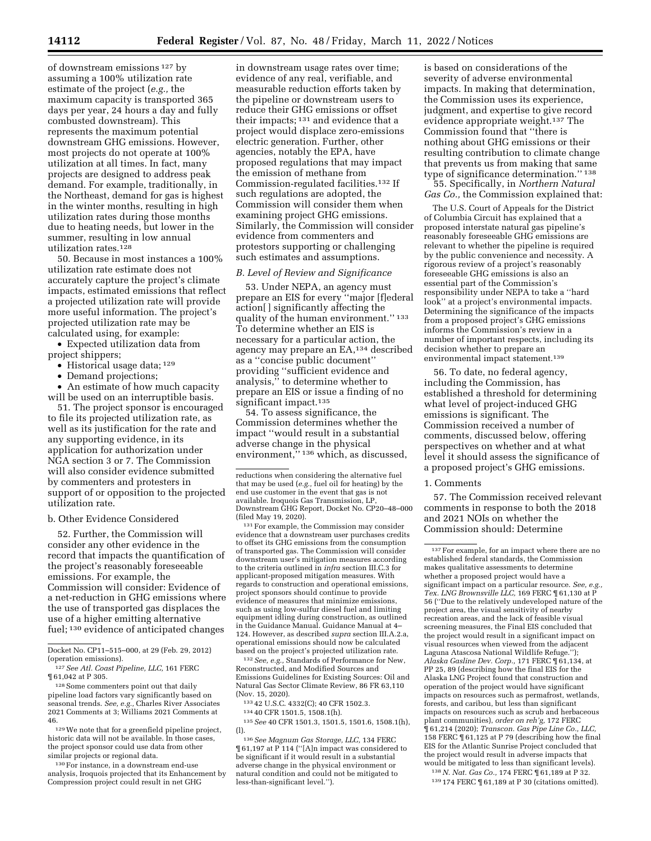of downstream emissions 127 by assuming a 100% utilization rate estimate of the project (*e.g.,* the maximum capacity is transported 365 days per year, 24 hours a day and fully combusted downstream). This represents the maximum potential downstream GHG emissions. However, most projects do not operate at 100% utilization at all times. In fact, many projects are designed to address peak demand. For example, traditionally, in the Northeast, demand for gas is highest in the winter months, resulting in high utilization rates during those months due to heating needs, but lower in the summer, resulting in low annual utilization rates.128

50. Because in most instances a 100% utilization rate estimate does not accurately capture the project's climate impacts, estimated emissions that reflect a projected utilization rate will provide more useful information. The project's projected utilization rate may be calculated using, for example:

• Expected utilization data from project shippers;

- Historical usage data; 129
- Demand projections;

• An estimate of how much capacity will be used on an interruptible basis.

51. The project sponsor is encouraged to file its projected utilization rate, as well as its justification for the rate and any supporting evidence, in its application for authorization under NGA section 3 or 7. The Commission will also consider evidence submitted by commenters and protesters in support of or opposition to the projected utilization rate.

b. Other Evidence Considered

52. Further, the Commission will consider any other evidence in the record that impacts the quantification of the project's reasonably foreseeable emissions. For example, the Commission will consider: Evidence of a net-reduction in GHG emissions where the use of transported gas displaces the use of a higher emitting alternative fuel; 130 evidence of anticipated changes

Docket No. CP11–515–000, at 29 (Feb. 29, 2012) (operation emissions).

128Some commenters point out that daily pipeline load factors vary significantly based on seasonal trends. *See, e.g.,* Charles River Associates 2021 Comments at 3; Williams 2021 Comments at 46.

129We note that for a greenfield pipeline project, historic data will not be available. In those cases, the project sponsor could use data from other similar projects or regional data.

130For instance, in a downstream end-use analysis, Iroquois projected that its Enhancement by Compression project could result in net GHG

in downstream usage rates over time; evidence of any real, verifiable, and measurable reduction efforts taken by the pipeline or downstream users to reduce their GHG emissions or offset their impacts; 131 and evidence that a project would displace zero-emissions electric generation. Further, other agencies, notably the EPA, have proposed regulations that may impact the emission of methane from Commission-regulated facilities.132 If such regulations are adopted, the Commission will consider them when examining project GHG emissions. Similarly, the Commission will consider evidence from commenters and protestors supporting or challenging such estimates and assumptions.

#### *B. Level of Review and Significance*

53. Under NEPA, an agency must prepare an EIS for every ''major [f]ederal action[ ] significantly affecting the quality of the human environment.'' 133 To determine whether an EIS is necessary for a particular action, the agency may prepare an EA,134 described as a ''concise public document'' providing ''sufficient evidence and analysis,'' to determine whether to prepare an EIS or issue a finding of no significant impact.<sup>135</sup>

54. To assess significance, the Commission determines whether the impact ''would result in a substantial adverse change in the physical environment,"<sup>136</sup> which, as discussed,

<sup>131</sup> For example, the Commission may consider evidence that a downstream user purchases credits to offset its GHG emissions from the consumption of transported gas. The Commission will consider downstream user's mitigation measures according to the criteria outlined in *infra* section III.C.3 for applicant-proposed mitigation measures. With regards to construction and operational emissions, project sponsors should continue to provide evidence of measures that minimize emissions, such as using low-sulfur diesel fuel and limiting equipment idling during construction, as outlined in the Guidance Manual. Guidance Manual at 4– 124. However, as described *supra* section III.A.2.a, operational emissions should now be calculated based on the project's projected utilization rate.

132*See, e.g.,* Standards of Performance for New, Reconstructed, and Modified Sources and Emissions Guidelines for Existing Sources: Oil and Natural Gas Sector Climate Review, 86 FR 63,110 (Nov. 15, 2020).

133 42 U.S.C. 4332(C); 40 CFR 1502.3.

134 40 CFR 1501.5, 1508.1(h).

135*See* 40 CFR 1501.3, 1501.5, 1501.6, 1508.1(h), (l).

136*See Magnum Gas Storage, LLC,* 134 FERC ¶ 61,197 at P 114 (''[A]n impact was considered to be significant if it would result in a substantial adverse change in the physical environment or natural condition and could not be mitigated to less-than-significant level.'').

is based on considerations of the severity of adverse environmental impacts. In making that determination, the Commission uses its experience, judgment, and expertise to give record evidence appropriate weight.137 The Commission found that ''there is nothing about GHG emissions or their resulting contribution to climate change that prevents us from making that same type of significance determination.'' 138

55. Specifically, in *Northern Natural Gas Co.,* the Commission explained that:

The U.S. Court of Appeals for the District of Columbia Circuit has explained that a proposed interstate natural gas pipeline's reasonably foreseeable GHG emissions are relevant to whether the pipeline is required by the public convenience and necessity. A rigorous review of a project's reasonably foreseeable GHG emissions is also an essential part of the Commission's responsibility under NEPA to take a ''hard look'' at a project's environmental impacts. Determining the significance of the impacts from a proposed project's GHG emissions informs the Commission's review in a number of important respects, including its decision whether to prepare an environmental impact statement.139

56. To date, no federal agency, including the Commission, has established a threshold for determining what level of project-induced GHG emissions is significant. The Commission received a number of comments, discussed below, offering perspectives on whether and at what level it should assess the significance of a proposed project's GHG emissions.

#### 1. Comments

57. The Commission received relevant comments in response to both the 2018 and 2021 NOIs on whether the Commission should: Determine

138*N. Nat. Gas Co.,* 174 FERC ¶ 61,189 at P 32. 139 174 FERC ¶ 61,189 at P 30 (citations omitted).

<sup>127</sup>*See Atl. Coast Pipeline, LLC,* 161 FERC ¶ 61,042 at P 305.

reductions when considering the alternative fuel that may be used (*e.g.,* fuel oil for heating) by the end use customer in the event that gas is not available. Iroquois Gas Transmission, LP, Downstream GHG Report, Docket No. CP20–48–000

<sup>137</sup>For example, for an impact where there are no established federal standards, the Commission makes qualitative assessments to determine whether a proposed project would have a significant impact on a particular resource. *See, e.g., Tex. LNG Brownsville LLC,* 169 FERC ¶ 61,130 at P 56 (''Due to the relatively undeveloped nature of the project area, the visual sensitivity of nearby recreation areas, and the lack of feasible visual screening measures, the Final EIS concluded that the project would result in a significant impact on visual resources when viewed from the adjacent Laguna Atascosa National Wildlife Refuge.''); *Alaska Gasline Dev. Corp.,* 171 FERC ¶ 61,134, at PP 25, 89 (describing how the final EIS for the Alaska LNG Project found that construction and operation of the project would have significant impacts on resources such as permafrost, wetlands, forests, and caribou, but less than significant impacts on resources such as scrub and herbaceous plant communities), *order on reh'g,* 172 FERC ¶ 61,214 (2020); *Transcon. Gas Pipe Line Co., LLC,*  158 FERC ¶ 61,125 at P 79 (describing how the final EIS for the Atlantic Sunrise Project concluded that the project would result in adverse impacts that would be mitigated to less than significant levels).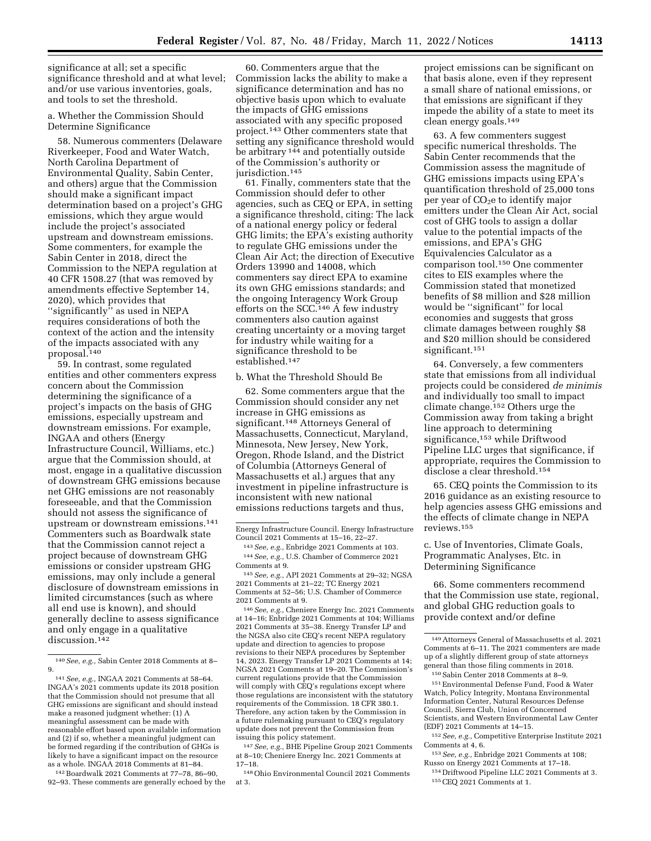significance at all; set a specific significance threshold and at what level; and/or use various inventories, goals, and tools to set the threshold.

a. Whether the Commission Should Determine Significance

58. Numerous commenters (Delaware Riverkeeper, Food and Water Watch, North Carolina Department of Environmental Quality, Sabin Center, and others) argue that the Commission should make a significant impact determination based on a project's GHG emissions, which they argue would include the project's associated upstream and downstream emissions. Some commenters, for example the Sabin Center in 2018, direct the Commission to the NEPA regulation at 40 CFR 1508.27 (that was removed by amendments effective September 14, 2020), which provides that "significantly" as used in NEPA requires considerations of both the context of the action and the intensity of the impacts associated with any proposal.140

59. In contrast, some regulated entities and other commenters express concern about the Commission determining the significance of a project's impacts on the basis of GHG emissions, especially upstream and downstream emissions. For example, INGAA and others (Energy Infrastructure Council, Williams, etc.) argue that the Commission should, at most, engage in a qualitative discussion of downstream GHG emissions because net GHG emissions are not reasonably foreseeable, and that the Commission should not assess the significance of upstream or downstream emissions.141 Commenters such as Boardwalk state that the Commission cannot reject a project because of downstream GHG emissions or consider upstream GHG emissions, may only include a general disclosure of downstream emissions in limited circumstances (such as where all end use is known), and should generally decline to assess significance and only engage in a qualitative discussion.<sup>142</sup>

142Boardwalk 2021 Comments at 77–78, 86–90, 92–93. These comments are generally echoed by the

60. Commenters argue that the Commission lacks the ability to make a significance determination and has no objective basis upon which to evaluate the impacts of GHG emissions associated with any specific proposed project.143 Other commenters state that setting any significance threshold would be arbitrary <sup>144</sup> and potentially outside of the Commission's authority or jurisdiction.<sup>145</sup>

61. Finally, commenters state that the Commission should defer to other agencies, such as CEQ or EPA, in setting a significance threshold, citing: The lack of a national energy policy or federal GHG limits; the EPA's existing authority to regulate GHG emissions under the Clean Air Act; the direction of Executive Orders 13990 and 14008, which commenters say direct EPA to examine its own GHG emissions standards; and the ongoing Interagency Work Group efforts on the SCC.<sup>146</sup> A few industry commenters also caution against creating uncertainty or a moving target for industry while waiting for a significance threshold to be established.147

b. What the Threshold Should Be

62. Some commenters argue that the Commission should consider any net increase in GHG emissions as significant.148 Attorneys General of Massachusetts, Connecticut, Maryland, Minnesota, New Jersey, New York, Oregon, Rhode Island, and the District of Columbia (Attorneys General of Massachusetts et al.) argues that any investment in pipeline infrastructure is inconsistent with new national emissions reductions targets and thus,

144*See, e.g.,* U.S. Chamber of Commerce 2021 Comments at 9.

145*See, e.g.,* API 2021 Comments at 29–32; NGSA 2021 Comments at 21–22; TC Energy 2021 Comments at 52–56; U.S. Chamber of Commerce 2021 Comments at 9.

146*See, e.g.,* Cheniere Energy Inc. 2021 Comments at 14–16; Enbridge 2021 Comments at 104; Williams 2021 Comments at 35–38. Energy Transfer LP and the NGSA also cite CEQ's recent NEPA regulatory update and direction to agencies to propose revisions to their NEPA procedures by September 14, 2023. Energy Transfer LP 2021 Comments at 14; NGSA 2021 Comments at 19–20. The Commission's current regulations provide that the Commission will comply with CEQ's regulations except where those regulations are inconsistent with the statutory requirements of the Commission. 18 CFR 380.1. Therefore, any action taken by the Commission in a future rulemaking pursuant to CEQ's regulatory update does not prevent the Commission from issuing this policy statement.

147*See, e.g.,* BHE Pipeline Group 2021 Comments at 8–10; Cheniere Energy Inc. 2021 Comments at 17–18.

148Ohio Environmental Council 2021 Comments at 3.

project emissions can be significant on that basis alone, even if they represent a small share of national emissions, or that emissions are significant if they impede the ability of a state to meet its clean energy goals.149

63. A few commenters suggest specific numerical thresholds. The Sabin Center recommends that the Commission assess the magnitude of GHG emissions impacts using EPA's quantification threshold of 25,000 tons per year of  $CO<sub>2</sub>e$  to identify major emitters under the Clean Air Act, social cost of GHG tools to assign a dollar value to the potential impacts of the emissions, and EPA's GHG Equivalencies Calculator as a comparison tool.150 One commenter cites to EIS examples where the Commission stated that monetized benefits of \$8 million and \$28 million would be ''significant'' for local economies and suggests that gross climate damages between roughly \$8 and \$20 million should be considered significant.151

64. Conversely, a few commenters state that emissions from all individual projects could be considered *de minimis*  and individually too small to impact climate change.152 Others urge the Commission away from taking a bright line approach to determining significance,<sup>153</sup> while Driftwood Pipeline LLC urges that significance, if appropriate, requires the Commission to disclose a clear threshold.154

65. CEQ points the Commission to its 2016 guidance as an existing resource to help agencies assess GHG emissions and the effects of climate change in NEPA reviews.155

c. Use of Inventories, Climate Goals, Programmatic Analyses, Etc. in Determining Significance

66. Some commenters recommend that the Commission use state, regional, and global GHG reduction goals to provide context and/or define

149Attorneys General of Massachusetts et al. 2021 Comments at 6–11. The 2021 commenters are made up of a slightly different group of state attorneys general than those filing comments in 2018. 150Sabin Center 2018 Comments at 8–9.

151Environmental Defense Fund, Food & Water Watch, Policy Integrity, Montana Environmental Information Center, Natural Resources Defense Council, Sierra Club, Union of Concerned Scientists, and Western Environmental Law Center (EDF) 2021 Comments at 14–15.

152*See, e.g.,* Competitive Enterprise Institute 2021 Comments at 4, 6.

153*See, e.g.,* Enbridge 2021 Comments at 108; Russo on Energy 2021 Comments at 17–18.

154 Driftwood Pipeline LLC 2021 Comments at 3. 155CEQ 2021 Comments at 1.

<sup>140</sup>*See, e.g.,* Sabin Center 2018 Comments at 8– 9.

<sup>141</sup>*See, e.g.,* INGAA 2021 Comments at 58–64. INGAA's 2021 comments update its 2018 position that the Commission should not presume that all GHG emissions are significant and should instead make a reasoned judgment whether: (1) A meaningful assessment can be made with reasonable effort based upon available information and (2) if so, whether a meaningful judgment can be formed regarding if the contribution of GHGs is likely to have a significant impact on the resource as a whole. INGAA 2018 Comments at 81–84.

Energy Infrastructure Council. Energy Infrastructure Council 2021 Comments at 15–16, 22–27.

<sup>143</sup>*See, e.g.,* Enbridge 2021 Comments at 103.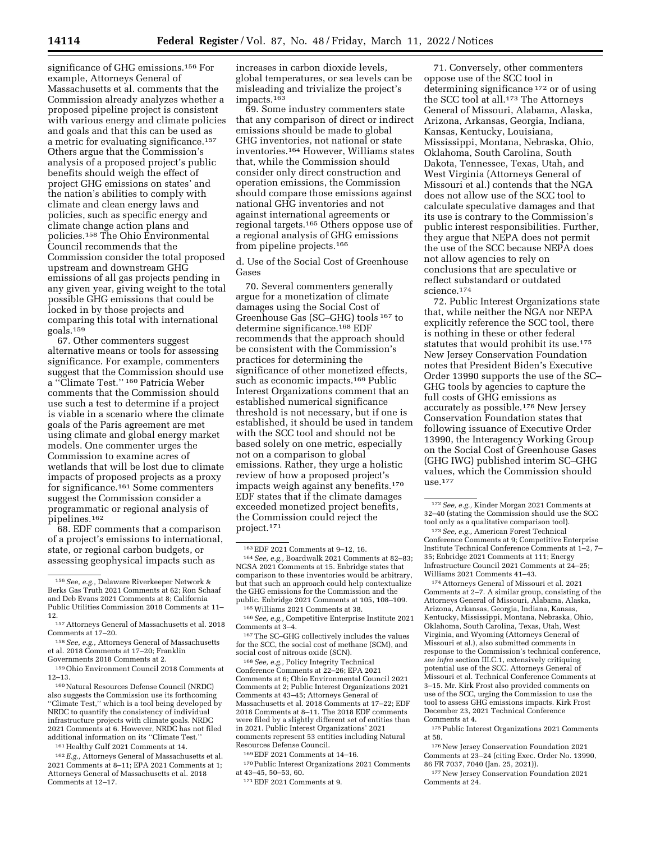significance of GHG emissions.156 For example, Attorneys General of Massachusetts et al. comments that the Commission already analyzes whether a proposed pipeline project is consistent with various energy and climate policies and goals and that this can be used as a metric for evaluating significance.157 Others argue that the Commission's analysis of a proposed project's public benefits should weigh the effect of project GHG emissions on states' and the nation's abilities to comply with climate and clean energy laws and policies, such as specific energy and climate change action plans and policies.158 The Ohio Environmental Council recommends that the Commission consider the total proposed upstream and downstream GHG emissions of all gas projects pending in any given year, giving weight to the total possible GHG emissions that could be locked in by those projects and comparing this total with international goals.159

67. Other commenters suggest alternative means or tools for assessing significance. For example, commenters suggest that the Commission should use a ''Climate Test.'' 160 Patricia Weber comments that the Commission should use such a test to determine if a project is viable in a scenario where the climate goals of the Paris agreement are met using climate and global energy market models. One commenter urges the Commission to examine acres of wetlands that will be lost due to climate impacts of proposed projects as a proxy for significance.161 Some commenters suggest the Commission consider a programmatic or regional analysis of pipelines.162

68. EDF comments that a comparison of a project's emissions to international, state, or regional carbon budgets, or assessing geophysical impacts such as

160Natural Resources Defense Council (NRDC) also suggests the Commission use its forthcoming ''Climate Test,'' which is a tool being developed by NRDC to quantify the consistency of individual infrastructure projects with climate goals. NRDC 2021 Comments at 6. However, NRDC has not filed additional information on its ''Climate Test.''

161Healthy Gulf 2021 Comments at 14.

162*E.g.,* Attorneys General of Massachusetts et al. 2021 Comments at 8–11; EPA 2021 Comments at 1; Attorneys General of Massachusetts et al. 2018 Comments at 12–17.

increases in carbon dioxide levels, global temperatures, or sea levels can be misleading and trivialize the project's impacts.163

69. Some industry commenters state that any comparison of direct or indirect emissions should be made to global GHG inventories, not national or state inventories.164 However, Williams states that, while the Commission should consider only direct construction and operation emissions, the Commission should compare those emissions against national GHG inventories and not against international agreements or regional targets.165 Others oppose use of a regional analysis of GHG emissions from pipeline projects.166

d. Use of the Social Cost of Greenhouse Gases

70. Several commenters generally argue for a monetization of climate damages using the Social Cost of Greenhouse Gas (SC–GHG) tools 167 to determine significance.168 EDF recommends that the approach should be consistent with the Commission's practices for determining the significance of other monetized effects, such as economic impacts.<sup>169</sup> Public Interest Organizations comment that an established numerical significance threshold is not necessary, but if one is established, it should be used in tandem with the SCC tool and should not be based solely on one metric, especially not on a comparison to global emissions. Rather, they urge a holistic review of how a proposed project's impacts weigh against any benefits.170 EDF states that if the climate damages exceeded monetized project benefits, the Commission could reject the project.171

social cost of nitrous oxide (SCN). 168*See, e.g.,* Policy Integrity Technical Conference Comments at 22–26; EPA 2021 Comments at 6; Ohio Environmental Council 2021 Comments at 2; Public Interest Organizations 2021 Comments at 43–45; Attorneys General of Massachusetts et al. 2018 Comments at 17–22; EDF 2018 Comments at 8–11. The 2018 EDF comments were filed by a slightly different set of entities than in 2021. Public Interest Organizations' 2021 comments represent 53 entities including Natural Resources Defense Council.

169EDF 2021 Comments at 14–16.

170Public Interest Organizations 2021 Comments at 43–45, 50–53, 60.

71. Conversely, other commenters oppose use of the SCC tool in determining significance 172 or of using the SCC tool at all.173 The Attorneys General of Missouri, Alabama, Alaska, Arizona, Arkansas, Georgia, Indiana, Kansas, Kentucky, Louisiana, Mississippi, Montana, Nebraska, Ohio, Oklahoma, South Carolina, South Dakota, Tennessee, Texas, Utah, and West Virginia (Attorneys General of Missouri et al.) contends that the NGA does not allow use of the SCC tool to calculate speculative damages and that its use is contrary to the Commission's public interest responsibilities. Further, they argue that NEPA does not permit the use of the SCC because NEPA does not allow agencies to rely on conclusions that are speculative or reflect substandard or outdated science.174

72. Public Interest Organizations state that, while neither the NGA nor NEPA explicitly reference the SCC tool, there is nothing in these or other federal statutes that would prohibit its use.175 New Jersey Conservation Foundation notes that President Biden's Executive Order 13990 supports the use of the SC– GHG tools by agencies to capture the full costs of GHG emissions as accurately as possible.176 New Jersey Conservation Foundation states that following issuance of Executive Order 13990, the Interagency Working Group on the Social Cost of Greenhouse Gases (GHG IWG) published interim SC–GHG values, which the Commission should use.177

174Attorneys General of Missouri et al. 2021 Comments at 2–7. A similar group, consisting of the Attorneys General of Missouri, Alabama, Alaska, Arizona, Arkansas, Georgia, Indiana, Kansas, Kentucky, Mississippi, Montana, Nebraska, Ohio, Oklahoma, South Carolina, Texas, Utah, West Virginia, and Wyoming (Attorneys General of Missouri et al.), also submitted comments in response to the Commission's technical conference, *see infra* section III.C.1, extensively critiquing potential use of the SCC. Attorneys General of Missouri et al. Technical Conference Comments at 3–15. Mr. Kirk Frost also provided comments on use of the SCC, urging the Commission to use the tool to assess GHG emissions impacts. Kirk Frost December 23, 2021 Technical Conference Comments at 4.

175Public Interest Organizations 2021 Comments at 58.

176New Jersey Conservation Foundation 2021 Comments at 23–24 (citing Exec. Order No. 13990, 86 FR 7037, 7040 (Jan. 25, 2021)).

177New Jersey Conservation Foundation 2021 Comments at 24.

<sup>156</sup>*See, e.g.,* Delaware Riverkeeper Network & Berks Gas Truth 2021 Comments at 62; Ron Schaaf and Deb Evans 2021 Comments at 8; California Public Utilities Commission 2018 Comments at 11– 12.

<sup>157</sup>Attorneys General of Massachusetts et al. 2018 Comments at 17–20.

<sup>158</sup>*See, e.g.,* Attorneys General of Massachusetts et al. 2018 Comments at 17–20; Franklin Governments 2018 Comments at 2.

<sup>159</sup>Ohio Environment Council 2018 Comments at 12–13.

<sup>163</sup>EDF 2021 Comments at 9–12, 16. 164*See, e.g.,* Boardwalk 2021 Comments at 82–83; NGSA 2021 Comments at 15. Enbridge states that comparison to these inventories would be arbitrary, but that such an approach could help contextualize the GHG emissions for the Commission and the public. Enbridge 2021 Comments at 105, 108–109.

<sup>&</sup>lt;sup>165</sup> Williams 2021 Comments at 38.<br><sup>166</sup> *See, e.g.,* Competitive Enterprise Institute 2021<br>Comments at 3–4.

 $^{167}\mathrm{The}\text{ SC--GHG}$  collectively includes the values for the SCC, the social cost of methane (SCM), and social cost of nitrous oxide (SCN).

<sup>171</sup>EDF 2021 Comments at 9.

<sup>172</sup>*See, e.g.,* Kinder Morgan 2021 Comments at 32–40 (stating the Commission should use the SCC tool only as a qualitative comparison tool).

<sup>173</sup>*See, e.g.,* American Forest Technical Conference Comments at 9; Competitive Enterprise Institute Technical Conference Comments at 1–2, 7– 35; Enbridge 2021 Comments at 111; Energy Infrastructure Council 2021 Comments at 24–25; Williams 2021 Comments 41–43.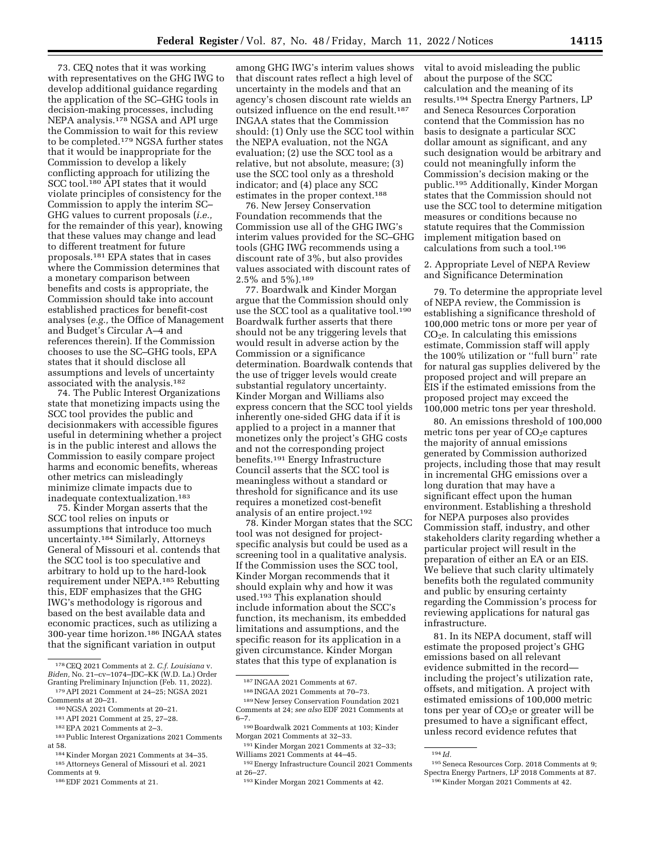73. CEQ notes that it was working with representatives on the GHG IWG to develop additional guidance regarding the application of the SC–GHG tools in decision-making processes, including NEPA analysis.178 NGSA and API urge the Commission to wait for this review to be completed.179 NGSA further states that it would be inappropriate for the Commission to develop a likely conflicting approach for utilizing the SCC tool.<sup>180</sup> API states that it would violate principles of consistency for the Commission to apply the interim SC– GHG values to current proposals (*i.e.,*  for the remainder of this year), knowing that these values may change and lead to different treatment for future proposals.181 EPA states that in cases where the Commission determines that a monetary comparison between benefits and costs is appropriate, the Commission should take into account established practices for benefit-cost analyses (*e.g.,* the Office of Management and Budget's Circular A–4 and references therein). If the Commission chooses to use the SC–GHG tools, EPA states that it should disclose all assumptions and levels of uncertainty associated with the analysis.182

74. The Public Interest Organizations state that monetizing impacts using the SCC tool provides the public and decisionmakers with accessible figures useful in determining whether a project is in the public interest and allows the Commission to easily compare project harms and economic benefits, whereas other metrics can misleadingly minimize climate impacts due to inadequate contextualization.183

75. Kinder Morgan asserts that the SCC tool relies on inputs or assumptions that introduce too much uncertainty.184 Similarly, Attorneys General of Missouri et al. contends that the SCC tool is too speculative and arbitrary to hold up to the hard-look requirement under NEPA.185 Rebutting this, EDF emphasizes that the GHG IWG's methodology is rigorous and based on the best available data and economic practices, such as utilizing a 300-year time horizon.186 INGAA states that the significant variation in output

- <sup>180</sup>NGSA 2021 Comments at 20–21.<br><sup>181</sup> API 2021 Comment at 25, 27–28.<br><sup>182</sup>EPA 2021 Comments at 2–3.<br><sup>183</sup>Public Interest Organizations 2021 Comments<br>at 58.
- <sup>184</sup> Kinder Morgan 2021 Comments at 34–35.<br><sup>185</sup> Attorneys General of Missouri et al. 2021<br>Comments at 9.

186 EDF 2021 Comments at 21.

among GHG IWG's interim values shows that discount rates reflect a high level of uncertainty in the models and that an agency's chosen discount rate wields an outsized influence on the end result.187 INGAA states that the Commission should: (1) Only use the SCC tool within the NEPA evaluation, not the NGA evaluation; (2) use the SCC tool as a relative, but not absolute, measure; (3) use the SCC tool only as a threshold indicator; and (4) place any SCC estimates in the proper context.188

76. New Jersey Conservation Foundation recommends that the Commission use all of the GHG IWG's interim values provided for the SC–GHG tools (GHG IWG recommends using a discount rate of 3%, but also provides values associated with discount rates of 2.5% and 5%).189

77. Boardwalk and Kinder Morgan argue that the Commission should only use the SCC tool as a qualitative tool.190 Boardwalk further asserts that there should not be any triggering levels that would result in adverse action by the Commission or a significance determination. Boardwalk contends that the use of trigger levels would create substantial regulatory uncertainty. Kinder Morgan and Williams also express concern that the SCC tool yields inherently one-sided GHG data if it is applied to a project in a manner that monetizes only the project's GHG costs and not the corresponding project benefits.191 Energy Infrastructure Council asserts that the SCC tool is meaningless without a standard or threshold for significance and its use requires a monetized cost-benefit analysis of an entire project.192

78. Kinder Morgan states that the SCC tool was not designed for projectspecific analysis but could be used as a screening tool in a qualitative analysis. If the Commission uses the SCC tool, Kinder Morgan recommends that it should explain why and how it was used.193 This explanation should include information about the SCC's function, its mechanism, its embedded limitations and assumptions, and the specific reason for its application in a given circumstance. Kinder Morgan states that this type of explanation is

191 Kinder Morgan 2021 Comments at 32–33; Williams 2021 Comments at 44–45.

vital to avoid misleading the public about the purpose of the SCC calculation and the meaning of its results.194 Spectra Energy Partners, LP and Seneca Resources Corporation contend that the Commission has no basis to designate a particular SCC dollar amount as significant, and any such designation would be arbitrary and could not meaningfully inform the Commission's decision making or the public.195 Additionally, Kinder Morgan states that the Commission should not use the SCC tool to determine mitigation measures or conditions because no statute requires that the Commission implement mitigation based on calculations from such a tool.196

2. Appropriate Level of NEPA Review and Significance Determination

79. To determine the appropriate level of NEPA review, the Commission is establishing a significance threshold of 100,000 metric tons or more per year of  $CO<sub>2</sub>e$ . In calculating this emissions estimate, Commission staff will apply the 100% utilization or ''full burn'' rate for natural gas supplies delivered by the proposed project and will prepare an EIS if the estimated emissions from the proposed project may exceed the 100,000 metric tons per year threshold.

80. An emissions threshold of 100,000 metric tons per year of  $CO<sub>2</sub>e$  captures the majority of annual emissions generated by Commission authorized projects, including those that may result in incremental GHG emissions over a long duration that may have a significant effect upon the human environment. Establishing a threshold for NEPA purposes also provides Commission staff, industry, and other stakeholders clarity regarding whether a particular project will result in the preparation of either an EA or an EIS. We believe that such clarity ultimately benefits both the regulated community and public by ensuring certainty regarding the Commission's process for reviewing applications for natural gas infrastructure.

81. In its NEPA document, staff will estimate the proposed project's GHG emissions based on all relevant evidence submitted in the record including the project's utilization rate, offsets, and mitigation. A project with estimated emissions of 100,000 metric tons per year of  $CO<sub>2</sub>e$  or greater will be presumed to have a significant effect, unless record evidence refutes that

<sup>178</sup>CEQ 2021 Comments at 2. *C.f. Louisiana* v. *Biden,* No. 21–cv–1074–JDC–KK (W.D. La.) Order

 $^{179}\,$  API 2021 Comment at 24–25; NGSA 2021 Comments at 20–21.

<sup>187</sup> INGAA 2021 Comments at 67.

<sup>188</sup> INGAA 2021 Comments at 70–73. 189New Jersey Conservation Foundation 2021 Comments at 24; *see also* EDF 2021 Comments at 6–7.

<sup>190</sup>Boardwalk 2021 Comments at 103; Kinder Morgan 2021 Comments at 32–33.

<sup>192</sup>Energy Infrastructure Council 2021 Comments at 26–27.

<sup>193</sup> Kinder Morgan 2021 Comments at 42.

<sup>194</sup> *Id.* 

<sup>195</sup>Seneca Resources Corp. 2018 Comments at 9; Spectra Energy Partners, LP 2018 Comments at 87. 196 Kinder Morgan 2021 Comments at 42.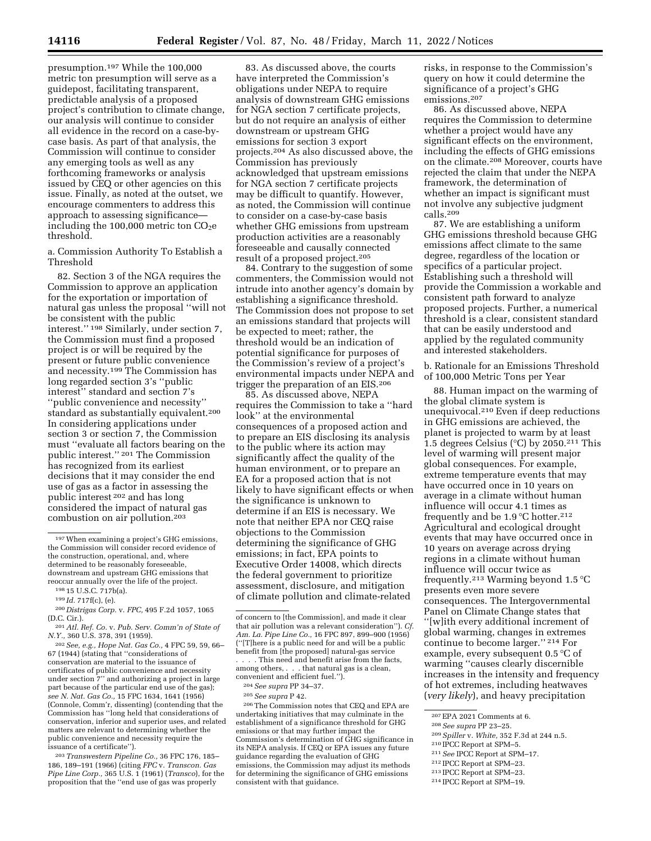presumption.197 While the 100,000 metric ton presumption will serve as a guidepost, facilitating transparent, predictable analysis of a proposed project's contribution to climate change, our analysis will continue to consider all evidence in the record on a case-bycase basis. As part of that analysis, the Commission will continue to consider any emerging tools as well as any forthcoming frameworks or analysis issued by CEQ or other agencies on this issue. Finally, as noted at the outset, we encourage commenters to address this approach to assessing significance including the  $100,000$  metric ton  $CO<sub>2</sub>e$ threshold.

a. Commission Authority To Establish a Threshold

82. Section 3 of the NGA requires the Commission to approve an application for the exportation or importation of natural gas unless the proposal ''will not be consistent with the public interest.'' 198 Similarly, under section 7, the Commission must find a proposed project is or will be required by the present or future public convenience and necessity.199 The Commission has long regarded section 3's ''public interest'' standard and section 7's ''public convenience and necessity'' standard as substantially equivalent.200 In considering applications under section 3 or section 7, the Commission must ''evaluate all factors bearing on the public interest.'' 201 The Commission has recognized from its earliest decisions that it may consider the end use of gas as a factor in assessing the public interest 202 and has long considered the impact of natural gas combustion on air pollution.203

202*See, e.g., Hope Nat. Gas Co.,* 4 FPC 59, 59, 66– 67 (1944) (stating that ''considerations of conservation are material to the issuance of certificates of public convenience and necessity under section 7'' and authorizing a project in large part because of the particular end use of the gas); *see N. Nat. Gas Co.,* 15 FPC 1634, 1641 (1956) (Connole, Comm'r, dissenting) (contending that the Commission has ''long held that considerations of conservation, inferior and superior uses, and related matters are relevant to determining whether the public convenience and necessity require the issuance of a certificate'').

203*Transwestern Pipeline Co.,* 36 FPC 176, 185– 186, 189–191 (1966) (citing *FPC* v. *Transcon. Gas Pipe Line Corp.,* 365 U.S. 1 (1961) (*Transco*), for the proposition that the ''end use of gas was properly

83. As discussed above, the courts have interpreted the Commission's obligations under NEPA to require analysis of downstream GHG emissions for NGA section 7 certificate projects, but do not require an analysis of either downstream or upstream GHG emissions for section 3 export projects.204 As also discussed above, the Commission has previously acknowledged that upstream emissions for NGA section 7 certificate projects may be difficult to quantify. However, as noted, the Commission will continue to consider on a case-by-case basis whether GHG emissions from upstream production activities are a reasonably foreseeable and causally connected result of a proposed project.205

84. Contrary to the suggestion of some commenters, the Commission would not intrude into another agency's domain by establishing a significance threshold. The Commission does not propose to set an emissions standard that projects will be expected to meet; rather, the threshold would be an indication of potential significance for purposes of the Commission's review of a project's environmental impacts under NEPA and trigger the preparation of an EIS.206

85. As discussed above, NEPA requires the Commission to take a ''hard look'' at the environmental consequences of a proposed action and to prepare an EIS disclosing its analysis to the public where its action may significantly affect the quality of the human environment, or to prepare an EA for a proposed action that is not likely to have significant effects or when the significance is unknown to determine if an EIS is necessary. We note that neither EPA nor CEQ raise objections to the Commission determining the significance of GHG emissions; in fact, EPA points to Executive Order 14008, which directs the federal government to prioritize assessment, disclosure, and mitigation of climate pollution and climate-related

206The Commission notes that CEQ and EPA are undertaking initiatives that may culminate in the establishment of a significance threshold for GHG emissions or that may further impact the Commission's determination of GHG significance in its NEPA analysis. If CEQ or EPA issues any future guidance regarding the evaluation of GHG emissions, the Commission may adjust its methods for determining the significance of GHG emissions consistent with that guidance.

risks, in response to the Commission's query on how it could determine the significance of a project's GHG emissions.207

86. As discussed above, NEPA requires the Commission to determine whether a project would have any significant effects on the environment, including the effects of GHG emissions on the climate.208 Moreover, courts have rejected the claim that under the NEPA framework, the determination of whether an impact is significant must not involve any subjective judgment calls.209

87. We are establishing a uniform GHG emissions threshold because GHG emissions affect climate to the same degree, regardless of the location or specifics of a particular project. Establishing such a threshold will provide the Commission a workable and consistent path forward to analyze proposed projects. Further, a numerical threshold is a clear, consistent standard that can be easily understood and applied by the regulated community and interested stakeholders.

b. Rationale for an Emissions Threshold of 100,000 Metric Tons per Year

88. Human impact on the warming of the global climate system is unequivocal.210 Even if deep reductions in GHG emissions are achieved, the planet is projected to warm by at least 1.5 degrees Celsius (°C) by 2050.211 This level of warming will present major global consequences. For example, extreme temperature events that may have occurred once in 10 years on average in a climate without human influence will occur 4.1 times as frequently and be  $1.9^{\circ}$ C hotter.<sup>212</sup> Agricultural and ecological drought events that may have occurred once in 10 years on average across drying regions in a climate without human influence will occur twice as frequently.<sup>213</sup> Warming beyond  $1.5^{\circ}$ C presents even more severe consequences. The Intergovernmental Panel on Climate Change states that ''[w]ith every additional increment of global warming, changes in extremes continue to become larger.'' 214 For example, every subsequent 0.5 °C of warming ''causes clearly discernible increases in the intensity and frequency of hot extremes, including heatwaves (*very likely*), and heavy precipitation

- 207 EPA 2021 Comments at 6.<br>
208 See supra PP 23–25.<br>
209 Spiller v. White, 352 F.3d at 244 n.5.<br>
210 IPCC Report at SPM–5.<br>
211 See IPCC Report at SPM–17.<br>
212 IPCC Report at SPM–23.<br>
213 IPCC Report at SPM–23.<br>
214 IPCC
- 
- 
- 

<sup>197</sup>When examining a project's GHG emissions, the Commission will consider record evidence of the construction, operational, and, where determined to be reasonably foreseeable, downstream and upstream GHG emissions that reoccur annually over the life of the project.

<sup>198</sup> 15 U.S.C. 717b(a).

<sup>199</sup> *Id.* 717f(c), (e).

<sup>200</sup> *Distrigas Corp.* v. *FPC,* 495 F.2d 1057, 1065 (D.C. Cir.).

<sup>201</sup>*Atl. Ref. Co.* v. *Pub. Serv. Comm'n of State of N.Y.,* 360 U.S. 378, 391 (1959).

of concern to [the Commission], and made it clear that air pollution was a relevant consideration''). *Cf. Am. La. Pipe Line Co.,* 16 FPC 897, 899–900 (1956) (''[T]here is a public need for and will be a public benefit from [the proposed] natural-gas service . . . . This need and benefit arise from the facts, among others, . . . that natural gas is a clean, convenient and efficient fuel.'').

<sup>204</sup>*See supra* PP 34–37.

<sup>205</sup>*See supra* P 42.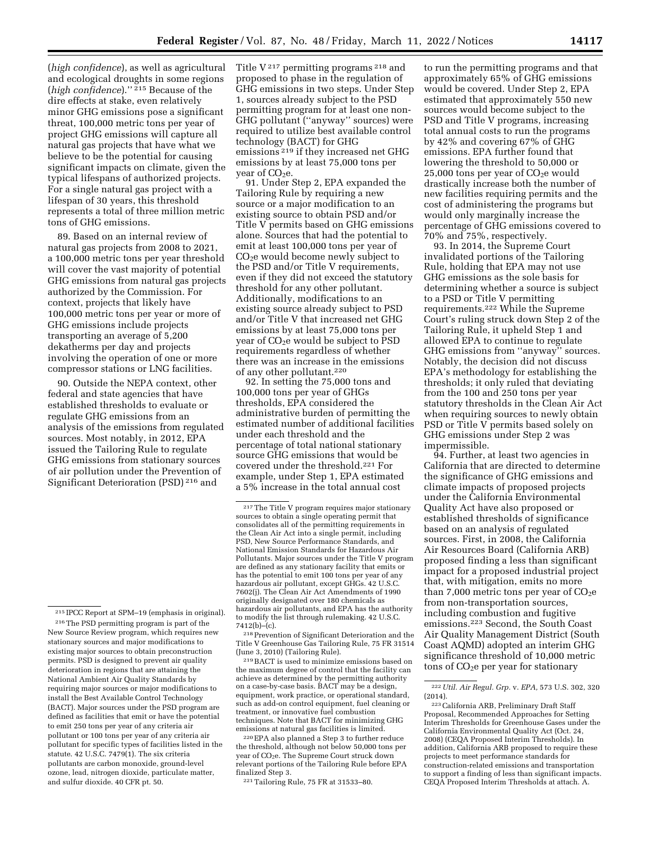(*high confidence*), as well as agricultural and ecological droughts in some regions (*high confidence*).'' 215 Because of the dire effects at stake, even relatively minor GHG emissions pose a significant threat, 100,000 metric tons per year of project GHG emissions will capture all natural gas projects that have what we believe to be the potential for causing significant impacts on climate, given the typical lifespans of authorized projects. For a single natural gas project with a lifespan of 30 years, this threshold represents a total of three million metric tons of GHG emissions.

89. Based on an internal review of natural gas projects from 2008 to 2021, a 100,000 metric tons per year threshold will cover the vast majority of potential GHG emissions from natural gas projects authorized by the Commission. For context, projects that likely have 100,000 metric tons per year or more of GHG emissions include projects transporting an average of 5,200 dekatherms per day and projects involving the operation of one or more compressor stations or LNG facilities.

90. Outside the NEPA context, other federal and state agencies that have established thresholds to evaluate or regulate GHG emissions from an analysis of the emissions from regulated sources. Most notably, in 2012, EPA issued the Tailoring Rule to regulate GHG emissions from stationary sources of air pollution under the Prevention of Significant Deterioration (PSD) 216 and

Title  $V^{217}$  permitting programs  $^{218}$  and proposed to phase in the regulation of GHG emissions in two steps. Under Step 1, sources already subject to the PSD permitting program for at least one non-GHG pollutant (''anyway'' sources) were required to utilize best available control technology (BACT) for GHG emissions 219 if they increased net GHG emissions by at least 75,000 tons per year of  $CO<sub>2</sub>e$ .

91. Under Step 2, EPA expanded the Tailoring Rule by requiring a new source or a major modification to an existing source to obtain PSD and/or Title V permits based on GHG emissions alone. Sources that had the potential to emit at least 100,000 tons per year of CO2e would become newly subject to the PSD and/or Title V requirements, even if they did not exceed the statutory threshold for any other pollutant. Additionally, modifications to an existing source already subject to PSD and/or Title V that increased net GHG emissions by at least 75,000 tons per year of  $CO<sub>2</sub>e$  would be subject to PSD requirements regardless of whether there was an increase in the emissions of any other pollutant.220

92. In setting the 75,000 tons and 100,000 tons per year of GHGs thresholds, EPA considered the administrative burden of permitting the estimated number of additional facilities under each threshold and the percentage of total national stationary source GHG emissions that would be covered under the threshold.221 For example, under Step 1, EPA estimated a 5% increase in the total annual cost

218Prevention of Significant Deterioration and the Title V Greenhouse Gas Tailoring Rule, 75 FR 31514 (June 3, 2010) (Tailoring Rule).

219BACT is used to minimize emissions based on the maximum degree of control that the facility can achieve as determined by the permitting authority on a case-by-case basis. BACT may be a design, equipment, work practice, or operational standard, such as add-on control equipment, fuel cleaning or treatment, or innovative fuel combustion techniques. Note that BACT for minimizing GHG emissions at natural gas facilities is limited.

220EPA also planned a Step 3 to further reduce the threshold, although not below 50,000 tons per year of CO<sub>2</sub>e. The Supreme Court struck down relevant portions of the Tailoring Rule before EPA finalized Step 3.

221Tailoring Rule, 75 FR at 31533–80.

to run the permitting programs and that approximately 65% of GHG emissions would be covered. Under Step 2, EPA estimated that approximately 550 new sources would become subject to the PSD and Title V programs, increasing total annual costs to run the programs by 42% and covering 67% of GHG emissions. EPA further found that lowering the threshold to 50,000 or  $25,000$  tons per year of  $CO<sub>2</sub>e$  would drastically increase both the number of new facilities requiring permits and the cost of administering the programs but would only marginally increase the percentage of GHG emissions covered to 70% and 75%, respectively.

93. In 2014, the Supreme Court invalidated portions of the Tailoring Rule, holding that EPA may not use GHG emissions as the sole basis for determining whether a source is subject to a PSD or Title V permitting requirements.222 While the Supreme Court's ruling struck down Step 2 of the Tailoring Rule, it upheld Step 1 and allowed EPA to continue to regulate GHG emissions from ''anyway'' sources. Notably, the decision did not discuss EPA's methodology for establishing the thresholds; it only ruled that deviating from the 100 and 250 tons per year statutory thresholds in the Clean Air Act when requiring sources to newly obtain PSD or Title V permits based solely on GHG emissions under Step 2 was impermissible.

94. Further, at least two agencies in California that are directed to determine the significance of GHG emissions and climate impacts of proposed projects under the California Environmental Quality Act have also proposed or established thresholds of significance based on an analysis of regulated sources. First, in 2008, the California Air Resources Board (California ARB) proposed finding a less than significant impact for a proposed industrial project that, with mitigation, emits no more than 7,000 metric tons per year of  $CO<sub>2</sub>e$ from non-transportation sources, including combustion and fugitive emissions.223 Second, the South Coast Air Quality Management District (South Coast AQMD) adopted an interim GHG significance threshold of 10,000 metric tons of  $CO<sub>2</sub>e$  per year for stationary

<sup>215</sup> IPCC Report at SPM–19 (emphasis in original). 216The PSD permitting program is part of the New Source Review program, which requires new stationary sources and major modifications to existing major sources to obtain preconstruction permits. PSD is designed to prevent air quality deterioration in regions that are attaining the National Ambient Air Quality Standards by requiring major sources or major modifications to install the Best Available Control Technology (BACT). Major sources under the PSD program are defined as facilities that emit or have the potential to emit 250 tons per year of any criteria air pollutant or 100 tons per year of any criteria air pollutant for specific types of facilities listed in the statute. 42 U.S.C. 7479(1). The six criteria pollutants are carbon monoxide, ground-level ozone, lead, nitrogen dioxide, particulate matter, and sulfur dioxide. 40 CFR pt. 50.

<sup>217</sup>The Title V program requires major stationary sources to obtain a single operating permit that consolidates all of the permitting requirements in the Clean Air Act into a single permit, including PSD, New Source Performance Standards, and National Emission Standards for Hazardous Air Pollutants. Major sources under the Title V program are defined as any stationary facility that emits or has the potential to emit 100 tons per year of any hazardous air pollutant, except GHGs. 42 U.S.C. 7602(j). The Clean Air Act Amendments of 1990 originally designated over 180 chemicals as hazardous air pollutants, and EPA has the authority to modify the list through rulemaking. 42 U.S.C.  $7412(b)$ – $(c)$ .

<sup>222</sup>*Util. Air Regul. Grp.* v. *EPA,* 573 U.S. 302, 320 (2014).

<sup>223</sup>California ARB, Preliminary Draft Staff Proposal, Recommended Approaches for Setting Interim Thresholds for Greenhouse Gases under the California Environmental Quality Act (Oct. 24, 2008) (CEQA Proposed Interim Thresholds). In addition, California ARB proposed to require these projects to meet performance standards for construction-related emissions and transportation to support a finding of less than significant impacts. CEQA Proposed Interim Thresholds at attach. A.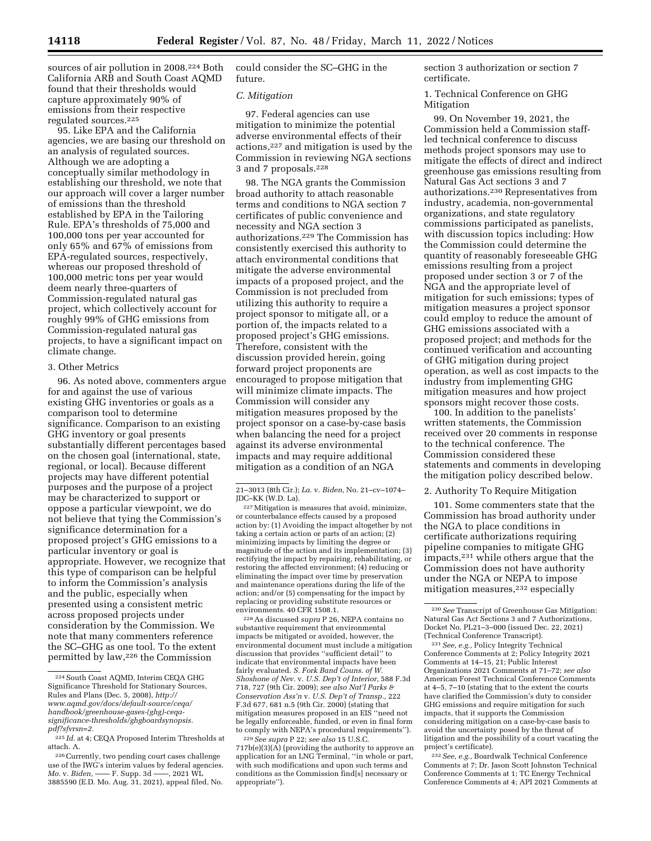sources of air pollution in 2008.<sup>224</sup> Both California ARB and South Coast AQMD found that their thresholds would capture approximately 90% of emissions from their respective regulated sources.225

95. Like EPA and the California agencies, we are basing our threshold on an analysis of regulated sources. Although we are adopting a conceptually similar methodology in establishing our threshold, we note that our approach will cover a larger number of emissions than the threshold established by EPA in the Tailoring Rule. EPA's thresholds of 75,000 and 100,000 tons per year accounted for only 65% and 67% of emissions from EPA-regulated sources, respectively, whereas our proposed threshold of 100,000 metric tons per year would deem nearly three-quarters of Commission-regulated natural gas project, which collectively account for roughly 99% of GHG emissions from Commission-regulated natural gas projects, to have a significant impact on climate change.

# 3. Other Metrics

96. As noted above, commenters argue for and against the use of various existing GHG inventories or goals as a comparison tool to determine significance. Comparison to an existing GHG inventory or goal presents substantially different percentages based on the chosen goal (international, state, regional, or local). Because different projects may have different potential purposes and the purpose of a project may be characterized to support or oppose a particular viewpoint, we do not believe that tying the Commission's significance determination for a proposed project's GHG emissions to a particular inventory or goal is appropriate. However, we recognize that this type of comparison can be helpful to inform the Commission's analysis and the public, especially when presented using a consistent metric across proposed projects under consideration by the Commission. We note that many commenters reference the SC–GHG as one tool. To the extent permitted by law,226 the Commission

could consider the SC–GHG in the future.

### *C. Mitigation*

97. Federal agencies can use mitigation to minimize the potential adverse environmental effects of their actions,227 and mitigation is used by the Commission in reviewing NGA sections 3 and 7 proposals.228

98. The NGA grants the Commission broad authority to attach reasonable terms and conditions to NGA section 7 certificates of public convenience and necessity and NGA section 3 authorizations.229 The Commission has consistently exercised this authority to attach environmental conditions that mitigate the adverse environmental impacts of a proposed project, and the Commission is not precluded from utilizing this authority to require a project sponsor to mitigate all, or a portion of, the impacts related to a proposed project's GHG emissions. Therefore, consistent with the discussion provided herein, going forward project proponents are encouraged to propose mitigation that will minimize climate impacts. The Commission will consider any mitigation measures proposed by the project sponsor on a case-by-case basis when balancing the need for a project against its adverse environmental impacts and may require additional mitigation as a condition of an NGA

227Mitigation is measures that avoid, minimize, or counterbalance effects caused by a proposed action by: (1) Avoiding the impact altogether by not taking a certain action or parts of an action; (2) minimizing impacts by limiting the degree or magnitude of the action and its implementation; (3) rectifying the impact by repairing, rehabilitating, or restoring the affected environment; (4) reducing or eliminating the impact over time by preservation and maintenance operations during the life of the action; and/or (5) compensating for the impact by replacing or providing substitute resources or environments. 40 CFR 1508.1.

228As discussed *supra* P 26, NEPA contains no substantive requirement that environmental impacts be mitigated or avoided, however, the environmental document must include a mitigation discussion that provides ''sufficient detail'' to indicate that environmental impacts have been fairly evaluated. *S. Fork Band Couns. of W. Shoshone of Nev.* v. *U.S. Dep't of Interior,* 588 F.3d 718, 727 (9th Cir. 2009); *see also Nat'l Parks & Conservation Ass'n* v. *U.S. Dep't of Transp.,* 222 F.3d 677, 681 n.5 (9th Cir. 2000) (stating that mitigation measures proposed in an EIS ''need not be legally enforceable, funded, or even in final form to comply with NEPA's procedural requirements'').

229*See supra* P 22; *see also* 15 U.S.C.  $717b(e)(3)(\overline{A})$  (providing the authority to approve an application for an LNG Terminal, ''in whole or part, with such modifications and upon such terms and conditions as the Commission find[s] necessary or appropriate'').

section 3 authorization or section 7 certificate.

1. Technical Conference on GHG Mitigation

99. On November 19, 2021, the Commission held a Commission staffled technical conference to discuss methods project sponsors may use to mitigate the effects of direct and indirect greenhouse gas emissions resulting from Natural Gas Act sections 3 and 7 authorizations.230 Representatives from industry, academia, non-governmental organizations, and state regulatory commissions participated as panelists, with discussion topics including: How the Commission could determine the quantity of reasonably foreseeable GHG emissions resulting from a project proposed under section 3 or 7 of the NGA and the appropriate level of mitigation for such emissions; types of mitigation measures a project sponsor could employ to reduce the amount of GHG emissions associated with a proposed project; and methods for the continued verification and accounting of GHG mitigation during project operation, as well as cost impacts to the industry from implementing GHG mitigation measures and how project sponsors might recover those costs.

100. In addition to the panelists' written statements, the Commission received over 20 comments in response to the technical conference. The Commission considered these statements and comments in developing the mitigation policy described below.

#### 2. Authority To Require Mitigation

101. Some commenters state that the Commission has broad authority under the NGA to place conditions in certificate authorizations requiring pipeline companies to mitigate GHG impacts,231 while others argue that the Commission does not have authority under the NGA or NEPA to impose mitigation measures,232 especially

231*See, e.g.,* Policy Integrity Technical Conference Comments at 2; Policy Integrity 2021 Comments at 14–15, 21; Public Interest Organizations 2021 Comments at 71–72; *see also*  American Forest Technical Conference Comments at 4–5, 7–10 (stating that to the extent the courts have clarified the Commission's duty to consider GHG emissions and require mitigation for such impacts, that it supports the Commission considering mitigation on a case-by-case basis to avoid the uncertainty posed by the threat of litigation and the possibility of a court vacating the project's certificate).

232*See, e.g.,* Boardwalk Technical Conference Comments at 7; Dr. Jason Scott Johnston Technical Conference Comments at 1; TC Energy Technical Conference Comments at 4; API 2021 Comments at

<sup>224</sup>South Coast AQMD, Interim CEQA GHG Significance Threshold for Stationary Sources, Rules and Plans (Dec. 5, 2008), *[http://](http://www.aqmd.gov/docs/default-source/ceqa/handbook/greenhouse-gases-(ghg)-ceqa-significance-thresholds/ghgboardsynopsis.pdf?sfvrsn=2) [www.aqmd.gov/docs/default-source/ceqa/](http://www.aqmd.gov/docs/default-source/ceqa/handbook/greenhouse-gases-(ghg)-ceqa-significance-thresholds/ghgboardsynopsis.pdf?sfvrsn=2)  [handbook/greenhouse-gases-\(ghg\)-ceqa](http://www.aqmd.gov/docs/default-source/ceqa/handbook/greenhouse-gases-(ghg)-ceqa-significance-thresholds/ghgboardsynopsis.pdf?sfvrsn=2)[significance-thresholds/ghgboardsynopsis.](http://www.aqmd.gov/docs/default-source/ceqa/handbook/greenhouse-gases-(ghg)-ceqa-significance-thresholds/ghgboardsynopsis.pdf?sfvrsn=2) [pdf?sfvrsn=2.](http://www.aqmd.gov/docs/default-source/ceqa/handbook/greenhouse-gases-(ghg)-ceqa-significance-thresholds/ghgboardsynopsis.pdf?sfvrsn=2)* 

 $\,{}^{225}Id.$  at 4; CEQA Proposed Interim Thresholds at attach. A.

<sup>226</sup>Currently, two pending court cases challenge use of the IWG's interim values by federal agencies.<br>Mo. v. Biden, ----- F. Supp. 3d -----, 2021 WL *Mo.* v. *Biden*, —— F. Supp. 3d — 3885590 (E.D. Mo. Aug. 31, 2021), appeal filed, No.

<sup>21–3013 (8</sup>th Cir.); *La.* v. *Biden,* No. 21–cv–1074– JDC–KK (W.D. La).

<sup>230</sup>*See* Transcript of Greenhouse Gas Mitigation: Natural Gas Act Sections 3 and 7 Authorizations, Docket No. PL21–3–000 (issued Dec. 22, 2021) (Technical Conference Transcript).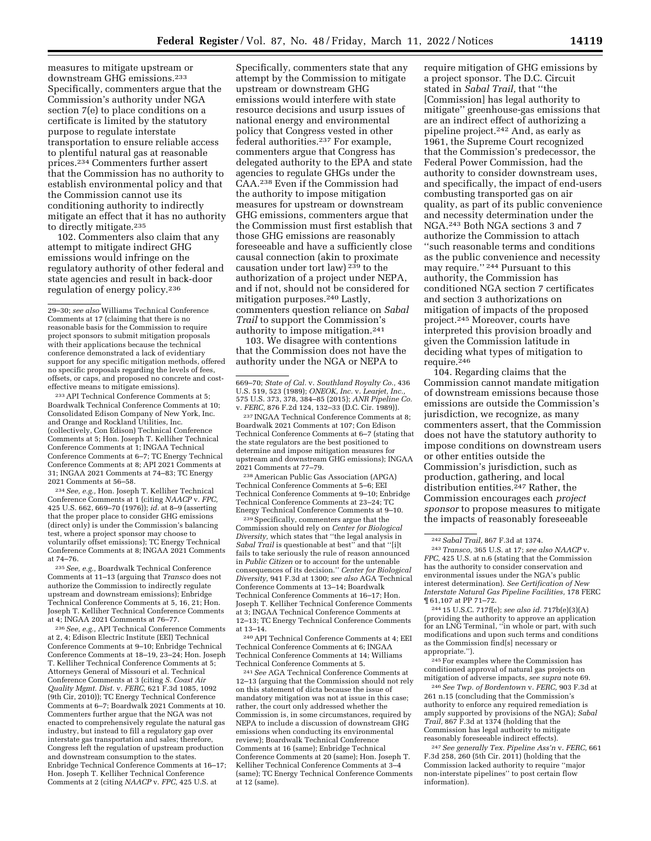measures to mitigate upstream or downstream GHG emissions.233 Specifically, commenters argue that the Commission's authority under NGA section 7(e) to place conditions on a certificate is limited by the statutory purpose to regulate interstate transportation to ensure reliable access to plentiful natural gas at reasonable prices.234 Commenters further assert that the Commission has no authority to establish environmental policy and that the Commission cannot use its conditioning authority to indirectly mitigate an effect that it has no authority to directly mitigate.<sup>235</sup>

102. Commenters also claim that any attempt to mitigate indirect GHG emissions would infringe on the regulatory authority of other federal and state agencies and result in back-door regulation of energy policy.236

233API Technical Conference Comments at 5; Boardwalk Technical Conference Comments at 10; Consolidated Edison Company of New York, Inc. and Orange and Rockland Utilities, Inc. (collectively, Con Edison) Technical Conference Comments at 5; Hon. Joseph T. Kelliher Technical Conference Comments at 1; INGAA Technical Conference Comments at 6–7; TC Energy Technical Conference Comments at 8; API 2021 Comments at 31; INGAA 2021 Comments at 74–83; TC Energy 2021 Comments at 56–58.

234*See, e.g.,* Hon. Joseph T. Kelliher Technical Conference Comments at 1 (citing *NAACP* v. *FPC,*  425 U.S. 662, 669–70 (1976)); *id.* at 8–9 (asserting that the proper place to consider GHG emissions (direct only) is under the Commission's balancing test, where a project sponsor may choose to voluntarily offset emissions); TC Energy Technical Conference Comments at 8; INGAA 2021 Comments at 74–76.

235*See, e.g.,* Boardwalk Technical Conference Comments at 11–13 (arguing that *Transco* does not authorize the Commission to indirectly regulate upstream and downstream emissions); Enbridge Technical Conference Comments at 5, 16, 21; Hon. Joseph T. Kelliher Technical Conference Comments at 4; INGAA 2021 Comments at 76–77.

236*See, e.g.,* API Technical Conference Comments at 2, 4; Edison Electric Institute (EEI) Technical Conference Comments at 9–10; Enbridge Technical Conference Comments at 18–19, 23–24; Hon. Joseph T. Kelliher Technical Conference Comments at 5; Attorneys General of Missouri et al. Technical Conference Comments at 3 (citing *S. Coast Air Quality Mgmt. Dist.* v. *FERC,* 621 F.3d 1085, 1092 (9th Cir, 2010)); TC Energy Technical Conference Comments at 6–7; Boardwalk 2021 Comments at 10. Commenters further argue that the NGA was not enacted to comprehensively regulate the natural gas industry, but instead to fill a regulatory gap over interstate gas transportation and sales; therefore, Congress left the regulation of upstream production and downstream consumption to the states. Enbridge Technical Conference Comments at 16–17; Hon. Joseph T. Kelliher Technical Conference Comments at 2 (citing *NAACP* v. *FPC,* 425 U.S. at

Specifically, commenters state that any attempt by the Commission to mitigate upstream or downstream GHG emissions would interfere with state resource decisions and usurp issues of national energy and environmental policy that Congress vested in other federal authorities.237 For example, commenters argue that Congress has delegated authority to the EPA and state agencies to regulate GHGs under the CAA.238 Even if the Commission had the authority to impose mitigation measures for upstream or downstream GHG emissions, commenters argue that the Commission must first establish that those GHG emissions are reasonably foreseeable and have a sufficiently close causal connection (akin to proximate causation under tort law) 239 to the authorization of a project under NEPA, and if not, should not be considered for mitigation purposes.240 Lastly, commenters question reliance on *Sabal Trail* to support the Commission's authority to impose mitigation.241

103. We disagree with contentions that the Commission does not have the authority under the NGA or NEPA to

237 INGAA Technical Conference Comments at 8; Boardwalk 2021 Comments at 107; Con Edison Technical Conference Comments at 6–7 (stating that the state regulators are the best positioned to determine and impose mitigation measures for upstream and downstream GHG emissions); INGAA 2021 Comments at 77–79.

238American Public Gas Association (APGA) Technical Conference Comments at 5–6; EEI Technical Conference Comments at 9–10; Enbridge Technical Conference Comments at 23–24; TC Energy Technical Conference Comments at 9–10.

239Specifically, commenters argue that the Commission should rely on *Center for Biological Diversity,* which states that ''the legal analysis in *Sabal Trail* is questionable at best'' and that ''[i]t fails to take seriously the rule of reason announced in *Public Citizen* or to account for the untenable consequences of its decision.'' *Center for Biological Diversity,* 941 F.3d at 1300; *see also* AGA Technical Conference Comments at 13–14; Boardwalk Technical Conference Comments at 16–17; Hon. Joseph T. Kelliher Technical Conference Comments at 3; INGAA Technical Conference Comments at 12–13; TC Energy Technical Conference Comments at 13–14.

240API Technical Conference Comments at 4; EEI Technical Conference Comments at 6; INGAA Technical Conference Comments at 14; Williams Technical Conference Comments at 5.

241*See* AGA Technical Conference Comments at 12–13 (arguing that the Commission should not rely on this statement of dicta because the issue of mandatory mitigation was not at issue in this case; rather, the court only addressed whether the Commission is, in some circumstances, required by NEPA to include a discussion of downstream GHG emissions when conducting its environmental review); Boardwalk Technical Conference Comments at 16 (same); Enbridge Technical Conference Comments at 20 (same); Hon. Joseph T. Kelliher Technical Conference Comments at 3–4 (same); TC Energy Technical Conference Comments at 12 (same).

require mitigation of GHG emissions by a project sponsor. The D.C. Circuit stated in *Sabal Trail,* that ''the [Commission] has legal authority to mitigate'' greenhouse-gas emissions that are an indirect effect of authorizing a pipeline project.242 And, as early as 1961, the Supreme Court recognized that the Commission's predecessor, the Federal Power Commission, had the authority to consider downstream uses, and specifically, the impact of end-users combusting transported gas on air quality, as part of its public convenience and necessity determination under the NGA.243 Both NGA sections 3 and 7 authorize the Commission to attach ''such reasonable terms and conditions as the public convenience and necessity may require.'' 244 Pursuant to this authority, the Commission has conditioned NGA section 7 certificates and section 3 authorizations on mitigation of impacts of the proposed project.245 Moreover, courts have interpreted this provision broadly and given the Commission latitude in deciding what types of mitigation to require.<sup>246</sup>

104. Regarding claims that the Commission cannot mandate mitigation of downstream emissions because those emissions are outside the Commission's jurisdiction, we recognize, as many commenters assert, that the Commission does not have the statutory authority to impose conditions on downstream users or other entities outside the Commission's jurisdiction, such as production, gathering, and local distribution entities.247 Rather, the Commission encourages each *project sponsor* to propose measures to mitigate the impacts of reasonably foreseeable

244 15 U.S.C. 717f(e); *see also id.* 717b(e)(3)(A) (providing the authority to approve an application for an LNG Terminal, ''in whole or part, with such modifications and upon such terms and conditions as the Commission find[s] necessary or appropriate.'').

245For examples where the Commission has conditioned approval of natural gas projects on mitigation of adverse impacts, *see supra* note 69.

246*See Twp. of Bordentown* v. *FERC,* 903 F.3d at 261 n.15 (concluding that the Commission's authority to enforce any required remediation is amply supported by provisions of the NGA); *Sabal Trail,* 867 F.3d at 1374 (holding that the Commission has legal authority to mitigate reasonably foreseeable indirect effects).

247*See generally Tex. Pipeline Ass'n* v. *FERC,* 661 F.3d 258, 260 (5th Cir. 2011) (holding that the Commission lacked authority to require ''major non-interstate pipelines'' to post certain flow information).

<sup>29–30;</sup> *see also* Williams Technical Conference Comments at 17 (claiming that there is no reasonable basis for the Commission to require project sponsors to submit mitigation proposals with their applications because the technical conference demonstrated a lack of evidentiary support for any specific mitigation methods, offered no specific proposals regarding the levels of fees, offsets, or caps, and proposed no concrete and costeffective means to mitigate emissions).

<sup>669–70;</sup> *State of Cal.* v. *Southland Royalty Co.,* 436 U.S. 519, 523 (1989); *ONEOK, Inc. v. Learjet, Inc.* 575 U.S. 373, 378, 384–85 (2015); *ANR Pipeline Co.*  v. *FERC,* 876 F.2d 124, 132–33 (D.C. Cir. 1989)).

<sup>242</sup>*Sabal Trail,* 867 F.3d at 1374.

<sup>243</sup>*Transco,* 365 U.S. at 17; *see also NAACP* v. *FPC,* 425 U.S. at n.6 (stating that the Commission has the authority to consider conservation and environmental issues under the NGA's public interest determination). *See Certification of New Interstate Natural Gas Pipeline Facilities,* 178 FERC ¶ 61,107 at PP 71–72.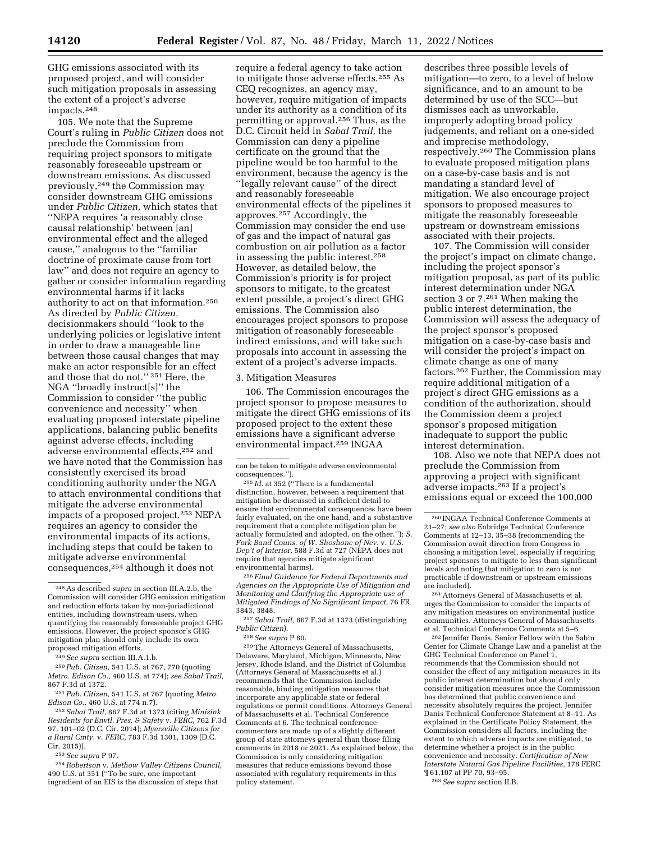GHG emissions associated with its proposed project, and will consider such mitigation proposals in assessing the extent of a project's adverse impacts.248

105. We note that the Supreme Court's ruling in *Public Citizen* does not preclude the Commission from requiring project sponsors to mitigate reasonably foreseeable upstream or downstream emissions. As discussed previously,249 the Commission may consider downstream GHG emissions under *Public Citizen,* which states that ''NEPA requires 'a reasonably close causal relationship' between [an] environmental effect and the alleged cause,'' analogous to the ''familiar doctrine of proximate cause from tort law'' and does not require an agency to gather or consider information regarding environmental harms if it lacks authority to act on that information.250 As directed by *Public Citizen,*  decisionmakers should ''look to the underlying policies or legislative intent in order to draw a manageable line between those causal changes that may make an actor responsible for an effect and those that do not.'' 251 Here, the NGA ''broadly instruct[s]'' the Commission to consider ''the public convenience and necessity'' when evaluating proposed interstate pipeline applications, balancing public benefits against adverse effects, including adverse environmental effects,252 and we have noted that the Commission has consistently exercised its broad conditioning authority under the NGA to attach environmental conditions that mitigate the adverse environmental impacts of a proposed project.253 NEPA requires an agency to consider the environmental impacts of its actions, including steps that could be taken to mitigate adverse environmental consequences,254 although it does not

252*Sabal Trail,* 867 F.3d at 1373 (citing *Minisink Residents for Envtl. Pres. & Safety* v. *FERC,* 762 F.3d 97, 101–02 (D.C. Cir. 2014); *Myersville Citizens for a Rural Cmty.* v. *FERC,* 783 F.3d 1301, 1309 (D.C. Cir. 2015)).

253*See supra* P 97.

254*Robertson* v. *Methow Valley Citizens Council,*  490 U.S. at 351 (''To be sure, one important ingredient of an EIS is the discussion of steps that

require a federal agency to take action to mitigate those adverse effects.255 As CEQ recognizes, an agency may, however, require mitigation of impacts under its authority as a condition of its permitting or approval.256 Thus, as the D.C. Circuit held in *Sabal Trail,* the Commission can deny a pipeline certificate on the ground that the pipeline would be too harmful to the environment, because the agency is the ''legally relevant cause'' of the direct and reasonably foreseeable environmental effects of the pipelines it approves.257 Accordingly, the Commission may consider the end use of gas and the impact of natural gas combustion on air pollution as a factor in assessing the public interest.258 However, as detailed below, the Commission's priority is for project sponsors to mitigate, to the greatest extent possible, a project's direct GHG emissions. The Commission also encourages project sponsors to propose mitigation of reasonably foreseeable indirect emissions, and will take such proposals into account in assessing the extent of a project's adverse impacts.

3. Mitigation Measures

106. The Commission encourages the project sponsor to propose measures to mitigate the direct GHG emissions of its proposed project to the extent these emissions have a significant adverse environmental impact.259 INGAA

256 *Final Guidance for Federal Departments and Agencies on the Appropriate Use of Mitigation and Monitoring and Clarifying the Appropriate use of Mitigated Findings of No Significant Impact,* 76 FR 3843, 3848.

257*Sabal Trail,* 867 F.3d at 1373 (distinguishing *Public Citizen*).

259The Attorneys General of Massachusetts, Delaware, Maryland, Michigan, Minnesota, New Jersey, Rhode Island, and the District of Columbia (Attorneys General of Massachusetts et al.) recommends that the Commission include reasonable, binding mitigation measures that incorporate any applicable state or federal regulations or permit conditions. Attorneys General of Massachusetts et al. Technical Conference Comments at 6. The technical conference commenters are made up of a slightly different group of state attorneys general than those filing comments in 2018 or 2021. As explained below, the Commission is only considering mitigation measures that reduce emissions beyond those associated with regulatory requirements in this policy statement.

describes three possible levels of mitigation—to zero, to a level of below significance, and to an amount to be determined by use of the SCC—but dismisses each as unworkable, improperly adopting broad policy judgements, and reliant on a one-sided and imprecise methodology, respectively.260 The Commission plans to evaluate proposed mitigation plans on a case-by-case basis and is not mandating a standard level of mitigation. We also encourage project sponsors to proposed measures to mitigate the reasonably foreseeable upstream or downstream emissions associated with their projects.

107. The Commission will consider the project's impact on climate change, including the project sponsor's mitigation proposal, as part of its public interest determination under NGA section 3 or 7.261 When making the public interest determination, the Commission will assess the adequacy of the project sponsor's proposed mitigation on a case-by-case basis and will consider the project's impact on climate change as one of many factors.262 Further, the Commission may require additional mitigation of a project's direct GHG emissions as a condition of the authorization, should the Commission deem a project sponsor's proposed mitigation inadequate to support the public interest determination.

108. Also we note that NEPA does not preclude the Commission from approving a project with significant adverse impacts.263 If a project's emissions equal or exceed the 100,000

261Attorneys General of Massachusetts et al. urges the Commission to consider the impacts of any mitigation measures on environmental justice communities. Attorneys General of Massachusetts et al. Technical Conference Comments at 5–6.

262 Jennifer Danis, Senior Fellow with the Sabin Center for Climate Change Law and a panelist at the GHG Technical Conference on Panel 1, recommends that the Commission should not consider the effect of any mitigation measures in its public interest determination but should only consider mitigation measures once the Commission has determined that public convenience and necessity absolutely requires the project. Jennifer Danis Technical Conference Statement at 8–11. As explained in the Certificate Policy Statement, the Commission considers all factors, including the extent to which adverse impacts are mitigated, to determine whether a project is in the public convenience and necessity. *Certification of New Interstate Natural Gas Pipeline Facilities,* 178 FERC ¶ 61,107 at PP 70, 93–95.

263*See supra* section II.B.

<sup>248</sup>As described *supra* in section III.A.2.b, the Commission will consider GHG emission mitigation and reduction efforts taken by non-jurisdictional entities, including downstream users, when quantifying the reasonably foreseeable project GHG emissions. However, the project sponsor's GHG mitigation plan should only include its own proposed mitigation efforts.

<sup>249</sup>*See supra* section III.A.1.b.

<sup>250</sup>*Pub. Citizen,* 541 U.S. at 767, 770 (quoting *Metro. Edison Co.,* 460 U.S. at 774); *see Sabal Trail,*  867 F.3d at 1372.

<sup>251</sup>*Pub. Citizen,* 541 U.S. at 767 (quoting *Metro. Edison Co.,* 460 U.S. at 774 n.7).

can be taken to mitigate adverse environmental consequences.'').

<sup>255</sup> *Id.* at 352 (''There is a fundamental distinction, however, between a requirement that mitigation be discussed in sufficient detail to ensure that environmental consequences have been fairly evaluated, on the one hand, and a substantive requirement that a complete mitigation plan be actually formulated and adopted, on the other.''); *S. Fork Band Couns. of W. Shoshone of Nev.* v. *U.S. Dep't of Interior,* 588 F.3d at 727 (NEPA does not require that agencies mitigate significant environmental harms).

<sup>258</sup>*See supra* P 80.

<sup>260</sup> INGAA Technical Conference Comments at 21–27; *see also* Enbridge Technical Conference Comments at 12–13, 35–38 (recommending the Commission await direction from Congress in choosing a mitigation level, especially if requiring project sponsors to mitigate to less than significant levels and noting that mitigation to zero is not practicable if downstream or upstream emissions are included).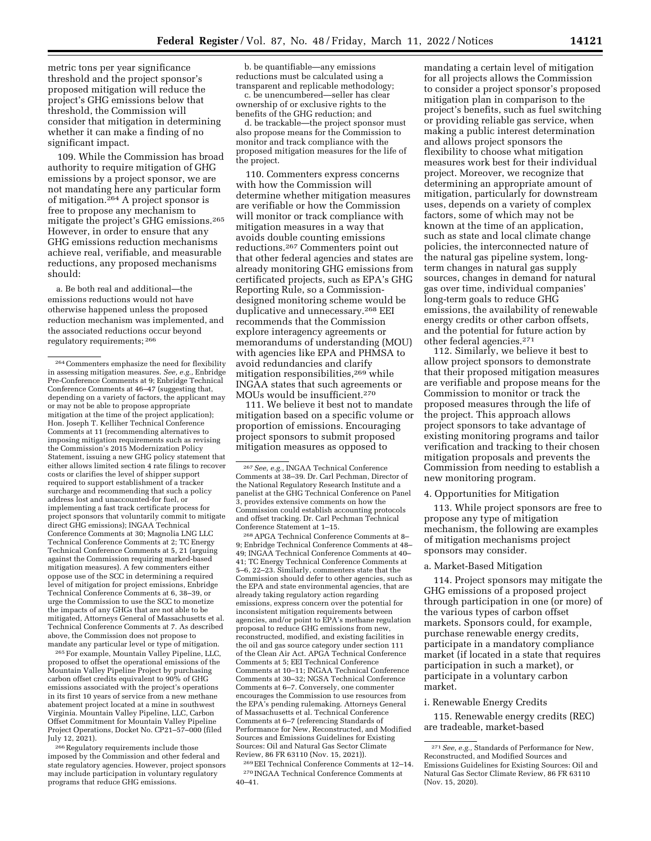metric tons per year significance threshold and the project sponsor's proposed mitigation will reduce the project's GHG emissions below that threshold, the Commission will consider that mitigation in determining whether it can make a finding of no significant impact.

109. While the Commission has broad authority to require mitigation of GHG emissions by a project sponsor, we are not mandating here any particular form of mitigation.<sup>264</sup> A project sponsor is free to propose any mechanism to mitigate the project's GHG emissions.265 However, in order to ensure that any GHG emissions reduction mechanisms achieve real, verifiable, and measurable reductions, any proposed mechanisms should:

a. Be both real and additional—the emissions reductions would not have otherwise happened unless the proposed reduction mechanism was implemented, and the associated reductions occur beyond regulatory requirements; 266

265For example, Mountain Valley Pipeline, LLC, proposed to offset the operational emissions of the Mountain Valley Pipeline Project by purchasing carbon offset credits equivalent to 90% of GHG emissions associated with the project's operations in its first 10 years of service from a new methane abatement project located at a mine in southwest Virginia. Mountain Valley Pipeline, LLC, Carbon Offset Commitment for Mountain Valley Pipeline Project Operations, Docket No. CP21–57–000 (filed July 12, 2021).

266Regulatory requirements include those imposed by the Commission and other federal and state regulatory agencies. However, project sponsors may include participation in voluntary regulatory programs that reduce GHG emissions.

b. be quantifiable—any emissions reductions must be calculated using a transparent and replicable methodology;

c. be unencumbered—seller has clear ownership of or exclusive rights to the benefits of the GHG reduction; and

d. be trackable—the project sponsor must also propose means for the Commission to monitor and track compliance with the proposed mitigation measures for the life of the project.

110. Commenters express concerns with how the Commission will determine whether mitigation measures are verifiable or how the Commission will monitor or track compliance with mitigation measures in a way that avoids double counting emissions reductions.267 Commenters point out that other federal agencies and states are already monitoring GHG emissions from certificated projects, such as EPA's GHG Reporting Rule, so a Commissiondesigned monitoring scheme would be duplicative and unnecessary.268 EEI recommends that the Commission explore interagency agreements or memorandums of understanding (MOU) with agencies like EPA and PHMSA to avoid redundancies and clarify mitigation responsibilities,269 while INGAA states that such agreements or MOUs would be insufficient.270

111. We believe it best not to mandate mitigation based on a specific volume or proportion of emissions. Encouraging project sponsors to submit proposed mitigation measures as opposed to

268APGA Technical Conference Comments at 8– 9; Enbridge Technical Conference Comments at 48– 49; INGAA Technical Conference Comments at 40– 41; TC Energy Technical Conference Comments at 5–6, 22–23. Similarly, commenters state that the Commission should defer to other agencies, such as the EPA and state environmental agencies, that are already taking regulatory action regarding emissions, express concern over the potential for inconsistent mitigation requirements between agencies, and/or point to EPA's methane regulation proposal to reduce GHG emissions from new, reconstructed, modified, and existing facilities in the oil and gas source category under section 111 of the Clean Air Act. APGA Technical Conference Comments at 5; EEI Technical Conference Comments at 10–11; INGAA Technical Conference Comments at 30–32; NGSA Technical Conference Comments at 6–7. Conversely, one commenter encourages the Commission to use resources from the EPA's pending rulemaking. Attorneys General of Massachusetts et al. Technical Conference Comments at 6–7 (referencing Standards of Performance for New, Reconstructed, and Modified Sources and Emissions Guidelines for Existing Sources: Oil and Natural Gas Sector Climate Review, 86 FR 63110 (Nov. 15, 2021)).

269EEI Technical Conference Comments at 12–14. 270 INGAA Technical Conference Comments at 40–41.

mandating a certain level of mitigation for all projects allows the Commission to consider a project sponsor's proposed mitigation plan in comparison to the project's benefits, such as fuel switching or providing reliable gas service, when making a public interest determination and allows project sponsors the flexibility to choose what mitigation measures work best for their individual project. Moreover, we recognize that determining an appropriate amount of mitigation, particularly for downstream uses, depends on a variety of complex factors, some of which may not be known at the time of an application, such as state and local climate change policies, the interconnected nature of the natural gas pipeline system, longterm changes in natural gas supply sources, changes in demand for natural gas over time, individual companies' long-term goals to reduce GHG emissions, the availability of renewable energy credits or other carbon offsets, and the potential for future action by other federal agencies.271

112. Similarly, we believe it best to allow project sponsors to demonstrate that their proposed mitigation measures are verifiable and propose means for the Commission to monitor or track the proposed measures through the life of the project. This approach allows project sponsors to take advantage of existing monitoring programs and tailor verification and tracking to their chosen mitigation proposals and prevents the Commission from needing to establish a new monitoring program.

#### 4. Opportunities for Mitigation

113. While project sponsors are free to propose any type of mitigation mechanism, the following are examples of mitigation mechanisms project sponsors may consider.

#### a. Market-Based Mitigation

114. Project sponsors may mitigate the GHG emissions of a proposed project through participation in one (or more) of the various types of carbon offset markets. Sponsors could, for example, purchase renewable energy credits, participate in a mandatory compliance market (if located in a state that requires participation in such a market), or participate in a voluntary carbon market.

#### i. Renewable Energy Credits

115. Renewable energy credits (REC) are tradeable, market-based

<sup>264</sup>Commenters emphasize the need for flexibility in assessing mitigation measures. *See, e.g.,* Enbridge Pre-Conference Comments at 9; Enbridge Technical Conference Comments at 46–47 (suggesting that, depending on a variety of factors, the applicant may or may not be able to propose appropriate mitigation at the time of the project application); Hon. Joseph T. Kelliher Technical Conference Comments at 11 (recommending alternatives to imposing mitigation requirements such as revising the Commission's 2015 Modernization Policy Statement, issuing a new GHG policy statement that either allows limited section 4 rate filings to recover costs or clarifies the level of shipper support required to support establishment of a tracker surcharge and recommending that such a policy address lost and unaccounted-for fuel, or implementing a fast track certificate process for project sponsors that voluntarily commit to mitigate direct GHG emissions); INGAA Technical Conference Comments at 30; Magnolia LNG LLC Technical Conference Comments at 2; TC Energy Technical Conference Comments at 5, 21 (arguing against the Commission requiring marked-based mitigation measures). A few commenters either oppose use of the SCC in determining a required level of mitigation for project emissions, Enbridge Technical Conference Comments at 6, 38–39, or urge the Commission to use the SCC to monetize the impacts of any GHGs that are not able to be mitigated, Attorneys General of Massachusetts et al. Technical Conference Comments at 7. As described above, the Commission does not propose to mandate any particular level or type of mitigation.

<sup>267</sup>*See, e.g.,* INGAA Technical Conference Comments at 38–39. Dr. Carl Pechman, Director of the National Regulatory Research Institute and a panelist at the GHG Technical Conference on Panel 3, provides extensive comments on how the Commission could establish accounting protocols and offset tracking. Dr. Carl Pechman Technical Conference Statement at 1–15.

<sup>271</sup>*See, e.g.,* Standards of Performance for New, Reconstructed, and Modified Sources and Emissions Guidelines for Existing Sources: Oil and Natural Gas Sector Climate Review, 86 FR 63110 (Nov. 15, 2020).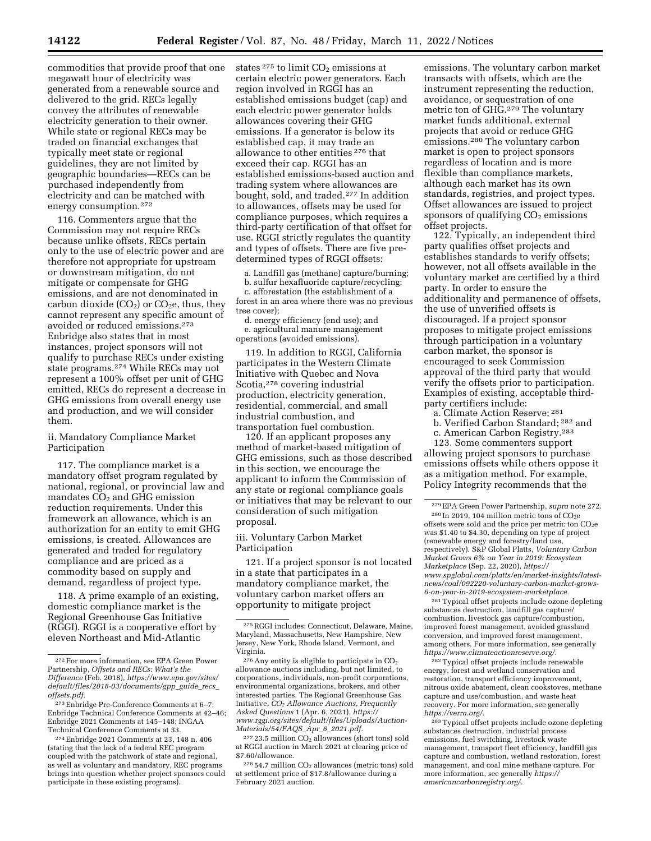commodities that provide proof that one megawatt hour of electricity was generated from a renewable source and delivered to the grid. RECs legally convey the attributes of renewable electricity generation to their owner. While state or regional RECs may be traded on financial exchanges that typically meet state or regional guidelines, they are not limited by geographic boundaries—RECs can be purchased independently from electricity and can be matched with energy consumption.272

116. Commenters argue that the Commission may not require RECs because unlike offsets, RECs pertain only to the use of electric power and are therefore not appropriate for upstream or downstream mitigation, do not mitigate or compensate for GHG emissions, and are not denominated in carbon dioxide  $(CO_2)$  or  $CO_2e$ , thus, they cannot represent any specific amount of avoided or reduced emissions.273 Enbridge also states that in most instances, project sponsors will not qualify to purchase RECs under existing state programs.274 While RECs may not represent a 100% offset per unit of GHG emitted, RECs do represent a decrease in GHG emissions from overall energy use and production, and we will consider them.

## ii. Mandatory Compliance Market Participation

117. The compliance market is a mandatory offset program regulated by national, regional, or provincial law and mandates  $CO<sub>2</sub>$  and GHG emission reduction requirements. Under this framework an allowance, which is an authorization for an entity to emit GHG emissions, is created. Allowances are generated and traded for regulatory compliance and are priced as a commodity based on supply and demand, regardless of project type.

118. A prime example of an existing, domestic compliance market is the Regional Greenhouse Gas Initiative (RGGI). RGGI is a cooperative effort by eleven Northeast and Mid-Atlantic

states  $275$  to limit  $CO<sub>2</sub>$  emissions at certain electric power generators. Each region involved in RGGI has an established emissions budget (cap) and each electric power generator holds allowances covering their GHG emissions. If a generator is below its established cap, it may trade an allowance to other entities 276 that exceed their cap. RGGI has an established emissions-based auction and trading system where allowances are bought, sold, and traded.277 In addition to allowances, offsets may be used for compliance purposes, which requires a third-party certification of that offset for use. RGGI strictly regulates the quantity and types of offsets. There are five predetermined types of RGGI offsets:

a. Landfill gas (methane) capture/burning;

b. sulfur hexafluoride capture/recycling;

c. afforestation (the establishment of a forest in an area where there was no previous tree cover);

d. energy efficiency (end use); and e. agricultural manure management operations (avoided emissions).

119. In addition to RGGI, California participates in the Western Climate Initiative with Quebec and Nova Scotia,278 covering industrial production, electricity generation, residential, commercial, and small industrial combustion, and transportation fuel combustion.

120. If an applicant proposes any method of market-based mitigation of GHG emissions, such as those described in this section, we encourage the applicant to inform the Commission of any state or regional compliance goals or initiatives that may be relevant to our consideration of such mitigation proposal.

iii. Voluntary Carbon Market Participation

121. If a project sponsor is not located in a state that participates in a mandatory compliance market, the voluntary carbon market offers an opportunity to mitigate project

 $^{277}\,23.5$  million CO<sub>2</sub> allowances (short tons) sold at RGGI auction in March 2021 at clearing price of \$7.60/allowance.

 $^{278}\,54.7$  million  $\rm{CO}_2$  allowances (metric tons) sold at settlement price of \$17.8/allowance during a February 2021 auction.

emissions. The voluntary carbon market transacts with offsets, which are the instrument representing the reduction, avoidance, or sequestration of one metric ton of GHG.279 The voluntary market funds additional, external projects that avoid or reduce GHG emissions.280 The voluntary carbon market is open to project sponsors regardless of location and is more flexible than compliance markets, although each market has its own standards, registries, and project types. Offset allowances are issued to project sponsors of qualifying  $CO<sub>2</sub>$  emissions offset projects.

122. Typically, an independent third party qualifies offset projects and establishes standards to verify offsets; however, not all offsets available in the voluntary market are certified by a third party. In order to ensure the additionality and permanence of offsets, the use of unverified offsets is discouraged. If a project sponsor proposes to mitigate project emissions through participation in a voluntary carbon market, the sponsor is encouraged to seek Commission approval of the third party that would verify the offsets prior to participation. Examples of existing, acceptable thirdparty certifiers include:

a. Climate Action Reserve; 281 b. Verified Carbon Standard; 282 and

123. Some commenters support allowing project sponsors to purchase emissions offsets while others oppose it as a mitigation method. For example, Policy Integrity recommends that the

281Typical offset projects include ozone depleting substances destruction, landfill gas capture/ combustion, livestock gas capture/combustion, improved forest management, avoided grassland conversion, and improved forest management, among others. For more information, see generally *[https://www.climateactionreserve.org/.](https://www.climateactionreserve.org/)* 

282Typical offset projects include renewable energy, forest and wetland conservation and restoration, transport efficiency improvement, nitrous oxide abatement, clean cookstoves, methane capture and use/combustion, and waste heat recovery. For more information, see generally *[https://verra.org/.](https://verra.org/)* 

283Typical offset projects include ozone depleting substances destruction, industrial process emissions, fuel switching, livestock waste management, transport fleet efficiency, landfill gas capture and combustion, wetland restoration, forest management, and coal mine methane capture. For more information, see generally *[https://](https://americancarbonregistry.org/) [americancarbonregistry.org/.](https://americancarbonregistry.org/)* 

<sup>272</sup>For more information, see EPA Green Power Partnership, *Offsets and RECs: What's the Difference* (Feb. 2018), *[https://www.epa.gov/sites/](https://www.epa.gov/sites/default/files/2018-03/documents/gpp_guide_recs_offsets.pdf) [default/files/2018-03/documents/gpp](https://www.epa.gov/sites/default/files/2018-03/documents/gpp_guide_recs_offsets.pdf)*\_*guide*\_*recs*\_ *[offsets.pdf.](https://www.epa.gov/sites/default/files/2018-03/documents/gpp_guide_recs_offsets.pdf)* 

<sup>273</sup>Enbridge Pre-Conference Comments at 6–7; Enbridge Technical Conference Comments at 42–46; Enbridge 2021 Comments at 145–148; INGAA Technical Conference Comments at 33.

<sup>274</sup>Enbridge 2021 Comments at 23, 148 n. 406 (stating that the lack of a federal REC program coupled with the patchwork of state and regional, as well as voluntary and mandatory, REC programs brings into question whether project sponsors could participate in these existing programs).

<sup>275</sup>RGGI includes: Connecticut, Delaware, Maine, Maryland, Massachusetts, New Hampshire, New Jersey, New York, Rhode Island, Vermont, and Virginia.

 $^{276}\!\, \mathrm{Any}$  entity is eligible to participate in  $\mathrm{CO}_2$ allowance auctions including, but not limited, to corporations, individuals, non-profit corporations, environmental organizations, brokers, and other interested parties. The Regional Greenhouse Gas Initiative, *CO2 Allowance Auctions, Frequently Asked Questions* 1 (Apr. 6, 2021), *[https://](https://www.rggi.org/sites/default/files/Uploads/Auction-Materials/54/FAQS_Apr_6_2021.pdf) [www.rggi.org/sites/default/files/Uploads/Auction-](https://www.rggi.org/sites/default/files/Uploads/Auction-Materials/54/FAQS_Apr_6_2021.pdf)[Materials/54/FAQS](https://www.rggi.org/sites/default/files/Uploads/Auction-Materials/54/FAQS_Apr_6_2021.pdf)*\_*Apr*\_*6*\_*2021.pdf.* 

c. American Carbon Registry.283

<sup>279</sup>EPA Green Power Partnership, *supra* note 272.

 $280$  In 2019, 104 million metric tons of  $CO<sub>2</sub>e$ offsets were sold and the price per metric ton  $CO<sub>2</sub>e$ was \$1.40 to \$4.30, depending on type of project (renewable energy and forestry/land use, respectively). S&P Global Platts, *Voluntary Carbon Market Grows 6% on Year in 2019: Ecosystem Marketplace* (Sep. 22, 2020), *[https://](https://www.spglobal.com/platts/en/market-insights/latest-news/coal/092220-voluntary-carbon-market-grows-6-on-year-in-2019-ecosystem-marketplace) [www.spglobal.com/platts/en/market-insights/latest](https://www.spglobal.com/platts/en/market-insights/latest-news/coal/092220-voluntary-carbon-market-grows-6-on-year-in-2019-ecosystem-marketplace)[news/coal/092220-voluntary-carbon-market-grows-](https://www.spglobal.com/platts/en/market-insights/latest-news/coal/092220-voluntary-carbon-market-grows-6-on-year-in-2019-ecosystem-marketplace)[6-on-year-in-2019-ecosystem-marketplace.](https://www.spglobal.com/platts/en/market-insights/latest-news/coal/092220-voluntary-carbon-market-grows-6-on-year-in-2019-ecosystem-marketplace)*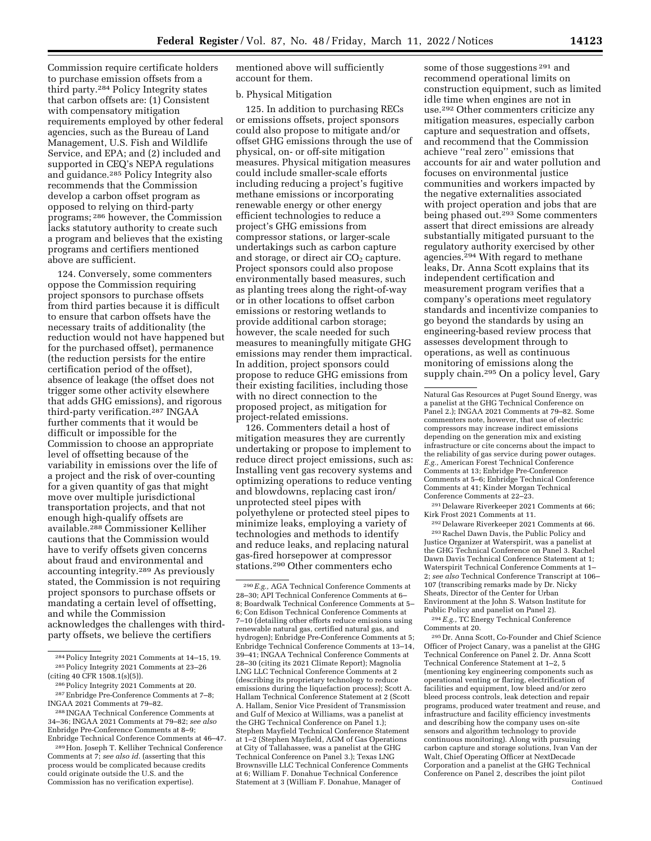Commission require certificate holders to purchase emission offsets from a third party.284 Policy Integrity states that carbon offsets are: (1) Consistent with compensatory mitigation requirements employed by other federal agencies, such as the Bureau of Land Management, U.S. Fish and Wildlife Service, and EPA; and (2) included and supported in CEQ's NEPA regulations and guidance.285 Policy Integrity also recommends that the Commission develop a carbon offset program as opposed to relying on third-party programs; 286 however, the Commission lacks statutory authority to create such a program and believes that the existing programs and certifiers mentioned above are sufficient.

124. Conversely, some commenters oppose the Commission requiring project sponsors to purchase offsets from third parties because it is difficult to ensure that carbon offsets have the necessary traits of additionality (the reduction would not have happened but for the purchased offset), permanence (the reduction persists for the entire certification period of the offset), absence of leakage (the offset does not trigger some other activity elsewhere that adds GHG emissions), and rigorous third-party verification.287 INGAA further comments that it would be difficult or impossible for the Commission to choose an appropriate level of offsetting because of the variability in emissions over the life of a project and the risk of over-counting for a given quantity of gas that might move over multiple jurisdictional transportation projects, and that not enough high-qualify offsets are available.288 Commissioner Kelliher cautions that the Commission would have to verify offsets given concerns about fraud and environmental and accounting integrity.289 As previously stated, the Commission is not requiring project sponsors to purchase offsets or mandating a certain level of offsetting, and while the Commission acknowledges the challenges with thirdparty offsets, we believe the certifiers

mentioned above will sufficiently account for them.

#### b. Physical Mitigation

125. In addition to purchasing RECs or emissions offsets, project sponsors could also propose to mitigate and/or offset GHG emissions through the use of physical, on- or off-site mitigation measures. Physical mitigation measures could include smaller-scale efforts including reducing a project's fugitive methane emissions or incorporating renewable energy or other energy efficient technologies to reduce a project's GHG emissions from compressor stations, or larger-scale undertakings such as carbon capture and storage, or direct air  $CO<sub>2</sub>$  capture. Project sponsors could also propose environmentally based measures, such as planting trees along the right-of-way or in other locations to offset carbon emissions or restoring wetlands to provide additional carbon storage; however, the scale needed for such measures to meaningfully mitigate GHG emissions may render them impractical. In addition, project sponsors could propose to reduce GHG emissions from their existing facilities, including those with no direct connection to the proposed project, as mitigation for project-related emissions.

126. Commenters detail a host of mitigation measures they are currently undertaking or propose to implement to reduce direct project emissions, such as: Installing vent gas recovery systems and optimizing operations to reduce venting and blowdowns, replacing cast iron/ unprotected steel pipes with polyethylene or protected steel pipes to minimize leaks, employing a variety of technologies and methods to identify and reduce leaks, and replacing natural gas-fired horsepower at compressor stations.290 Other commenters echo

some of those suggestions 291 and recommend operational limits on construction equipment, such as limited idle time when engines are not in use.292 Other commenters criticize any mitigation measures, especially carbon capture and sequestration and offsets, and recommend that the Commission achieve ''real zero'' emissions that accounts for air and water pollution and focuses on environmental justice communities and workers impacted by the negative externalities associated with project operation and jobs that are being phased out.293 Some commenters assert that direct emissions are already substantially mitigated pursuant to the regulatory authority exercised by other agencies.294 With regard to methane leaks, Dr. Anna Scott explains that its independent certification and measurement program verifies that a company's operations meet regulatory standards and incentivize companies to go beyond the standards by using an engineering-based review process that assesses development through to operations, as well as continuous monitoring of emissions along the supply chain.<sup>295</sup> On a policy level, Gary

291 Delaware Riverkeeper 2021 Comments at 66; Kirk Frost 2021 Comments at 11.

292 Delaware Riverkeeper 2021 Comments at 66. 293Rachel Dawn Davis, the Public Policy and Justice Organizer at Waterspirit, was a panelist at the GHG Technical Conference on Panel 3. Rachel Dawn Davis Technical Conference Statement at 1; Waterspirit Technical Conference Comments at 1– 2; *see also* Technical Conference Transcript at 106– 107 (transcribing remarks made by Dr. Nicky Sheats, Director of the Center for Urban Environment at the John S. Watson Institute for Public Policy and panelist on Panel 2).

294*E.g.,* TC Energy Technical Conference Comments at 20.

295 Dr. Anna Scott, Co-Founder and Chief Science Officer of Project Canary, was a panelist at the GHG Technical Conference on Panel 2. Dr. Anna Scott Technical Conference Statement at 1–2, 5 (mentioning key engineering components such as operational venting or flaring, electrification of facilities and equipment, low bleed and/or zero bleed process controls, leak detection and repair programs, produced water treatment and reuse, and infrastructure and facility efficiency investments and describing how the company uses on-site sensors and algorithm technology to provide continuous monitoring). Along with pursuing carbon capture and storage solutions, Ivan Van der Walt, Chief Operating Officer at NextDecade Corporation and a panelist at the GHG Technical Conference on Panel 2, describes the joint pilot Continued

<sup>284</sup>Policy Integrity 2021 Comments at 14–15, 19. 285Policy Integrity 2021 Comments at 23–26 (citing 40 CFR 1508.1(s)(5)).

<sup>286</sup>Policy Integrity 2021 Comments at 20.

<sup>287</sup>Enbridge Pre-Conference Comments at 7–8; INGAA 2021 Comments at 79–82.

<sup>288</sup> INGAA Technical Conference Comments at 34–36; INGAA 2021 Comments at 79–82; *see also*  Enbridge Pre-Conference Comments at 8–9; Enbridge Technical Conference Comments at 46–47.

<sup>289</sup>Hon. Joseph T. Kelliher Technical Conference Comments at 7; *see also id.* (asserting that this process would be complicated because credits could originate outside the U.S. and the Commission has no verification expertise).

<sup>290</sup>*E.g.,* AGA Technical Conference Comments at 28–30; API Technical Conference Comments at 6– 8; Boardwalk Technical Conference Comments at 5– 6; Con Edison Technical Conference Comments at 7–10 (detailing other efforts reduce emissions using renewable natural gas, certified natural gas, and hydrogen); Enbridge Pre-Conference Comments at 5; Enbridge Technical Conference Comments at 13–14, 39–41; INGAA Technical Conference Comments at 28–30 (citing its 2021 Climate Report); Magnolia LNG LLC Technical Conference Comments at 2 (describing its proprietary technology to reduce emissions during the liquefaction process); Scott A. Hallam Technical Conference Statement at 2 (Scott A. Hallam, Senior Vice President of Transmission and Gulf of Mexico at Williams, was a panelist at the GHG Technical Conference on Panel 1.); Stephen Mayfield Technical Conference Statement at 1–2 (Stephen Mayfield, AGM of Gas Operations at City of Tallahassee, was a panelist at the GHG Technical Conference on Panel 3.); Texas LNG Brownsville LLC Technical Conference Comments at 6; William F. Donahue Technical Conference Statement at 3 (William F. Donahue, Manager of

Natural Gas Resources at Puget Sound Energy, was a panelist at the GHG Technical Conference on Panel 2.); INGAA 2021 Comments at 79–82. Some commenters note, however, that use of electric compressors may increase indirect emissions depending on the generation mix and existing infrastructure or cite concerns about the impact to the reliability of gas service during power outages. *E.g.,* American Forest Technical Conference Comments at 13; Enbridge Pre-Conference Comments at 5–6; Enbridge Technical Conference Comments at 41; Kinder Morgan Technical Conference Comments at 22–23.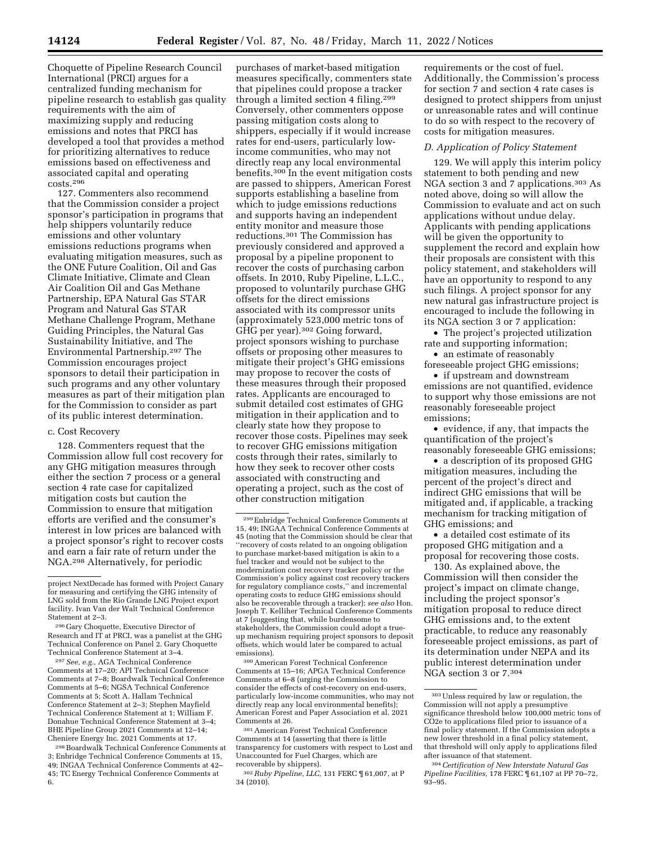Choquette of Pipeline Research Council International (PRCI) argues for a centralized funding mechanism for pipeline research to establish gas quality requirements with the aim of maximizing supply and reducing emissions and notes that PRCI has developed a tool that provides a method for prioritizing alternatives to reduce emissions based on effectiveness and associated capital and operating costs.296

127. Commenters also recommend that the Commission consider a project sponsor's participation in programs that help shippers voluntarily reduce emissions and other voluntary emissions reductions programs when evaluating mitigation measures, such as the ONE Future Coalition, Oil and Gas Climate Initiative, Climate and Clean Air Coalition Oil and Gas Methane Partnership, EPA Natural Gas STAR Program and Natural Gas STAR Methane Challenge Program, Methane Guiding Principles, the Natural Gas Sustainability Initiative, and The Environmental Partnership.297 The Commission encourages project sponsors to detail their participation in such programs and any other voluntary measures as part of their mitigation plan for the Commission to consider as part of its public interest determination.

#### c. Cost Recovery

128. Commenters request that the Commission allow full cost recovery for any GHG mitigation measures through either the section 7 process or a general section 4 rate case for capitalized mitigation costs but caution the Commission to ensure that mitigation efforts are verified and the consumer's interest in low prices are balanced with a project sponsor's right to recover costs and earn a fair rate of return under the NGA.298 Alternatively, for periodic

297*See, e.g.,* AGA Technical Conference Comments at 17–20; API Technical Conference Comments at 7–8; Boardwalk Technical Conference Comments at 5–6; NGSA Technical Conference Comments at 5; Scott A. Hallam Technical Conference Statement at 2–3; Stephen Mayfield Technical Conference Statement at 1; William F. Donahue Technical Conference Statement at 3–4; BHE Pipeline Group 2021 Comments at 12–14; Cheniere Energy Inc. 2021 Comments at 17.

298Boardwalk Technical Conference Comments at 3; Enbridge Technical Conference Comments at 15, 49; INGAA Technical Conference Comments at 42– 45; TC Energy Technical Conference Comments at 6.

purchases of market-based mitigation measures specifically, commenters state that pipelines could propose a tracker through a limited section 4 filing.299 Conversely, other commenters oppose passing mitigation costs along to shippers, especially if it would increase rates for end-users, particularly lowincome communities, who may not directly reap any local environmental benefits.300 In the event mitigation costs are passed to shippers, American Forest supports establishing a baseline from which to judge emissions reductions and supports having an independent entity monitor and measure those reductions.301 The Commission has previously considered and approved a proposal by a pipeline proponent to recover the costs of purchasing carbon offsets. In 2010, Ruby Pipeline, L.L.C., proposed to voluntarily purchase GHG offsets for the direct emissions associated with its compressor units (approximately 523,000 metric tons of GHG per year).302 Going forward, project sponsors wishing to purchase offsets or proposing other measures to mitigate their project's GHG emissions may propose to recover the costs of these measures through their proposed rates. Applicants are encouraged to submit detailed cost estimates of GHG mitigation in their application and to clearly state how they propose to recover those costs. Pipelines may seek to recover GHG emissions mitigation costs through their rates, similarly to how they seek to recover other costs associated with constructing and operating a project, such as the cost of other construction mitigation

300American Forest Technical Conference Comments at 15–16; APGA Technical Conference Comments at 6–8 (urging the Commission to consider the effects of cost-recovery on end-users, particularly low-income communities, who may not directly reap any local environmental benefits); American Forest and Paper Association et al. 2021 Comments at 26.

302*Ruby Pipeline, LLC,* 131 FERC ¶ 61,007, at P 34 (2010).

requirements or the cost of fuel. Additionally, the Commission's process for section 7 and section 4 rate cases is designed to protect shippers from unjust or unreasonable rates and will continue to do so with respect to the recovery of costs for mitigation measures.

#### *D. Application of Policy Statement*

129. We will apply this interim policy statement to both pending and new NGA section 3 and 7 applications.303 As noted above, doing so will allow the Commission to evaluate and act on such applications without undue delay. Applicants with pending applications will be given the opportunity to supplement the record and explain how their proposals are consistent with this policy statement, and stakeholders will have an opportunity to respond to any such filings. A project sponsor for any new natural gas infrastructure project is encouraged to include the following in its NGA section 3 or 7 application:

• The project's projected utilization rate and supporting information;

• an estimate of reasonably foreseeable project GHG emissions;

• if upstream and downstream emissions are not quantified, evidence to support why those emissions are not reasonably foreseeable project emissions;

• evidence, if any, that impacts the quantification of the project's reasonably foreseeable GHG emissions;

• a description of its proposed GHG mitigation measures, including the percent of the project's direct and indirect GHG emissions that will be mitigated and, if applicable, a tracking mechanism for tracking mitigation of GHG emissions; and

• a detailed cost estimate of its proposed GHG mitigation and a proposal for recovering those costs.

130. As explained above, the Commission will then consider the project's impact on climate change, including the project sponsor's mitigation proposal to reduce direct GHG emissions and, to the extent practicable, to reduce any reasonably foreseeable project emissions, as part of its determination under NEPA and its public interest determination under NGA section 3 or 7.304

project NextDecade has formed with Project Canary for measuring and certifying the GHG intensity of LNG sold from the Rio Grande LNG Project export facility. Ivan Van der Walt Technical Conference Statement at 2–3.

<sup>296</sup> Gary Choquette, Executive Director of Research and IT at PRCI, was a panelist at the GHG Technical Conference on Panel 2. Gary Choquette Technical Conference Statement at 3–4.

<sup>299</sup>Enbridge Technical Conference Comments at 15, 49; INGAA Technical Conference Comments at 45 (noting that the Commission should be clear that ''recovery of costs related to an ongoing obligation to purchase market-based mitigation is akin to a fuel tracker and would not be subject to the modernization cost recovery tracker policy or the Commission's policy against cost recovery trackers for regulatory compliance costs,'' and incremental operating costs to reduce GHG emissions should also be recoverable through a tracker); *see also* Hon. Joseph T. Kelliher Technical Conference Comments at 7 (suggesting that, while burdensome to stakeholders, the Commission could adopt a trueup mechanism requiring project sponsors to deposit offsets, which would later be compared to actual emissions).

<sup>301</sup>American Forest Technical Conference Comments at 14 (asserting that there is little transparency for customers with respect to Lost and Unaccounted for Fuel Charges, which are recoverable by shippers).

<sup>303</sup>Unless required by law or regulation, the Commission will not apply a presumptive significance threshold below 100,000 metric tons of CO2e to applications filed prior to issuance of a final policy statement. If the Commission adopts a new lower threshold in a final policy statement, that threshold will only apply to applications filed after issuance of that statement.

<sup>304</sup>*Certification of New Interstate Natural Gas Pipeline Facilities,* 178 FERC ¶ 61,107 at PP 70–72, 93–95.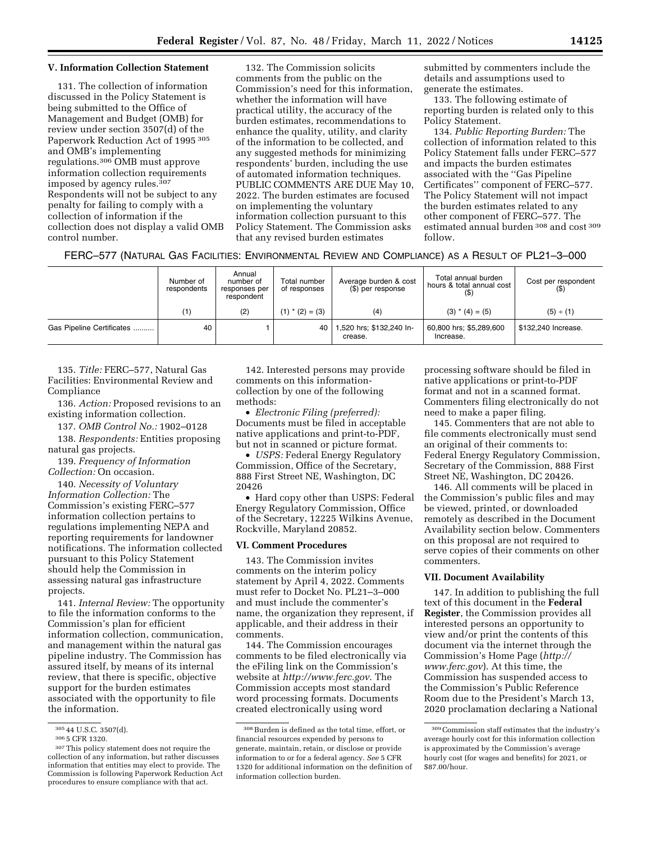# **V. Information Collection Statement**

131. The collection of information discussed in the Policy Statement is being submitted to the Office of Management and Budget (OMB) for review under section 3507(d) of the Paperwork Reduction Act of 1995 305 and OMB's implementing regulations.306 OMB must approve information collection requirements imposed by agency rules.307 Respondents will not be subject to any penalty for failing to comply with a collection of information if the collection does not display a valid OMB control number.

132. The Commission solicits comments from the public on the Commission's need for this information, whether the information will have practical utility, the accuracy of the burden estimates, recommendations to enhance the quality, utility, and clarity of the information to be collected, and any suggested methods for minimizing respondents' burden, including the use of automated information techniques. PUBLIC COMMENTS ARE DUE May 10, 2022. The burden estimates are focused on implementing the voluntary information collection pursuant to this Policy Statement. The Commission asks that any revised burden estimates

submitted by commenters include the details and assumptions used to generate the estimates.

133. The following estimate of reporting burden is related only to this Policy Statement.

134. *Public Reporting Burden:* The collection of information related to this Policy Statement falls under FERC–577 and impacts the burden estimates associated with the ''Gas Pipeline Certificates'' component of FERC–577. The Policy Statement will not impact the burden estimates related to any other component of FERC–577. The estimated annual burden 308 and cost 309 follow.

|  | FERC-577 (NATURAL GAS FACILITIES: ENVIRONMENTAL REVIEW AND COMPLIANCE) AS A RESULT OF PL21-3-000 |  |
|--|--------------------------------------------------------------------------------------------------|--|
|--|--------------------------------------------------------------------------------------------------|--|

|                           | Number of<br>respondents | Annual<br>number of<br>responses per<br>respondent | Total number<br>of responses | Average burden & cost<br>(\$) per response | Total annual burden<br>hours & total annual cost | Cost per respondent |
|---------------------------|--------------------------|----------------------------------------------------|------------------------------|--------------------------------------------|--------------------------------------------------|---------------------|
|                           | (1)                      | (2)                                                | $(1)$ * $(2) = (3)$          | (4)                                        | $(3)$ * $(4) = (5)$                              | (5) ÷ (1)           |
| Gas Pipeline Certificates | 40                       |                                                    | 40                           | 1,520 hrs; \$132,240 ln-<br>crease.        | 60,800 hrs; \$5,289,600<br>Increase.             | \$132,240 Increase. |

135. *Title:* FERC–577, Natural Gas Facilities: Environmental Review and Compliance

136. *Action:* Proposed revisions to an existing information collection.

137. *OMB Control No.:* 1902–0128

138. *Respondents:* Entities proposing natural gas projects.

139. *Frequency of Information Collection:* On occasion.

140. *Necessity of Voluntary Information Collection:* The Commission's existing FERC–577 information collection pertains to regulations implementing NEPA and reporting requirements for landowner notifications. The information collected pursuant to this Policy Statement should help the Commission in assessing natural gas infrastructure projects.

141. *Internal Review:* The opportunity to file the information conforms to the Commission's plan for efficient information collection, communication, and management within the natural gas pipeline industry. The Commission has assured itself, by means of its internal review, that there is specific, objective support for the burden estimates associated with the opportunity to file the information.

142. Interested persons may provide comments on this informationcollection by one of the following methods:

• *Electronic Filing (preferred):*  Documents must be filed in acceptable native applications and print-to-PDF, but not in scanned or picture format.

• *USPS:* Federal Energy Regulatory Commission, Office of the Secretary, 888 First Street NE, Washington, DC 20426

• Hard copy other than USPS: Federal Energy Regulatory Commission, Office of the Secretary, 12225 Wilkins Avenue, Rockville, Maryland 20852.

#### **VI. Comment Procedures**

143. The Commission invites comments on the interim policy statement by April 4, 2022. Comments must refer to Docket No. PL21–3–000 and must include the commenter's name, the organization they represent, if applicable, and their address in their comments.

144. The Commission encourages comments to be filed electronically via the eFiling link on the Commission's website at *<http://www.ferc.gov>*. The Commission accepts most standard word processing formats. Documents created electronically using word

processing software should be filed in native applications or print-to-PDF format and not in a scanned format. Commenters filing electronically do not need to make a paper filing.

145. Commenters that are not able to file comments electronically must send an original of their comments to: Federal Energy Regulatory Commission, Secretary of the Commission, 888 First Street NE, Washington, DC 20426.

146. All comments will be placed in the Commission's public files and may be viewed, printed, or downloaded remotely as described in the Document Availability section below. Commenters on this proposal are not required to serve copies of their comments on other commenters.

# **VII. Document Availability**

147. In addition to publishing the full text of this document in the **Federal Register**, the Commission provides all interested persons an opportunity to view and/or print the contents of this document via the internet through the Commission's Home Page (*[http://](http://www.ferc.gov) [www.ferc.gov](http://www.ferc.gov)*). At this time, the Commission has suspended access to the Commission's Public Reference Room due to the President's March 13, 2020 proclamation declaring a National

 $\frac{30544 \text{ U.S.C. } 3507 \text{ (d)}}{3055 \text{ CFR} } 1320.$ <br> $\frac{307 \text{ This policy statement does not require the}}{307 \text{ This policy statement.}}$ collection of any information, but rather discusses information that entities may elect to provide. The Commission is following Paperwork Reduction Act procedures to ensure compliance with that act.

 $^{\rm 308}\,$  Burden is defined as the total time, effort, or financial resources expended by persons to generate, maintain, retain, or disclose or provide information to or for a federal agency. *See* 5 CFR 1320 for additional information on the definition of information collection burden.

 $^{\rm 309}$  Commission staff estimates that the industry's average hourly cost for this information collection is approximated by the Commission's average hourly cost (for wages and benefits) for 2021, or \$87.00/hour.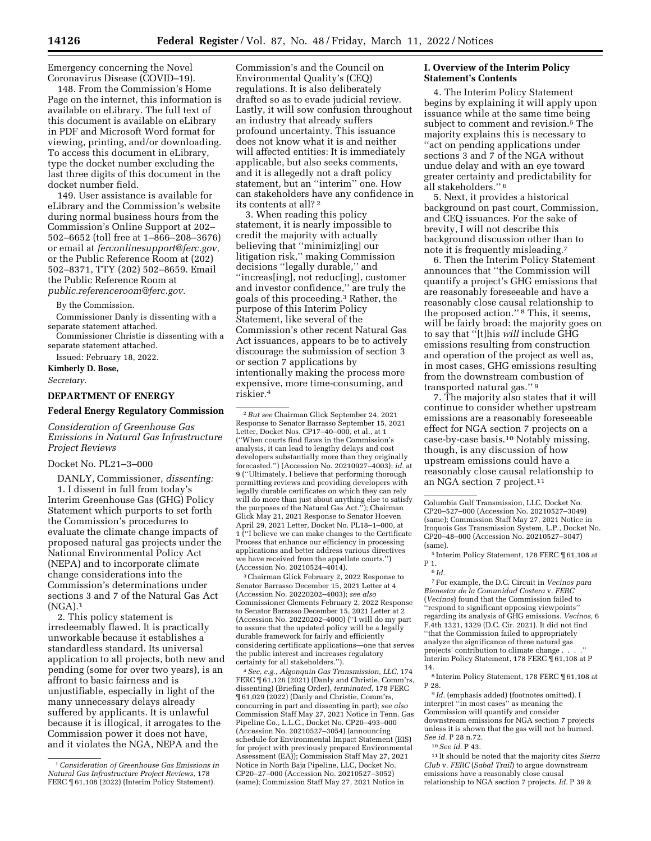Emergency concerning the Novel Coronavirus Disease (COVID–19).

148. From the Commission's Home Page on the internet, this information is available on eLibrary. The full text of this document is available on eLibrary in PDF and Microsoft Word format for viewing, printing, and/or downloading. To access this document in eLibrary, type the docket number excluding the last three digits of this document in the docket number field.

149. User assistance is available for eLibrary and the Commission's website during normal business hours from the Commission's Online Support at 202– 502–6652 (toll free at 1–866–208–3676) or email at *[ferconlinesupport@ferc.gov,](mailto:ferconlinesupport@ferc.gov)*  or the Public Reference Room at (202) 502–8371, TTY (202) 502–8659. Email the Public Reference Room at *[public.referenceroom@ferc.gov.](mailto:public.referenceroom@ferc.gov)* 

By the Commission.

Commissioner Danly is dissenting with a separate statement attached.

Commissioner Christie is dissenting with a separate statement attached.

Issued: February 18, 2022.

# **Kimberly D. Bose,**

*Secretary.* 

# **DEPARTMENT OF ENERGY**

#### **Federal Energy Regulatory Commission**

*Consideration of Greenhouse Gas Emissions in Natural Gas Infrastructure Project Reviews* 

#### Docket No. PL21–3–000

DANLY, Commissioner, *dissenting:*  1. I dissent in full from today's Interim Greenhouse Gas (GHG) Policy Statement which purports to set forth the Commission's procedures to evaluate the climate change impacts of proposed natural gas projects under the National Environmental Policy Act (NEPA) and to incorporate climate change considerations into the Commission's determinations under sections 3 and 7 of the Natural Gas Act  $(NGA).<sup>1</sup>$ 

2. This policy statement is irredeemably flawed. It is practically unworkable because it establishes a standardless standard. Its universal application to all projects, both new and pending (some for over two years), is an affront to basic fairness and is unjustifiable, especially in light of the many unnecessary delays already suffered by applicants. It is unlawful because it is illogical, it arrogates to the Commission power it does not have, and it violates the NGA, NEPA and the

Commission's and the Council on Environmental Quality's (CEQ) regulations. It is also deliberately drafted so as to evade judicial review. Lastly, it will sow confusion throughout an industry that already suffers profound uncertainty. This issuance does not know what it is and neither will affected entities: It is immediately applicable, but also seeks comments, and it is allegedly not a draft policy statement, but an ''interim'' one. How can stakeholders have any confidence in its contents at all? 2

3. When reading this policy statement, it is nearly impossible to credit the majority with actually believing that ''minimiz[ing] our litigation risk,'' making Commission decisions ''legally durable,'' and ''increas[ing], not reduc[ing], customer and investor confidence,'' are truly the goals of this proceeding.3 Rather, the purpose of this Interim Policy Statement, like several of the Commission's other recent Natural Gas Act issuances, appears to be to actively discourage the submission of section 3 or section 7 applications by intentionally making the process more expensive, more time-consuming, and riskier.4

3Chairman Glick February 2, 2022 Response to Senator Barrasso December 15, 2021 Letter at 4 (Accession No. 20220202–4003); *see also*  Commissioner Clements February 2, 2022 Response to Senator Barrasso December 15, 2021 Letter at 2 (Accession No. 20220202–4000) (''I will do my part to assure that the updated policy will be a legally durable framework for fairly and efficiently considering certificate applications—one that serves the public interest and increases regulatory certainty for all stakeholders.'').

4*See, e.g., Algonquin Gas Transmission, LLC,* 174 FERC  $\P$  61,126 (2021) (Danly and Christie, Comm'rs, dissenting) (Briefing Order), *terminated,* 178 FERC ¶ 61,029 (2022) (Danly and Christie, Comm'rs, concurring in part and dissenting in part); *see also*  Commission Staff May 27, 2021 Notice in Tenn. Gas Pipeline Co., L.L.C., Docket No. CP20–493–000 (Accession No. 20210527–3054) (announcing schedule for Environmental Impact Statement (EIS) for project with previously prepared Environmental Assessment (EA)); Commission Staff May 27, 2021 Notice in North Baja Pipeline, LLC, Docket No. CP20–27–000 (Accession No. 20210527–3052) (same); Commission Staff May 27, 2021 Notice in

## **I. Overview of the Interim Policy Statement's Contents**

4. The Interim Policy Statement begins by explaining it will apply upon issuance while at the same time being subject to comment and revision.<sup>5</sup> The majority explains this is necessary to ''act on pending applications under sections 3 and 7 of the NGA without undue delay and with an eye toward greater certainty and predictability for all stakeholders.'' 6

5. Next, it provides a historical background on past court, Commission, and CEQ issuances. For the sake of brevity, I will not describe this background discussion other than to note it is frequently misleading.7

6. Then the Interim Policy Statement announces that ''the Commission will quantify a project's GHG emissions that are reasonably foreseeable and have a reasonably close causal relationship to the proposed action.'' 8 This, it seems, will be fairly broad: the majority goes on to say that ''[t]his *will* include GHG emissions resulting from construction and operation of the project as well as, in most cases, GHG emissions resulting from the downstream combustion of transported natural gas.'' 9

7. The majority also states that it will continue to consider whether upstream emissions are a reasonably foreseeable effect for NGA section 7 projects on a case-by-case basis.10 Notably missing, though, is any discussion of how upstream emissions could have a reasonably close causal relationship to an NGA section 7 project.<sup>11</sup>

5 Interim Policy Statement, 178 FERC ¶ 61,108 at P 1.

7For example, the D.C. Circuit in *Vecinos para Bienestar de la Comunidad Costera* v. *FERC*  (*Vecinos*) found that the Commission failed to ''respond to significant opposing viewpoints'' regarding its analysis of GHG emissions. *Vecinos,* 6 F.4th 1321, 1329 (D.C. Cir. 2021). It did not find ''that the Commission failed to appropriately analyze the significance of three natural gas projects' contribution to climate change . . . Interim Policy Statement, 178 FERC ¶ 61,108 at P 14.

8 Interim Policy Statement, 178 FERC ¶ 61,108 at P 28.

<sup>9</sup> *Id.* (emphasis added) (footnotes omitted). I interpret ''in most cases'' as meaning the Commission will quantify and consider downstream emissions for NGA section 7 projects unless it is shown that the gas will not be burned. *See id.* P 28 n.72.

10*See id.* P 43.

11 It should be noted that the majority cites *Sierra Club* v. *FERC* (*Sabal Trail*) to argue downstream emissions have a reasonably close causal relationship to NGA section 7 projects. *Id.* P 39 &

<sup>1</sup>*Consideration of Greenhouse Gas Emissions in Natural Gas Infrastructure Project Reviews,* 178 FERC ¶ 61,108 (2022) (Interim Policy Statement).

<sup>2</sup>*But see* Chairman Glick September 24, 2021 Response to Senator Barrasso September 15, 2021 Letter, Docket Nos. CP17–40–000, et al., at 1 (''When courts find flaws in the Commission's analysis, it can lead to lengthy delays and cost developers substantially more than they originally forecasted.'') (Accession No. 20210927–4003); *id.* at 9 (''Ultimately, I believe that performing thorough permitting reviews and providing developers with legally durable certificates on which they can rely will do more than just about anything else to satisfy the purposes of the Natural Gas Act.''); Chairman Glick May 21, 2021 Response to Senator Hoeven April 29, 2021 Letter, Docket No. PL18–1–000, at 1 (''I believe we can make changes to the Certificate Process that enhance our efficiency in processing applications and better address various directives we have received from the appellate courts.'') (Accession No. 20210524–4014).

Columbia Gulf Transmission, LLC, Docket No. CP20–527–000 (Accession No. 20210527–3049) (same); Commission Staff May 27, 2021 Notice in Iroquois Gas Transmission System, L.P., Docket No. CP20–48–000 (Accession No. 20210527–3047) (same).

<sup>6</sup> *Id.*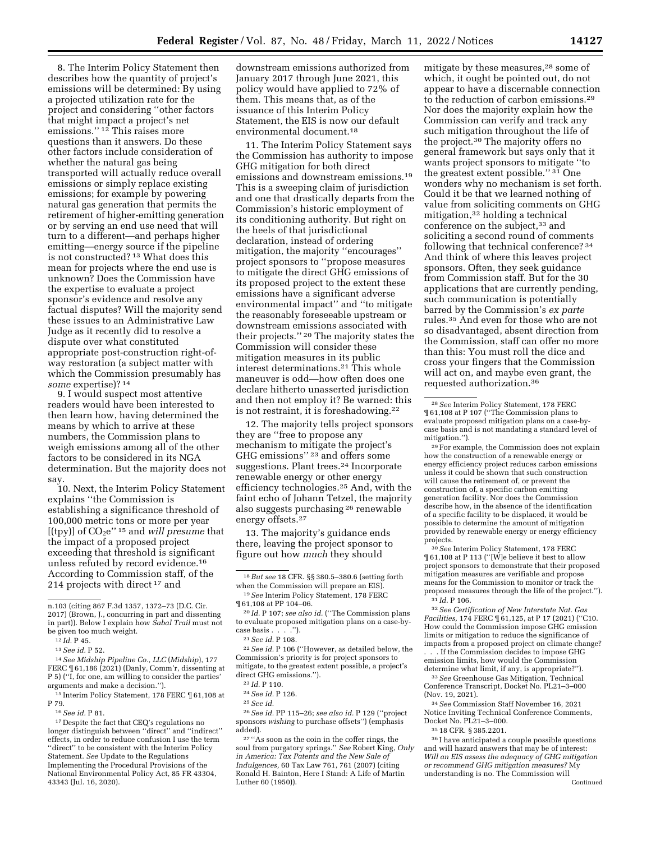8. The Interim Policy Statement then describes how the quantity of project's emissions will be determined: By using a projected utilization rate for the project and considering ''other factors that might impact a project's net emissions.'' 12 This raises more questions than it answers. Do these other factors include consideration of whether the natural gas being transported will actually reduce overall emissions or simply replace existing emissions; for example by powering natural gas generation that permits the retirement of higher-emitting generation or by serving an end use need that will turn to a different—and perhaps higher emitting—energy source if the pipeline is not constructed? 13 What does this mean for projects where the end use is unknown? Does the Commission have the expertise to evaluate a project sponsor's evidence and resolve any factual disputes? Will the majority send these issues to an Administrative Law Judge as it recently did to resolve a dispute over what constituted appropriate post-construction right-ofway restoration (a subject matter with which the Commission presumably has *some* expertise)? 14

9. I would suspect most attentive readers would have been interested to then learn how, having determined the means by which to arrive at these numbers, the Commission plans to weigh emissions among all of the other factors to be considered in its NGA determination. But the majority does not say.

10. Next, the Interim Policy Statement explains ''the Commission is establishing a significance threshold of 100,000 metric tons or more per year [(tpy)] of CO2e'' <sup>15</sup> and *will presume* that the impact of a proposed project exceeding that threshold is significant unless refuted by record evidence.16 According to Commission staff, of the 214 projects with direct 17 and

downstream emissions authorized from January 2017 through June 2021, this policy would have applied to 72% of them. This means that, as of the issuance of this Interim Policy Statement, the EIS is now our default environmental document.18

11. The Interim Policy Statement says the Commission has authority to impose GHG mitigation for both direct emissions and downstream emissions.19 This is a sweeping claim of jurisdiction and one that drastically departs from the Commission's historic employment of its conditioning authority. But right on the heels of that jurisdictional declaration, instead of ordering mitigation, the majority ''encourages'' project sponsors to ''propose measures to mitigate the direct GHG emissions of its proposed project to the extent these emissions have a significant adverse environmental impact'' and ''to mitigate the reasonably foreseeable upstream or downstream emissions associated with their projects.'' 20 The majority states the Commission will consider these mitigation measures in its public interest determinations.21 This whole maneuver is odd—how often does one declare hitherto unasserted jurisdiction and then not employ it? Be warned: this is not restraint, it is foreshadowing.22

12. The majority tells project sponsors they are ''free to propose any mechanism to mitigate the project's GHG emissions'' 23 and offers some suggestions. Plant trees.24 Incorporate renewable energy or other energy efficiency technologies.25 And, with the faint echo of Johann Tetzel, the majority also suggests purchasing 26 renewable energy offsets.<sup>27</sup>

13. The majority's guidance ends there, leaving the project sponsor to figure out how *much* they should

21*See id.* P 108.

22*See id.* P 106 (''However, as detailed below, the Commission's priority is for project sponsors to mitigate, to the greatest extent possible, a project's direct GHG emissions.'').

26*See id.* PP 115–26; *see also id.* P 129 (''project sponsors *wishing* to purchase offsets'') (emphasis added).

27 ''As soon as the coin in the coffer rings, the soul from purgatory springs.'' *See* Robert King, *Only in America: Tax Patents and the New Sale of Indulgences,* 60 Tax Law 761, 761 (2007) (citing Ronald H. Bainton, Here I Stand: A Life of Martin Luther 60 (1950)).

mitigate by these measures,<sup>28</sup> some of which, it ought be pointed out, do not appear to have a discernable connection to the reduction of carbon emissions.29 Nor does the majority explain how the Commission can verify and track any such mitigation throughout the life of the project.30 The majority offers no general framework but says only that it wants project sponsors to mitigate ''to the greatest extent possible." 31 One wonders why no mechanism is set forth. Could it be that we learned nothing of value from soliciting comments on GHG mitigation,32 holding a technical conference on the subject,<sup>33</sup> and soliciting a second round of comments following that technical conference? 34 And think of where this leaves project sponsors. Often, they seek guidance from Commission staff. But for the 30 applications that are currently pending, such communication is potentially barred by the Commission's *ex parte*  rules.35 And even for those who are not so disadvantaged, absent direction from the Commission, staff can offer no more than this: You must roll the dice and cross your fingers that the Commission will act on, and maybe even grant, the requested authorization.36

30*See* Interim Policy Statement, 178 FERC ¶ 61,108 at P 113 (''[W]e believe it best to allow project sponsors to demonstrate that their proposed mitigation measures are verifiable and propose means for the Commission to monitor or track the proposed measures through the life of the project.''). 31 *Id.* P 106.

32*See Certification of New Interstate Nat. Gas Facilities,* 174 FERC ¶ 61,125, at P 17 (2021) (''C10. How could the Commission impose GHG emission limits or mitigation to reduce the significance of impacts from a proposed project on climate change?

. . . If the Commission decides to impose GHG emission limits, how would the Commission determine what limit, if any, is appropriate?'').

33*See* Greenhouse Gas Mitigation, Technical Conference Transcript, Docket No. PL21–3–000 (Nov. 19, 2021).

34*See* Commission Staff November 16, 2021 Notice Inviting Technical Conference Comments, Docket No. PL21–3–000.

36 I have anticipated a couple possible questions and will hazard answers that may be of interest: *Will an EIS assess the adequacy of GHG mitigation or recommend GHG mitigation measures?* My understanding is no. The Commission will Continued

n.103 (citing 867 F.3d 1357, 1372–73 (D.C. Cir. 2017) (Brown, J., concurring in part and dissenting in part)). Below I explain how *Sabal Trail* must not be given too much weight.

<sup>12</sup> *Id.* P 45.

<sup>13</sup>*See id.* P 52.

<sup>14</sup>*See Midship Pipeline Co., LLC* (*Midship*), 177 FERC ¶ 61,186 (2021) (Danly, Comm'r, dissenting at P 5) (''I, for one, am willing to consider the parties' arguments and make a decision.'').

<sup>15</sup> Interim Policy Statement, 178 FERC ¶ 61,108 at P 79.

<sup>16</sup>*See id.* P 81.

<sup>17</sup> Despite the fact that CEQ's regulations no longer distinguish between ''direct'' and ''indirect'' effects, in order to reduce confusion I use the term "direct" to be consistent with the Interim Policy Statement. *See* Update to the Regulations Implementing the Procedural Provisions of the National Environmental Policy Act, 85 FR 43304, 43343 (Jul. 16, 2020).

<sup>18</sup>*But see* 18 CFR. §§ 380.5–380.6 (setting forth when the Commission will prepare an EIS).

<sup>19</sup>*See* Interim Policy Statement, 178 FERC ¶ 61,108 at PP 104–06.

<sup>20</sup> *Id.* P 107; *see also id.* (''The Commission plans to evaluate proposed mitigation plans on a case-bycase basis . . . .'').

<sup>23</sup> *Id.* P 110.

<sup>24</sup>*See id.* P 126. 25*See id.* 

<sup>28</sup>*See* Interim Policy Statement, 178 FERC ¶ 61,108 at P 107 (''The Commission plans to evaluate proposed mitigation plans on a case-bycase basis and is not mandating a standard level of mitigation.'').

<sup>29</sup>For example, the Commission does not explain how the construction of a renewable energy or energy efficiency project reduces carbon emissions unless it could be shown that such construction will cause the retirement of, or prevent the construction of, a specific carbon emitting generation facility. Nor does the Commission describe how, in the absence of the identification of a specific facility to be displaced, it would be possible to determine the amount of mitigation provided by renewable energy or energy efficiency projects.

<sup>35</sup> 18 CFR. § 385.2201.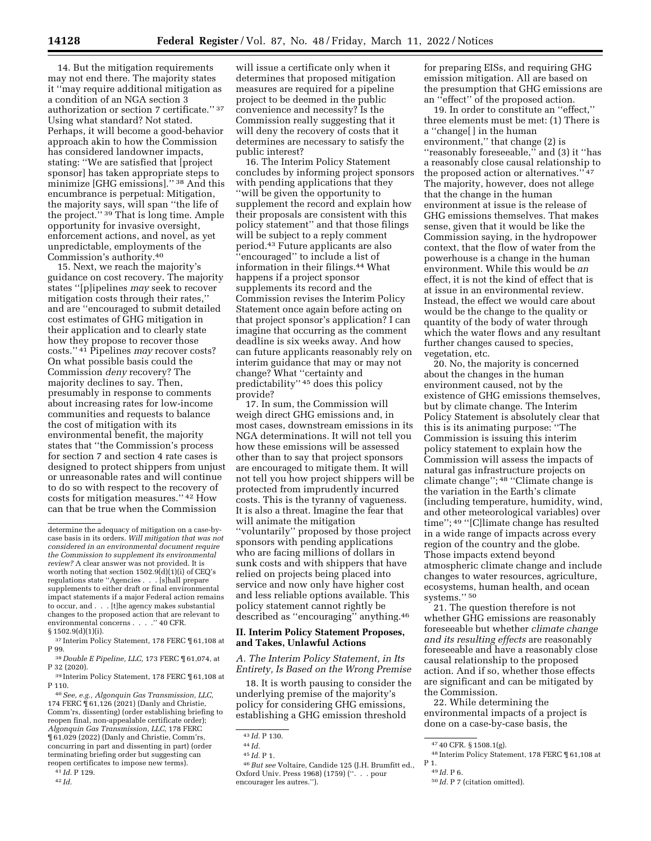14. But the mitigation requirements may not end there. The majority states it ''may require additional mitigation as a condition of an NGA section 3 authorization or section 7 certificate.'' 37 Using what standard? Not stated. Perhaps, it will become a good-behavior approach akin to how the Commission has considered landowner impacts, stating: ''We are satisfied that [project sponsor] has taken appropriate steps to minimize [GHG emissions].'' 38 And this encumbrance is perpetual: Mitigation, the majority says, will span ''the life of the project.'' 39 That is long time. Ample opportunity for invasive oversight, enforcement actions, and novel, as yet unpredictable, employments of the Commission's authority.40

15. Next, we reach the majority's guidance on cost recovery. The majority states ''[p]ipelines *may* seek to recover mitigation costs through their rates,'' and are ''encouraged to submit detailed cost estimates of GHG mitigation in their application and to clearly state how they propose to recover those costs.'' 41 Pipelines *may* recover costs? On what possible basis could the Commission *deny* recovery? The majority declines to say. Then, presumably in response to comments about increasing rates for low-income communities and requests to balance the cost of mitigation with its environmental benefit, the majority states that ''the Commission's process for section 7 and section 4 rate cases is designed to protect shippers from unjust or unreasonable rates and will continue to do so with respect to the recovery of costs for mitigation measures.'' 42 How can that be true when the Commission

40*See, e.g., Algonquin Gas Transmission, LLC,*  174 FERC ¶ 61,126 (2021) (Danly and Christie, Comm'rs, dissenting) (order establishing briefing to reopen final, non-appealable certificate order); *Algonquin Gas Transmission, LLC,* 178 FERC ¶ 61,029 (2022) (Danly and Christie, Comm'rs, concurring in part and dissenting in part) (order terminating briefing order but suggesting can reopen certificates to impose new terms).

will issue a certificate only when it determines that proposed mitigation measures are required for a pipeline project to be deemed in the public convenience and necessity? Is the Commission really suggesting that it will deny the recovery of costs that it determines are necessary to satisfy the public interest?

16. The Interim Policy Statement concludes by informing project sponsors with pending applications that they ''will be given the opportunity to supplement the record and explain how their proposals are consistent with this policy statement'' and that those filings will be subject to a reply comment period.43 Future applicants are also ''encouraged'' to include a list of information in their filings.44 What happens if a project sponsor supplements its record and the Commission revises the Interim Policy Statement once again before acting on that project sponsor's application? I can imagine that occurring as the comment deadline is six weeks away. And how can future applicants reasonably rely on interim guidance that may or may not change? What ''certainty and predictability'' 45 does this policy provide?

17. In sum, the Commission will weigh direct GHG emissions and, in most cases, downstream emissions in its NGA determinations. It will not tell you how these emissions will be assessed other than to say that project sponsors are encouraged to mitigate them. It will not tell you how project shippers will be protected from imprudently incurred costs. This is the tyranny of vagueness. It is also a threat. Imagine the fear that will animate the mitigation ''voluntarily'' proposed by those project sponsors with pending applications who are facing millions of dollars in sunk costs and with shippers that have relied on projects being placed into service and now only have higher cost and less reliable options available. This policy statement cannot rightly be described as ''encouraging'' anything.46

#### **II. Interim Policy Statement Proposes, and Takes, Unlawful Actions**

*A. The Interim Policy Statement, in Its Entirety, Is Based on the Wrong Premise* 

18. It is worth pausing to consider the underlying premise of the majority's policy for considering GHG emissions, establishing a GHG emission threshold

for preparing EISs, and requiring GHG emission mitigation. All are based on the presumption that GHG emissions are an ''effect'' of the proposed action.

19. In order to constitute an ''effect,'' three elements must be met: (1) There is a ''change[ ] in the human environment,'' that change (2) is ''reasonably foreseeable,'' and (3) it ''has a reasonably close causal relationship to the proposed action or alternatives.'' 47 The majority, however, does not allege that the change in the human environment at issue is the release of GHG emissions themselves. That makes sense, given that it would be like the Commission saying, in the hydropower context, that the flow of water from the powerhouse is a change in the human environment. While this would be *an*  effect, it is not the kind of effect that is at issue in an environmental review. Instead, the effect we would care about would be the change to the quality or quantity of the body of water through which the water flows and any resultant further changes caused to species, vegetation, etc.

20. No, the majority is concerned about the changes in the human environment caused, not by the existence of GHG emissions themselves, but by climate change. The Interim Policy Statement is absolutely clear that this is its animating purpose: ''The Commission is issuing this interim policy statement to explain how the Commission will assess the impacts of natural gas infrastructure projects on climate change''; 48 ''Climate change is the variation in the Earth's climate (including temperature, humidity, wind, and other meteorological variables) over time''; 49 ''[C]limate change has resulted in a wide range of impacts across every region of the country and the globe. Those impacts extend beyond atmospheric climate change and include changes to water resources, agriculture, ecosystems, human health, and ocean systems."<sup>50</sup>

21. The question therefore is not whether GHG emissions are reasonably foreseeable but whether *climate change and its resulting effects* are reasonably foreseeable and have a reasonably close causal relationship to the proposed action. And if so, whether those effects are significant and can be mitigated by the Commission.

22. While determining the environmental impacts of a project is done on a case-by-case basis, the

determine the adequacy of mitigation on a case-bycase basis in its orders. *Will mitigation that was not considered in an environmental document require the Commission to supplement its environmental review?* A clear answer was not provided. It is worth noting that section  $1502.\overline{9(d)}(1)(i)$  of CEQ's regulations state ''Agencies . . . [s]hall prepare supplements to either draft or final environmental impact statements if a major Federal action remains to occur, and . . . [t]he agency makes substantial changes to the proposed action that are relevant to environmental concerns . . . .'' 40 CFR. § 1502.9(d)(1)(i).

<sup>37</sup> Interim Policy Statement, 178 FERC ¶ 61,108 at P 99.

<sup>38</sup> *Double E Pipeline, LLC,* 173 FERC ¶ 61,074, at P 32 (2020).

<sup>39</sup> Interim Policy Statement, 178 FERC ¶ 61,108 at P 110.

<sup>41</sup> *Id.* P 129.

<sup>42</sup> *Id.* 

<sup>43</sup> *Id.* P 130.

<sup>44</sup> *Id.* 

<sup>45</sup> *Id.* P 1.

<sup>46</sup>*But see* Voltaire, Candide 125 (J.H. Brumfitt ed., Oxford Univ. Press 1968) (1759) (''. . . pour encourager les autres.'').

<sup>47</sup> 40 CFR. § 1508.1(g).

<sup>48</sup> Interim Policy Statement, 178 FERC ¶ 61,108 at P 1.

<sup>49</sup> *Id.* P 6.

<sup>50</sup> *Id.* P 7 (citation omitted).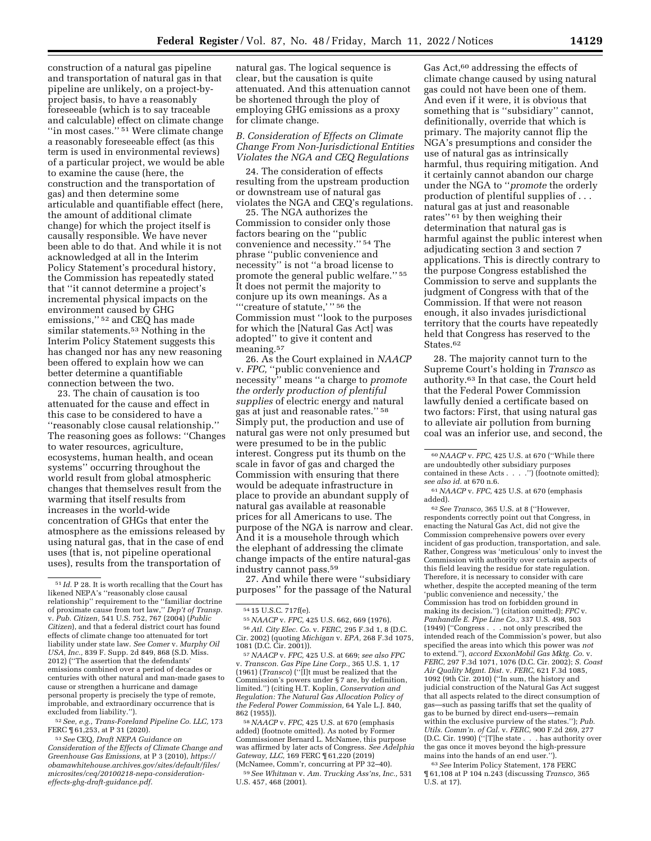construction of a natural gas pipeline and transportation of natural gas in that pipeline are unlikely, on a project-byproject basis, to have a reasonably foreseeable (which is to say traceable and calculable) effect on climate change ''in most cases.'' 51 Were climate change a reasonably foreseeable effect (as this term is used in environmental reviews) of a particular project, we would be able to examine the cause (here, the construction and the transportation of gas) and then determine some articulable and quantifiable effect (here, the amount of additional climate change) for which the project itself is causally responsible. We have never been able to do that. And while it is not acknowledged at all in the Interim Policy Statement's procedural history, the Commission has repeatedly stated that ''it cannot determine a project's incremental physical impacts on the environment caused by GHG emissions,'' 52 and CEQ has made similar statements.<sup>53</sup> Nothing in the Interim Policy Statement suggests this has changed nor has any new reasoning been offered to explain how we can better determine a quantifiable connection between the two.

23. The chain of causation is too attenuated for the cause and effect in this case to be considered to have a ''reasonably close causal relationship.'' The reasoning goes as follows: ''Changes to water resources, agriculture, ecosystems, human health, and ocean systems'' occurring throughout the world result from global atmospheric changes that themselves result from the warming that itself results from increases in the world-wide concentration of GHGs that enter the atmosphere as the emissions released by using natural gas, that in the case of end uses (that is, not pipeline operational uses), results from the transportation of

52*See, e.g., Trans-Foreland Pipeline Co. LLC,* 173 FERC ¶ 61,253, at P 31 (2020).

53*See* CEQ, *Draft NEPA Guidance on Consideration of the Effects of Climate Change and Greenhouse Gas Emissions,* at P 3 (2010), *[https://](https://obamawhitehouse.archives.gov/sites/default/files/microsites/ceq/20100218-nepa-consideration-effects-ghg-draft-guidance.pdf)  [obamawhitehouse.archives.gov/sites/default/files/](https://obamawhitehouse.archives.gov/sites/default/files/microsites/ceq/20100218-nepa-consideration-effects-ghg-draft-guidance.pdf)  [microsites/ceq/20100218-nepa-consideration](https://obamawhitehouse.archives.gov/sites/default/files/microsites/ceq/20100218-nepa-consideration-effects-ghg-draft-guidance.pdf)[effects-ghg-draft-guidance.pdf](https://obamawhitehouse.archives.gov/sites/default/files/microsites/ceq/20100218-nepa-consideration-effects-ghg-draft-guidance.pdf)*.

natural gas. The logical sequence is clear, but the causation is quite attenuated. And this attenuation cannot be shortened through the ploy of employing GHG emissions as a proxy for climate change.

#### *B. Consideration of Effects on Climate Change From Non-Jurisdictional Entities Violates the NGA and CEQ Regulations*

24. The consideration of effects resulting from the upstream production or downstream use of natural gas violates the NGA and CEQ's regulations.

25. The NGA authorizes the Commission to consider only those factors bearing on the ''public convenience and necessity.'' 54 The phrase ''public convenience and necessity'' is not ''a broad license to promote the general public welfare.'' 55 It does not permit the majority to conjure up its own meanings. As a '''creature of statute,' '' 56 the Commission must ''look to the purposes for which the [Natural Gas Act] was adopted'' to give it content and meaning.57

26. As the Court explained in *NAACP*  v. *FPC,* ''public convenience and necessity'' means ''a charge to *promote the orderly production of plentiful supplies* of electric energy and natural gas at just and reasonable rates.'' 58 Simply put, the production and use of natural gas were not only presumed but were presumed to be in the public interest. Congress put its thumb on the scale in favor of gas and charged the Commission with ensuring that there would be adequate infrastructure in place to provide an abundant supply of natural gas available at reasonable prices for all Americans to use. The purpose of the NGA is narrow and clear. And it is a mousehole through which the elephant of addressing the climate change impacts of the entire natural-gas industry cannot pass.59

27. And while there were ''subsidiary purposes'' for the passage of the Natural

1081 (D.C. Cir. 2001)). 57*NAACP* v. *FPC,* 425 U.S. at 669; *see also FPC*  v. *Transcon. Gas Pipe Line Corp.,* 365 U.S. 1, 17 (1961) (*Transco*) (''[I]t must be realized that the Commission's powers under § 7 are, by definition, limited.'') (citing H.T. Koplin, *Conservation and Regulation: The Natural Gas Allocation Policy of the Federal Power Commission,* 64 Yale L.J. 840,

862 (1955)). 58*NAACP* v. *FPC,* 425 U.S. at 670 (emphasis added) (footnote omitted). As noted by Former Commissioner Bernard L. McNamee, this purpose was affirmed by later acts of Congress. *See Adelphia Gateway, LLC,* 169 FERC ¶ 61,220 (2019) (McNamee, Comm'r, concurring at PP 32–40).

59*See Whitman* v. *Am. Trucking Ass'ns, Inc.,* 531 U.S. 457, 468 (2001).

Gas Act,<sup>60</sup> addressing the effects of climate change caused by using natural gas could not have been one of them. And even if it were, it is obvious that something that is ''subsidiary'' cannot, definitionally, override that which is primary. The majority cannot flip the NGA's presumptions and consider the use of natural gas as intrinsically harmful, thus requiring mitigation. And it certainly cannot abandon our charge under the NGA to ''*promote* the orderly production of plentiful supplies of . . . natural gas at just and reasonable rates'' 61 by then weighing their determination that natural gas is harmful against the public interest when adjudicating section 3 and section 7 applications. This is directly contrary to the purpose Congress established the Commission to serve and supplants the judgment of Congress with that of the Commission. If that were not reason enough, it also invades jurisdictional territory that the courts have repeatedly held that Congress has reserved to the States.<sup>62</sup>

28. The majority cannot turn to the Supreme Court's holding in *Transco* as authority.63 In that case, the Court held that the Federal Power Commission lawfully denied a certificate based on two factors: First, that using natural gas to alleviate air pollution from burning coal was an inferior use, and second, the

61*NAACP* v. *FPC,* 425 U.S. at 670 (emphasis added).

62*See Transco,* 365 U.S. at 8 (''However, respondents correctly point out that Congress, in enacting the Natural Gas Act, did not give the Commission comprehensive powers over every incident of gas production, transportation, and sale. Rather, Congress was 'meticulous' only to invest the Commission with authority over certain aspects of this field leaving the residue for state regulation. Therefore, it is necessary to consider with care whether, despite the accepted meaning of the term 'public convenience and necessity,' the Commission has trod on forbidden ground in making its decision.'') (citation omitted); *FPC* v. *Panhandle E. Pipe Line Co.,* 337 U.S. 498, 503 (1949) (''Congress . . . not only prescribed the intended reach of the Commission's power, but also specified the areas into which this power was *not*  to extend.''), *accord ExxonMobil Gas Mktg. Co.* v. *FERC,* 297 F.3d 1071, 1076 (D.C. Cir. 2002); *S. Coast Air Quality Mgmt. Dist.* v. *FERC,* 621 F.3d 1085, 1092 (9th Cir. 2010) (''In sum, the history and judicial construction of the Natural Gas Act suggest that all aspects related to the direct consumption of gas—such as passing tariffs that set the quality of gas to be burned by direct end-users—remain within the exclusive purview of the states.''); *Pub. Utils. Comm'n. of Cal.* v. *FERC,* 900 F.2d 269, 277 (D.C. Cir. 1990) (''[T]he state . . . has authority over the gas once it moves beyond the high-pressure mains into the hands of an end user.'').

63*See* Interim Policy Statement, 178 FERC ¶ 61,108 at P 104 n.243 (discussing *Transco,* 365 U.S. at 17).

<sup>51</sup> *Id.* P 28. It is worth recalling that the Court has likened NEPA's ''reasonably close causal relationship'' requirement to the ''familiar doctrine of proximate cause from tort law,'' *Dep't of Transp.*  v. *Pub. Citizen,* 541 U.S. 752, 767 (2004) (*Public Citizen*), and that a federal district court has found effects of climate change too attenuated for tort liability under state law. *See Comer* v. *Murphy Oil USA, Inc.,* 839 F. Supp. 2d 849, 868 (S.D. Miss. 2012) (''The assertion that the defendants' emissions combined over a period of decades or centuries with other natural and man-made gases to cause or strengthen a hurricane and damage personal property is precisely the type of remote, improbable, and extraordinary occurrence that is excluded from liability.'').

<sup>54</sup> 15 U.S.C. 717f(e). 55*NAACP* v. *FPC,* 425 U.S. 662, 669 (1976). 56*Atl. City Elec. Co.* v. *FERC,* 295 F.3d 1, 8 (D.C. Cir. 2002) (quoting *Michigan* v. *EPA,* 268 F.3d 1075,

<sup>60</sup>*NAACP* v. *FPC,* 425 U.S. at 670 (''While there are undoubtedly other subsidiary purposes contained in these Acts . . . .'') (footnote omitted); *see also id.* at 670 n.6.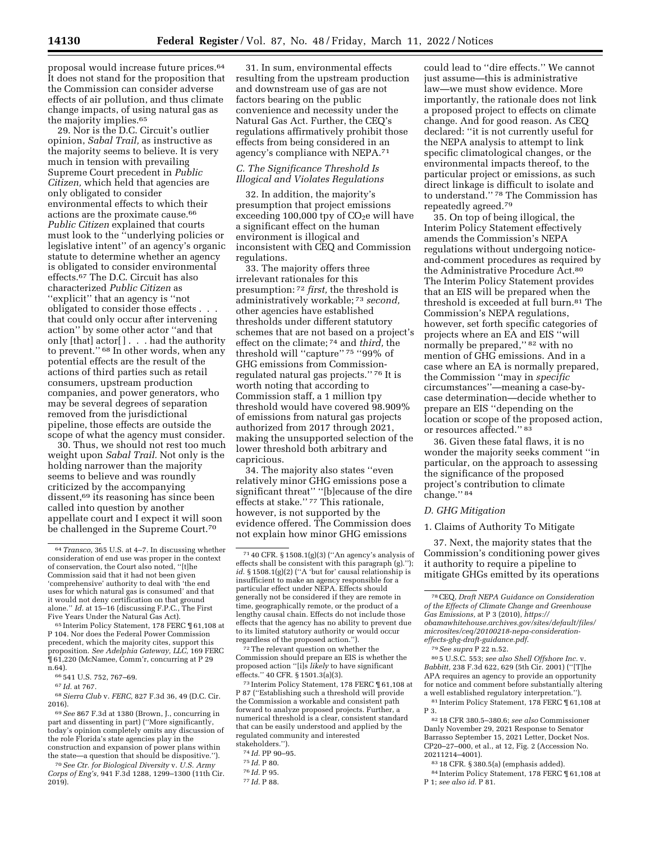proposal would increase future prices.64 It does not stand for the proposition that the Commission can consider adverse effects of air pollution, and thus climate change impacts, of using natural gas as the majority implies.<sup>65</sup>

29. Nor is the D.C. Circuit's outlier opinion, *Sabal Trail,* as instructive as the majority seems to believe. It is very much in tension with prevailing Supreme Court precedent in *Public Citizen,* which held that agencies are only obligated to consider environmental effects to which their actions are the proximate cause.66 *Public Citizen* explained that courts must look to the ''underlying policies or legislative intent'' of an agency's organic statute to determine whether an agency is obligated to consider environmental effects.67 The D.C. Circuit has also characterized *Public Citizen* as ''explicit'' that an agency is ''not obligated to consider those effects . . . that could only occur after intervening action'' by some other actor ''and that only [that] actor[ ] . . . had the authority to prevent."<sup>68</sup> In other words, when any potential effects are the result of the actions of third parties such as retail consumers, upstream production companies, and power generators, who may be several degrees of separation removed from the jurisdictional pipeline, those effects are outside the scope of what the agency must consider.

30. Thus, we should not rest too much weight upon *Sabal Trail.* Not only is the holding narrower than the majority seems to believe and was roundly criticized by the accompanying dissent,69 its reasoning has since been called into question by another appellate court and I expect it will soon be challenged in the Supreme Court.70

31. In sum, environmental effects resulting from the upstream production and downstream use of gas are not factors bearing on the public convenience and necessity under the Natural Gas Act. Further, the CEQ's regulations affirmatively prohibit those effects from being considered in an agency's compliance with NEPA.71

### *C. The Significance Threshold Is Illogical and Violates Regulations*

32. In addition, the majority's presumption that project emissions exceeding 100,000 tpy of  $CO<sub>2</sub>e$  will have a significant effect on the human environment is illogical and inconsistent with CEQ and Commission regulations.

33. The majority offers three irrelevant rationales for this presumption: 72 *first,* the threshold is administratively workable; 73 *second,*  other agencies have established thresholds under different statutory schemes that are not based on a project's effect on the climate; 74 and *third,* the threshold will ''capture'' 75 ''99% of GHG emissions from Commissionregulated natural gas projects.'' 76 It is worth noting that according to Commission staff, a 1 million tpy threshold would have covered 98.909% of emissions from natural gas projects authorized from 2017 through 2021, making the unsupported selection of the lower threshold both arbitrary and capricious.

34. The majority also states ''even relatively minor GHG emissions pose a significant threat'' ''[b]ecause of the dire effects at stake.'' 77 This rationale, however, is not supported by the evidence offered. The Commission does not explain how minor GHG emissions

72The relevant question on whether the Commission should prepare an EIS is whether the proposed action ''[i]s *likely* to have significant effects.'' 40 CFR. § 1501.3(a)(3).

73 Interim Policy Statement, 178 FERC ¶ 61,108 at P 87 (''Establishing such a threshold will provide the Commission a workable and consistent path forward to analyze proposed projects. Further, a numerical threshold is a clear, consistent standard that can be easily understood and applied by the regulated community and interested stakeholders.'').

could lead to ''dire effects.'' We cannot just assume—this is administrative law—we must show evidence. More importantly, the rationale does not link a proposed project to effects on climate change. And for good reason. As CEQ declared: ''it is not currently useful for the NEPA analysis to attempt to link specific climatological changes, or the environmental impacts thereof, to the particular project or emissions, as such direct linkage is difficult to isolate and to understand.'' 78 The Commission has repeatedly agreed.79

35. On top of being illogical, the Interim Policy Statement effectively amends the Commission's NEPA regulations without undergoing noticeand-comment procedures as required by the Administrative Procedure Act.80 The Interim Policy Statement provides that an EIS will be prepared when the threshold is exceeded at full burn.81 The Commission's NEPA regulations, however, set forth specific categories of projects where an EA and EIS ''will normally be prepared,'' 82 with no mention of GHG emissions. And in a case where an EA is normally prepared, the Commission ''may in *specific*  circumstances''—meaning a case-bycase determination—decide whether to prepare an EIS ''depending on the location or scope of the proposed action, or resources affected.'' 83

36. Given these fatal flaws, it is no wonder the majority seeks comment ''in particular, on the approach to assessing the significance of the proposed project's contribution to climate change.'' 84

#### *D. GHG Mitigation*

#### 1. Claims of Authority To Mitigate

37. Next, the majority states that the Commission's conditioning power gives it authority to require a pipeline to mitigate GHGs emitted by its operations

80 5 U.S.C. 553; *see also Shell Offshore Inc.* v. *Babbitt,* 238 F.3d 622, 629 (5th Cir. 2001) (''[T]he APA requires an agency to provide an opportunity for notice and comment before substantially altering a well established regulatory interpretation.''). 81 Interim Policy Statement, 178 FERC ¶ 61,108 at

83 18 CFR. § 380.5(a) (emphasis added).

<sup>64</sup>*Transco,* 365 U.S. at 4–7. In discussing whether consideration of end use was proper in the context of conservation, the Court also noted, ''[t]he Commission said that it had not been given 'comprehensive' authority to deal with 'the end uses for which natural gas is consumed' and that it would not deny certification on that ground alone.'' *Id.* at 15–16 (discussing F.P.C., The First Five Years Under the Natural Gas Act).

<sup>65</sup> Interim Policy Statement, 178 FERC ¶ 61,108 at P 104. Nor does the Federal Power Commission precedent, which the majority cites, support this proposition. *See Adelphia Gateway, LLC,* 169 FERC ¶ 61,220 (McNamee, Comm'r, concurring at P 29 n.64).

<sup>66</sup> 541 U.S. 752, 767–69.

<sup>67</sup> *Id.* at 767.

<sup>68</sup>*Sierra Club* v. *FERC,* 827 F.3d 36, 49 (D.C. Cir. 2016).

<sup>69</sup>*See* 867 F.3d at 1380 (Brown, J., concurring in part and dissenting in part) (''More significantly, today's opinion completely omits any discussion of the role Florida's state agencies play in the construction and expansion of power plans within the state—a question that should be dispositive.'').

<sup>70</sup>*See Ctr. for Biological Diversity* v. *U.S. Army Corps of Eng's,* 941 F.3d 1288, 1299–1300 (11th Cir. 2019).

<sup>71</sup> 40 CFR. § 1508.1(g)(3) (''An agency's analysis of effects shall be consistent with this paragraph (g).''); *id.* § 1508.1(g)(2) (''A 'but for' causal relationship is insufficient to make an agency responsible for a particular effect under NEPA. Effects should generally not be considered if they are remote in time, geographically remote, or the product of a lengthy causal chain. Effects do not include those effects that the agency has no ability to prevent due to its limited statutory authority or would occur regardless of the proposed action.'').

<sup>74</sup> *Id.* PP 90–95.

<sup>75</sup> *Id.* P 80.

<sup>76</sup> *Id.* P 95.

<sup>77</sup> *Id.* P 88.

<sup>78</sup>CEQ, *Draft NEPA Guidance on Consideration of the Effects of Climate Change and Greenhouse Gas Emissions,* at P 3 (2010), *[https://](https://obamawhitehouse.archives.gov/sites/default/files/microsites/ceq/20100218-nepa-consideration-effects-ghg-draft-guidance.pdf) [obamawhitehouse.archives.gov/sites/default/files/](https://obamawhitehouse.archives.gov/sites/default/files/microsites/ceq/20100218-nepa-consideration-effects-ghg-draft-guidance.pdf)  [microsites/ceq/20100218-nepa-consideration](https://obamawhitehouse.archives.gov/sites/default/files/microsites/ceq/20100218-nepa-consideration-effects-ghg-draft-guidance.pdf)[effects-ghg-draft-guidance.pdf](https://obamawhitehouse.archives.gov/sites/default/files/microsites/ceq/20100218-nepa-consideration-effects-ghg-draft-guidance.pdf)*.

<sup>79</sup>*See supra* P 22 n.52.

P 3.

<sup>82</sup> 18 CFR 380.5–380.6; *see also* Commissioner Danly November 29, 2021 Response to Senator Barrasso September 15, 2021 Letter, Docket Nos. CP20–27–000, et al., at 12, Fig. 2 (Accession No. 20211214–4001).

<sup>84</sup> Interim Policy Statement, 178 FERC ¶ 61,108 at P 1; *see also id.* P 81.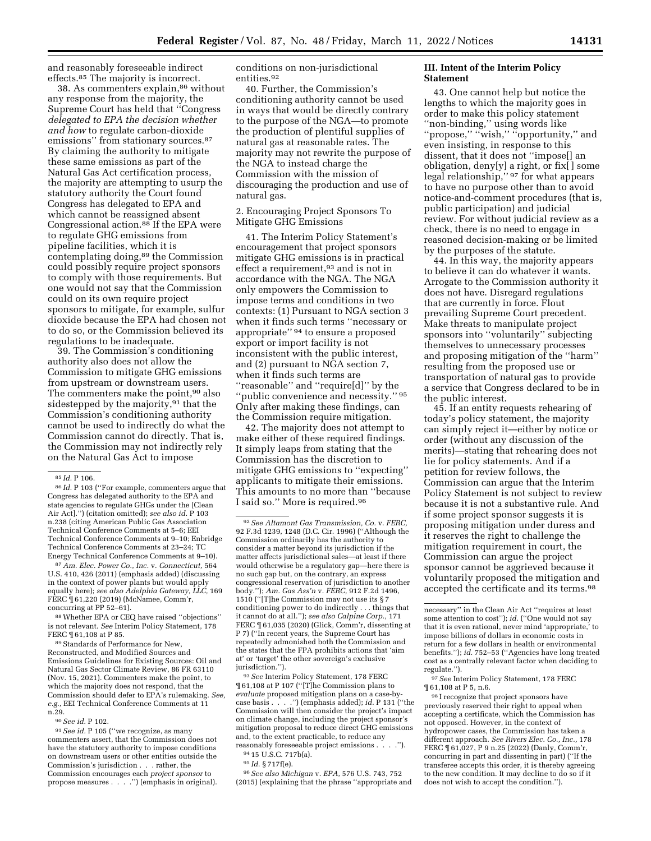and reasonably foreseeable indirect effects.85 The majority is incorrect.

38. As commenters explain,86 without any response from the majority, the Supreme Court has held that ''Congress *delegated to EPA the decision whether and how* to regulate carbon-dioxide emissions" from stationary sources.<sup>87</sup> By claiming the authority to mitigate these same emissions as part of the Natural Gas Act certification process, the majority are attempting to usurp the statutory authority the Court found Congress has delegated to EPA and which cannot be reassigned absent Congressional action.88 If the EPA were to regulate GHG emissions from pipeline facilities, which it is contemplating doing,89 the Commission could possibly require project sponsors to comply with those requirements. But one would not say that the Commission could on its own require project sponsors to mitigate, for example, sulfur dioxide because the EPA had chosen not to do so, or the Commission believed its regulations to be inadequate.

39. The Commission's conditioning authority also does not allow the Commission to mitigate GHG emissions from upstream or downstream users. The commenters make the point,<sup>90</sup> also sidestepped by the majority,  $91$  that the Commission's conditioning authority cannot be used to indirectly do what the Commission cannot do directly. That is, the Commission may not indirectly rely on the Natural Gas Act to impose

87*Am. Elec. Power Co., Inc.* v. *Connecticut,* 564 U.S. 410, 426 (2011) (emphasis added) (discussing in the context of power plants but would apply equally here); *see also Adelphia Gateway, LLC,* 169 FERC ¶ 61,220 (2019) (McNamee, Comm'r, concurring at PP 52–61).

88Whether EPA or CEQ have raised ''objections'' is not relevant. *See* Interim Policy Statement, 178 FERC ¶ 61,108 at P 85.

89Standards of Performance for New, Reconstructed, and Modified Sources and Emissions Guidelines for Existing Sources: Oil and Natural Gas Sector Climate Review, 86 FR 63110 (Nov. 15, 2021). Commenters make the point, to which the majority does not respond, that the Commission should defer to EPA's rulemaking. *See, e.g.,* EEI Technical Conference Comments at 11 n.29.

90*See id.* P 102.

91*See id.* P 105 (''we recognize, as many commenters assert, that the Commission does not have the statutory authority to impose conditions on downstream users or other entities outside the Commission's jurisdiction . . . rather, the Commission encourages each *project sponsor* to propose measures . . . .'') (emphasis in original). conditions on non-jurisdictional entities.92

40. Further, the Commission's conditioning authority cannot be used in ways that would be directly contrary to the purpose of the NGA—to promote the production of plentiful supplies of natural gas at reasonable rates. The majority may not rewrite the purpose of the NGA to instead charge the Commission with the mission of discouraging the production and use of natural gas.

## 2. Encouraging Project Sponsors To Mitigate GHG Emissions

41. The Interim Policy Statement's encouragement that project sponsors mitigate GHG emissions is in practical effect a requirement,<sup>93</sup> and is not in accordance with the NGA. The NGA only empowers the Commission to impose terms and conditions in two contexts: (1) Pursuant to NGA section 3 when it finds such terms ''necessary or appropriate'' 94 to ensure a proposed export or import facility is not inconsistent with the public interest, and (2) pursuant to NGA section 7, when it finds such terms are ''reasonable'' and ''require[d]'' by the ''public convenience and necessity.'' 95 Only after making these findings, can the Commission require mitigation.

42. The majority does not attempt to make either of these required findings. It simply leaps from stating that the Commission has the discretion to mitigate GHG emissions to ''expecting'' applicants to mitigate their emissions. This amounts to no more than ''because I said so.'' More is required.96

93*See* Interim Policy Statement, 178 FERC ¶ 61,108 at P 107 (''[T]he Commission plans to *evaluate* proposed mitigation plans on a case-bycase basis . . . .'') (emphasis added); *id.* P 131 (''the Commission will then consider the project's impact on climate change, including the project sponsor's mitigation proposal to reduce direct GHG emissions and, to the extent practicable, to reduce any reasonably foreseeable project emissions . . . .'').

94 15 U.S.C. 717b(a).

95 *Id.* § 717f(e).

96*See also Michigan* v. *EPA,* 576 U.S. 743, 752 (2015) (explaining that the phrase ''appropriate and

#### **III. Intent of the Interim Policy Statement**

43. One cannot help but notice the lengths to which the majority goes in order to make this policy statement ''non-binding,'' using words like ''propose,'' ''wish,'' ''opportunity,'' and even insisting, in response to this dissent, that it does not ''impose[] an obligation, deny[y] a right, or fix[ ] some legal relationship," <sup>97</sup> for what appears to have no purpose other than to avoid notice-and-comment procedures (that is, public participation) and judicial review. For without judicial review as a check, there is no need to engage in reasoned decision-making or be limited by the purposes of the statute.

44. In this way, the majority appears to believe it can do whatever it wants. Arrogate to the Commission authority it does not have. Disregard regulations that are currently in force. Flout prevailing Supreme Court precedent. Make threats to manipulate project sponsors into ''voluntarily'' subjecting themselves to unnecessary processes and proposing mitigation of the ''harm'' resulting from the proposed use or transportation of natural gas to provide a service that Congress declared to be in the public interest.

45. If an entity requests rehearing of today's policy statement, the majority can simply reject it—either by notice or order (without any discussion of the merits)—stating that rehearing does not lie for policy statements. And if a petition for review follows, the Commission can argue that the Interim Policy Statement is not subject to review because it is not a substantive rule. And if some project sponsor suggests it is proposing mitigation under duress and it reserves the right to challenge the mitigation requirement in court, the Commission can argue the project sponsor cannot be aggrieved because it voluntarily proposed the mitigation and accepted the certificate and its terms.98

97*See* Interim Policy Statement, 178 FERC ¶ 61,108 at P 5, n.6.

 $^{98}\mathrm{I}$  recognize that project sponsors have previously reserved their right to appeal when accepting a certificate, which the Commission has not opposed. However, in the context of hydropower cases, the Commission has taken a different approach. *See Rivers Elec. Co., Inc.,* 178 FERC ¶ 61,027, P 9 n.25 (2022) (Danly, Comm'r, concurring in part and dissenting in part) (''If the transferee accepts this order, it is thereby agreeing to the new condition. It may decline to do so if it does not wish to accept the condition.'').

<sup>85</sup> *Id.* P 106.

<sup>86</sup> *Id.* P 103 (''For example, commenters argue that Congress has delegated authority to the EPA and state agencies to regulate GHGs under the [Clean Air Act].'') (citation omitted); *see also id.* P 103 n.238 (citing American Public Gas Association Technical Conference Comments at 5–6; EEI Technical Conference Comments at 9–10; Enbridge Technical Conference Comments at 23–24; TC Energy Technical Conference Comments at 9–10).

<sup>92</sup>*See Altamont Gas Transmission, Co.* v. *FERC,*  92 F.3d 1239, 1248 (D.C. Cir. 1996) (''Although the Commission ordinarily has the authority to consider a matter beyond its jurisdiction if the matter affects jurisdictional sales—at least if there would otherwise be a regulatory gap—here there is no such gap but, on the contrary, an express congressional reservation of jurisdiction to another body.''); *Am. Gas Ass'n* v. *FERC,* 912 F.2d 1496, 1510 (''[T]he Commission may not use its § 7 conditioning power to do indirectly . . . things that it cannot do at all.''); *see also Calpine Corp.,* 171 FERC ¶ 61,035 (2020) (Glick, Comm'r, dissenting at P 7) (''In recent years, the Supreme Court has repeatedly admonished both the Commission and the states that the FPA prohibits actions that 'aim at' or 'target' the other sovereign's exclusive jurisdiction.'').

necessary'' in the Clean Air Act ''requires at least some attention to cost"); *id.* ("One would not say that it is even rational, never mind 'appropriate,' to impose billions of dollars in economic costs in return for a few dollars in health or environmental benefits.''); *id.* 752–53 (''Agencies have long treated cost as a centrally relevant factor when deciding to regulate.'').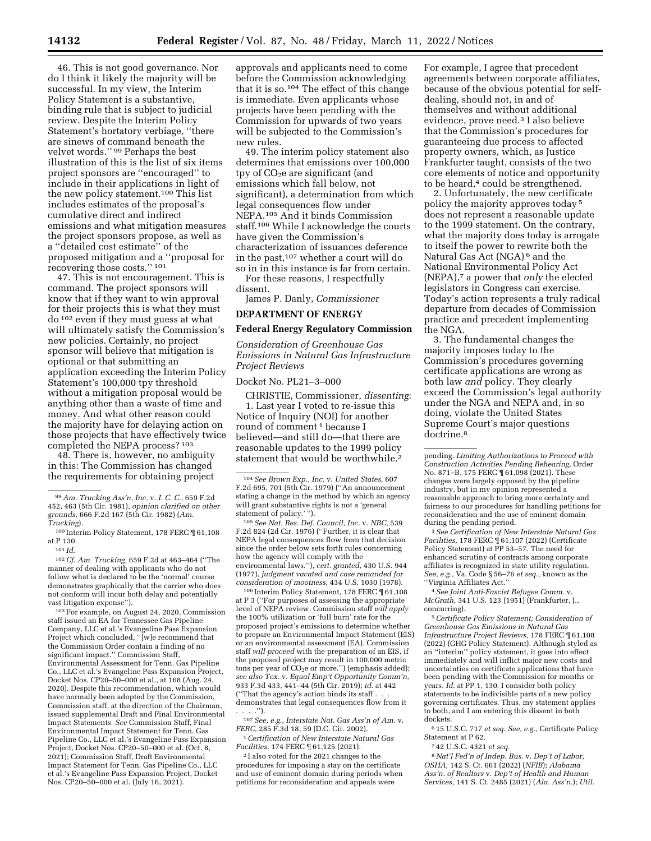46. This is not good governance. Nor do I think it likely the majority will be successful. In my view, the Interim Policy Statement is a substantive, binding rule that is subject to judicial review. Despite the Interim Policy Statement's hortatory verbiage, ''there are sinews of command beneath the velvet words.'' 99 Perhaps the best illustration of this is the list of six items project sponsors are ''encouraged'' to include in their applications in light of the new policy statement.100 This list includes estimates of the proposal's cumulative direct and indirect emissions and what mitigation measures the project sponsors propose, as well as a ''detailed cost estimate'' of the proposed mitigation and a ''proposal for recovering those costs.'' 101

47. This is not encouragement. This is command. The project sponsors will know that if they want to win approval for their projects this is what they must do 102 even if they must guess at what will ultimately satisfy the Commission's new policies. Certainly, no project sponsor will believe that mitigation is optional or that submitting an application exceeding the Interim Policy Statement's 100,000 tpy threshold without a mitigation proposal would be anything other than a waste of time and money. And what other reason could the majority have for delaying action on those projects that have effectively twice completed the NEPA process? 103

48. There is, however, no ambiguity in this: The Commission has changed the requirements for obtaining project

101 *Id.* 

102*Cf. Am. Trucking,* 659 F.2d at 463–464 (''The manner of dealing with applicants who do not follow what is declared to be the 'normal' course demonstrates graphically that the carrier who does not conform will incur both delay and potentially vast litigation expense'').

103For example, on August 24, 2020, Commission staff issued an EA for Tennessee Gas Pipeline Company, LLC et al.'s Evangeline Pass Expansion Project which concluded, ''[w]e recommend that the Commission Order contain a finding of no significant impact.'' Commission Staff, Environmental Assessment for Tenn. Gas Pipeline Co., LLC et al.'s Evangeline Pass Expansion Project, Docket Nos. CP20–50–000 et al., at 168 (Aug. 24, 2020). Despite this recommendation, which would have normally been adopted by the Commission, Commission staff, at the direction of the Chairman, issued supplemental Draft and Final Environmental Impact Statements. *See* Commission Staff, Final Environmental Impact Statement for Tenn. Gas Pipeline Co., LLC et al.'s Evangeline Pass Expansion Project, Docket Nos. CP20–50–000 et al. (Oct. 8, 2021); Commission Staff, Draft Environmental Impact Statement for Tenn. Gas Pipeline Co., LLC et al.'s Evangeline Pass Expansion Project, Docket Nos. CP20-50-000 et al. (July 16, 2021).

approvals and applicants need to come before the Commission acknowledging that it is so.104 The effect of this change is immediate. Even applicants whose projects have been pending with the Commission for upwards of two years will be subjected to the Commission's new rules.

49. The interim policy statement also determines that emissions over 100,000 tpy of  $CO<sub>2</sub>e$  are significant (and emissions which fall below, not significant), a determination from which legal consequences flow under NEPA.105 And it binds Commission staff.106 While I acknowledge the courts have given the Commission's characterization of issuances deference in the past,107 whether a court will do so in in this instance is far from certain.

For these reasons, I respectfully dissent.

James P. Danly, *Commissioner* 

### **DEPARTMENT OF ENERGY**

#### **Federal Energy Regulatory Commission**

*Consideration of Greenhouse Gas Emissions in Natural Gas Infrastructure Project Reviews* 

Docket No. PL21–3–000

CHRISTIE, Commissioner, *dissenting*: 1. Last year I voted to re-issue this Notice of Inquiry (NOI) for another round of comment 1 because I believed—and still do—that there are reasonable updates to the 1999 policy statement that would be worthwhile.2

105*See Nat. Res. Def. Council, Inc.* v. *NRC,* 539 F.2d 824 (2d Cir. 1976) (''Further, it is clear that NEPA legal consequences flow from that decision since the order below sets forth rules concerning how the agency will comply with the environmental laws.''), *cert. granted,* 430 U.S. 944 (1977), *judgment vacated and case remanded for consideration of mootness,* 434 U.S. 1030 (1978).

106 Interim Policy Statement, 178 FERC ¶ 61,108 at P 3 (''For purposes of assessing the appropriate level of NEPA review, Commission staff *will apply*  the 100% utilization or 'full burn' rate for the proposed project's emissions to determine whether to prepare an Environmental Impact Statement (EIS) or an environmental assessment (EA). Commission staff *will proceed* with the preparation of an EIS, if the proposed project may result in 100,000 metric tons per year of  $CO<sub>2</sub>e$  or more.") (emphasis added); *see also Tex.* v. *Equal Emp't Opportunity Comm'n,*  933 F.3d 433, 441–44 (5th Cir. 2019); *id.* at 442 ("That the agency's action binds its staff. demonstrates that legal consequences flow from it  $\cdot$ ").

107*See, e.g., Interstate Nat. Gas Ass'n of Am.* v. *FERC,* 285 F.3d 18, 59 (D.C. Cir. 2002).

1*Certification of New Interstate Natural Gas Facilities,* 174 FERC ¶ 61,125 (2021).

2 I also voted for the 2021 changes to the procedures for imposing a stay on the certificate and use of eminent domain during periods when petitions for reconsideration and appeals were

For example, I agree that precedent agreements between corporate affiliates, because of the obvious potential for selfdealing, should not, in and of themselves and without additional evidence, prove need.3 I also believe that the Commission's procedures for guaranteeing due process to affected property owners, which, as Justice Frankfurter taught, consists of the two core elements of notice and opportunity to be heard,<sup>4</sup> could be strengthened.

2. Unfortunately, the new certificate policy the majority approves today 5 does not represent a reasonable update to the 1999 statement. On the contrary, what the majority does today is arrogate to itself the power to rewrite both the Natural Gas Act (NGA) 6 and the National Environmental Policy Act (NEPA),7 a power that *only* the elected legislators in Congress can exercise. Today's action represents a truly radical departure from decades of Commission practice and precedent implementing the NGA.

3. The fundamental changes the majority imposes today to the Commission's procedures governing certificate applications are wrong as both law *and* policy. They clearly exceed the Commission's legal authority under the NGA and NEPA and, in so doing, violate the United States Supreme Court's major questions doctrine.8

3*See Certification of New Interstate Natural Gas Facilities,* 178 FERC ¶ 61,107 (2022) (Certificate Policy Statement) at PP 53–57. The need for enhanced scrutiny of contracts among corporate affiliates is recognized in state utility regulation. *See, e.g.,* Va. Code § 56–76 *et seq.,* known as the ''Virginia Affiliates Act.''

4*See Joint Anti-Fascist Refugee Comm.* v. *McGrath,* 341 U.S. 123 (1951) (Frankfurter, J., concurring).

5*Certificate Policy Statement; Consideration of Greenhouse Gas Emissions in Natural Gas Infrastructure Project Reviews,* 178 FERC ¶ 61,108 (2022) (GHG Policy Statement). Although styled as an ''interim'' policy statement, it goes into effect immediately and will inflict major new costs and uncertainties on certificate applications that have been pending with the Commission for months or years. *Id.* at PP 1, 130. I consider both policy statements to be indivisible parts of a new policy governing certificates. Thus, my statement applies to both, and I am entering this dissent in both dockets.

6 15 U.S.C. 717 *et seq. See, e.g.,* Certificate Policy Statement at P 62.

7 42 U.S.C. 4321 *et seq.* 

8*Nat'l Fed'n of Indep. Bus.* v. *Dep't of Labor, OSHA,* 142 S. Ct. 661 (2022) (*NFIB*); *Alabama Ass'n. of Realtors* v. *Dep't of Health and Human Services,* 141 S. Ct. 2485 (2021) (*Ala. Ass'n.*); *Util.* 

<sup>99</sup>*Am. Trucking Ass'n, Inc.* v. *I. C. C.,* 659 F.2d 452, 463 (5th Cir. 1981), *opinion clarified on other grounds,* 666 F.2d 167 (5th Cir. 1982) (*Am. Trucking*).

<sup>100</sup> Interim Policy Statement, 178 FERC ¶ 61,108 at P 130.

<sup>104</sup>*See Brown Exp., Inc.* v. *United States,* 607 F.2d 695, 701 (5th Cir. 1979) (''An announcement stating a change in the method by which an agency will grant substantive rights is not a 'general statement of policy.' '').

pending. *Limiting Authorizations to Proceed with Construction Activities Pending Rehearing,* Order No. 871–B, 175 FERC ¶ 61,098 (2021). These changes were largely opposed by the pipeline industry, but in my opinion represented a reasonable approach to bring more certainty and fairness to our procedures for handling petitions for reconsideration and the use of eminent domain during the pending period.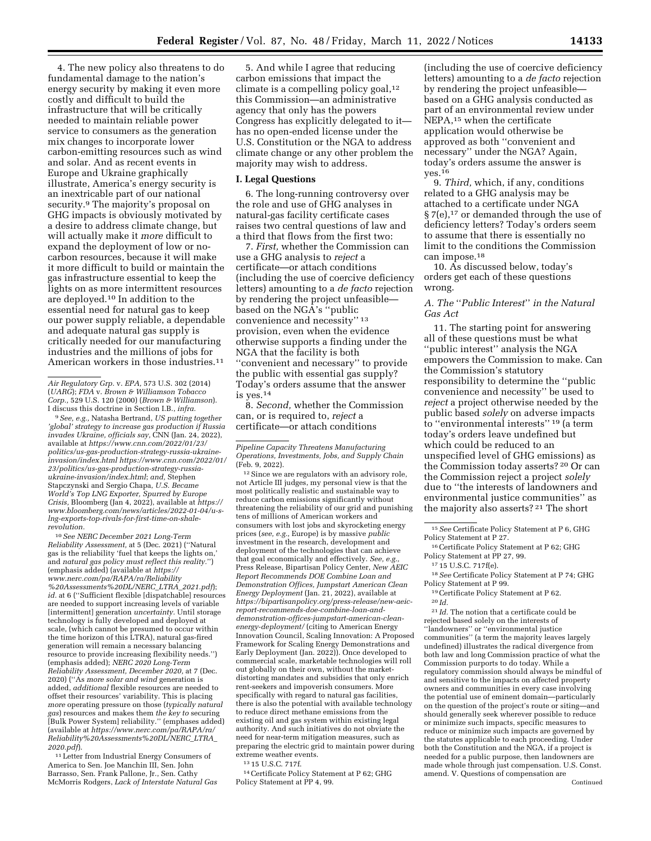4. The new policy also threatens to do fundamental damage to the nation's energy security by making it even more costly and difficult to build the infrastructure that will be critically needed to maintain reliable power service to consumers as the generation mix changes to incorporate lower carbon-emitting resources such as wind and solar. And as recent events in Europe and Ukraine graphically illustrate, America's energy security is an inextricable part of our national security.9 The majority's proposal on GHG impacts is obviously motivated by a desire to address climate change, but will actually make it *more* difficult to expand the deployment of low or nocarbon resources, because it will make it more difficult to build or maintain the gas infrastructure essential to keep the lights on as more intermittent resources are deployed.10 In addition to the essential need for natural gas to keep our power supply reliable, a dependable and adequate natural gas supply is critically needed for our manufacturing industries and the millions of jobs for American workers in those industries.11

9*See, e.g.,* Natasha Bertrand, *US putting together 'global' strategy to increase gas production if Russia invades Ukraine, officials say,* CNN (Jan. 24, 2022), available at *[https://www.cnn.com/2022/01/23/](https://www.cnn.com/2022/01/23/politics/us-gas-production-strategy-russia-ukraine-invasion/index.html)  [politics/us-gas-production-strategy-russia-ukraine](https://www.cnn.com/2022/01/23/politics/us-gas-production-strategy-russia-ukraine-invasion/index.html)[invasion/index.html https://www.cnn.com/2022/01/](https://www.cnn.com/2022/01/23/politics/us-gas-production-strategy-russia-ukraine-invasion/index.html)  [23/politics/us-gas-production-strategy-russia](https://www.cnn.com/2022/01/23/politics/us-gas-production-strategy-russia-ukraine-invasion/index.html)[ukraine-invasion/index.html](https://www.cnn.com/2022/01/23/politics/us-gas-production-strategy-russia-ukraine-invasion/index.html)*; *and,* Stephen Stapczynski and Sergio Chapa, *U.S. Became World's Top LNG Exporter, Spurred by Europe Crisis,* Bloomberg (Jan 4, 2022), available at *[https://](https://www.bloomberg.com/news/articles/2022-01-04/u-slng-exports-top-rivals-for-first-time-on-shale-revolution)  [www.bloomberg.com/news/articles/2022-01-04/u-s](https://www.bloomberg.com/news/articles/2022-01-04/u-slng-exports-top-rivals-for-first-time-on-shale-revolution)[lng-exports-top-rivals-for-first-time-on-shale](https://www.bloomberg.com/news/articles/2022-01-04/u-slng-exports-top-rivals-for-first-time-on-shale-revolution)[revolution.](https://www.bloomberg.com/news/articles/2022-01-04/u-slng-exports-top-rivals-for-first-time-on-shale-revolution)* 

10*See NERC December 2021 Long-Term Reliability Assessment,* at 5 (Dec. 2021) (''Natural gas is the reliability 'fuel that keeps the lights on,' and *natural gas policy must reflect this reality.*'') (emphasis added) (available at *[https://](https://www.nerc.com/pa/RAPA/ra/Reliability%20Assessments%20DL/NERC_LTRA_2021.pdf) [www.nerc.com/pa/RAPA/ra/Reliability](https://www.nerc.com/pa/RAPA/ra/Reliability%20Assessments%20DL/NERC_LTRA_2021.pdf) [%20Assessments%20DL/NERC](https://www.nerc.com/pa/RAPA/ra/Reliability%20Assessments%20DL/NERC_LTRA_2021.pdf)*\_*LTRA*\_*2021.pdf*); *id.* at 6 (''Sufficient flexible [dispatchable] resources are needed to support increasing levels of variable [intermittent] generation *uncertainty.* Until storage technology is fully developed and deployed at scale, (which cannot be presumed to occur within the time horizon of this LTRA), natural gas-fired generation will remain a necessary balancing resource to provide increasing flexibility needs.'') (emphasis added); *NERC 2020 Long-Term Reliability Assessment, December 2020,* at 7 (Dec. 2020) (''As *more solar and wind* generation is added, *additional* flexible resources are needed to offset their resources' variability. This is placing *more* operating pressure on those (*typically natural gas*) resources and makes them *the key to* securing [Bulk Power System] reliability.'' (emphases added) (available at *[https://www.nerc.com/pa/RAPA/ra/](https://www.nerc.com/pa/RAPA/ra/Reliability%20Assessments%20DL/NERC_LTRA_2020.pdf) [Reliability%20Assessments%20DL/NERC](https://www.nerc.com/pa/RAPA/ra/Reliability%20Assessments%20DL/NERC_LTRA_2020.pdf)*\_*LTRA*\_ *[2020.pdf](https://www.nerc.com/pa/RAPA/ra/Reliability%20Assessments%20DL/NERC_LTRA_2020.pdf)*).

11Letter from Industrial Energy Consumers of America to Sen. Joe Manchin III, Sen. John Barrasso, Sen. Frank Pallone, Jr., Sen. Cathy McMorris Rodgers, *Lack of Interstate Natural Gas* 

5. And while I agree that reducing carbon emissions that impact the climate is a compelling policy goal,<sup>12</sup> this Commission—an administrative agency that only has the powers Congress has explicitly delegated to it has no open-ended license under the U.S. Constitution or the NGA to address climate change or any other problem the majority may wish to address.

### **I. Legal Questions**

6. The long-running controversy over the role and use of GHG analyses in natural-gas facility certificate cases raises two central questions of law and a third that flows from the first two:

7. *First,* whether the Commission can use a GHG analysis to *reject* a certificate—or attach conditions (including the use of coercive deficiency letters) amounting to a *de facto* rejection by rendering the project unfeasible based on the NGA's ''public convenience and necessity'' 13 provision, even when the evidence otherwise supports a finding under the NGA that the facility is both ''convenient and necessary'' to provide the public with essential gas supply? Today's orders assume that the answer is yes.14

8. *Second,* whether the Commission can, or is required to, *reject* a certificate—or attach conditions

<sup>12</sup> Since we are regulators with an advisory role, not Article III judges, my personal view is that the most politically realistic and sustainable way to reduce carbon emissions significantly without threatening the reliability of our grid and punishing tens of millions of American workers and consumers with lost jobs and skyrocketing energy prices (*see, e.g.,* Europe) is by massive *public*  investment in the research, development and deployment of the technologies that can achieve that goal economically and effectively. *See, e.g.* Press Release, Bipartisan Policy Center, *New AEIC Report Recommends DOE Combine Loan and Demonstration Offices, Jumpstart American Clean Energy Deployment* (Jan. 21, 2022), available at *[https://bipartisanpolicy.org/press-release/new-aeic](https://bipartisanpolicy.org/press-release/new-aeic-report-recommends-doe-combine-loan-and-demonstration-offices-jumpstart-american-clean-energy-deployment/)[report-recommends-doe-combine-loan-and](https://bipartisanpolicy.org/press-release/new-aeic-report-recommends-doe-combine-loan-and-demonstration-offices-jumpstart-american-clean-energy-deployment/)[demonstration-offices-jumpstart-american-clean](https://bipartisanpolicy.org/press-release/new-aeic-report-recommends-doe-combine-loan-and-demonstration-offices-jumpstart-american-clean-energy-deployment/)[energy-deployment/](https://bipartisanpolicy.org/press-release/new-aeic-report-recommends-doe-combine-loan-and-demonstration-offices-jumpstart-american-clean-energy-deployment/)* (citing to American Energy Innovation Council, Scaling Innovation: A Proposed Framework for Scaling Energy Demonstrations and Early Deployment (Jan. 2022)). Once developed to commercial scale, marketable technologies will roll out globally on their own, without the marketdistorting mandates and subsidies that only enrich rent-seekers and impoverish consumers. More specifically with regard to natural gas facilities, there is also the potential with available technology to reduce direct methane emissions from the existing oil and gas system within existing legal authority. And such initiatives do not obviate the need for near-term mitigation measures, such as preparing the electric grid to maintain power during extreme weather events.

13 15 U.S.C. 717f.

14Certificate Policy Statement at P 62; GHG Policy Statement at PP 4, 99.

(including the use of coercive deficiency letters) amounting to a *de facto* rejection by rendering the project unfeasible based on a GHG analysis conducted as part of an environmental review under NEPA,15 when the certificate application would otherwise be approved as both ''convenient and necessary'' under the NGA? Again, today's orders assume the answer is yes.16

9. *Third,* which, if any, conditions related to a GHG analysis may be attached to a certificate under NGA § 7(e),<sup>17</sup> or demanded through the use of deficiency letters? Today's orders seem to assume that there is essentially no limit to the conditions the Commission can impose.18

10. As discussed below, today's orders get each of these questions wrong.

## *A. The* ''*Public Interest*'' *in the Natural Gas Act*

11. The starting point for answering all of these questions must be what ''public interest'' analysis the NGA empowers the Commission to make. Can the Commission's statutory responsibility to determine the ''public convenience and necessity'' be used to *reject* a project otherwise needed by the public based *solely* on adverse impacts to ''environmental interests'' 19 (a term today's orders leave undefined but which could be reduced to an unspecified level of GHG emissions) as the Commission today asserts? 20 Or can the Commission reject a project *solely*  due to ''the interests of landowners and environmental justice communities'' as the majority also asserts? 21 The short

<sup>16</sup> Certificate Policy Statement at P 62; GHG Policy Statement at PP 27, 99.

18*See* Certificate Policy Statement at P 74; GHG Policy Statement at P 99.

19Certificate Policy Statement at P 62.

20 *Id.* 

 $\ensuremath{^{21}Id}.$  The notion that a certificate could be rejected based solely on the interests of ''landowners'' or ''environmental justice communities'' (a term the majority leaves largely undefined) illustrates the radical divergence from both law and long Commission practice of what the Commission purports to do today. While a regulatory commission should always be mindful of and sensitive to the impacts on affected property owners and communities in every case involving the potential use of eminent domain—particularly on the question of the project's route or siting—and should generally seek wherever possible to reduce or minimize such impacts, specific measures to reduce or minimize such impacts are governed by the statutes applicable to each proceeding. Under both the Constitution and the NGA, if a project is needed for a public purpose, then landowners are made whole through just compensation. U.S. Const. amend. V. Questions of compensation are

Continued

*Air Regulatory Grp.* v. *EPA,* 573 U.S. 302 (2014) (*UARG*); *FDA* v. *Brown & Williamson Tobacco Corp.,* 529 U.S. 120 (2000) (*Brown & Williamson*). I discuss this doctrine in Section I.B., *infra.* 

*Pipeline Capacity Threatens Manufacturing Operations, Investments, Jobs, and Supply Chain*  (Feb. 9, 2022).

<sup>15</sup>*See* Certificate Policy Statement at P 6, GHG Policy Statement at P 27.

<sup>17</sup> 15 U.S.C. 717f(e).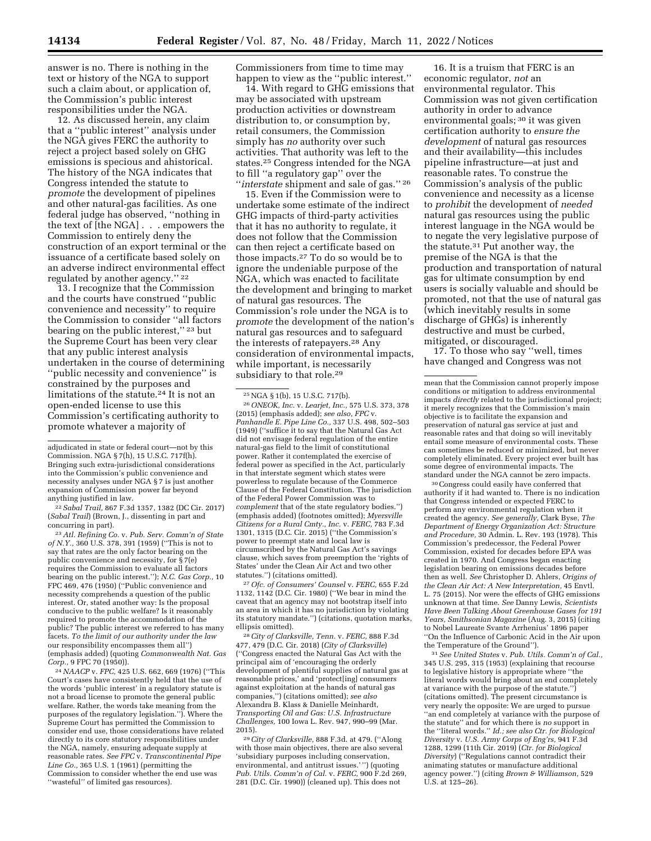answer is no. There is nothing in the text or history of the NGA to support such a claim about, or application of, the Commission's public interest responsibilities under the NGA.

12. As discussed herein, any claim that a ''public interest'' analysis under the NGA gives FERC the authority to reject a project based solely on GHG emissions is specious and ahistorical. The history of the NGA indicates that Congress intended the statute to *promote* the development of pipelines and other natural-gas facilities. As one federal judge has observed, ''nothing in the text of [the NGA] . . . empowers the Commission to entirely deny the construction of an export terminal or the issuance of a certificate based solely on an adverse indirect environmental effect regulated by another agency.'' 22

13. I recognize that the Commission and the courts have construed ''public convenience and necessity'' to require the Commission to consider ''all factors bearing on the public interest,'' 23 but the Supreme Court has been very clear that any public interest analysis undertaken in the course of determining ''public necessity and convenience'' is constrained by the purposes and limitations of the statute.<sup>24</sup> It is not an open-ended license to use this Commission's certificating authority to promote whatever a majority of

22*Sabal Trail,* 867 F.3d 1357, 1382 (DC Cir. 2017) (*Sabal Trail*) (Brown, J., dissenting in part and concurring in part).

23*Atl. Refining Co.* v. *Pub. Serv. Comm'n of State of N.Y.,* 360 U.S. 378, 391 (1959) (''This is not to say that rates are the only factor bearing on the public convenience and necessity, for § 7(e) requires the Commission to evaluate all factors bearing on the public interest.''); *N.C. Gas Corp.,* 10 FPC 469, 476 (1950) (''Public convenience and necessity comprehends a question of the public interest. Or, stated another way: Is the proposal conducive to the public welfare? Is it reasonably required to promote the accommodation of the public? The public interest we referred to has many facets. *To the limit of our authority under the law*  our responsibility encompasses them all'') (emphasis added) (quoting *Commonwealth Nat. Gas Corp.,* 9 FPC 70 (1950)).

24*NAACP* v. *FPC,* 425 U.S. 662, 669 (1976) (''This Court's cases have consistently held that the use of the words 'public interest' in a regulatory statute is not a broad license to promote the general public welfare. Rather, the words take meaning from the purposes of the regulatory legislation.''). Where the Supreme Court has permitted the Commission to consider end use, those considerations have related directly to its core statutory responsibilities under the NGA, namely, ensuring adequate supply at reasonable rates. *See FPC* v. *Transcontinental Pipe Line Co.,* 365 U.S. 1 (1961) (permitting the Commission to consider whether the end use was ''wasteful'' of limited gas resources).

Commissioners from time to time may happen to view as the ''public interest.''

14. With regard to GHG emissions that may be associated with upstream production activities or downstream distribution to, or consumption by, retail consumers, the Commission simply has *no* authority over such activities. That authority was left to the states.25 Congress intended for the NGA to fill ''a regulatory gap'' over the ''*interstate* shipment and sale of gas.'' 26

15. Even if the Commission were to undertake some estimate of the indirect GHG impacts of third-party activities that it has no authority to regulate, it does not follow that the Commission can then reject a certificate based on those impacts.27 To do so would be to ignore the undeniable purpose of the NGA, which was enacted to facilitate the development and bringing to market of natural gas resources. The Commission's role under the NGA is to *promote* the development of the nation's natural gas resources and to safeguard the interests of ratepayers.28 Any consideration of environmental impacts, while important, is necessarily subsidiary to that role.<sup>29</sup>

26*ONEOK, Inc.* v. *Learjet, Inc.,* 575 U.S. 373, 378 (2015) (emphasis added); *see also, FPC* v. *Panhandle E. Pipe Line Co.,* 337 U.S. 498, 502–503 (1949) (''suffice it to say that the Natural Gas Act did not envisage federal regulation of the entire natural-gas field to the limit of constitutional power. Rather it contemplated the exercise of federal power as specified in the Act, particularly in that interstate segment which states were powerless to regulate because of the Commerce Clause of the Federal Constitution. The jurisdiction of the Federal Power Commission was to *complement* that of the state regulatory bodies.'') (emphasis added) (footnotes omitted); *Myersville Citizens for a Rural Cmty., Inc.* v. *FERC,* 783 F.3d 1301, 1315 (D.C. Cir. 2015) (''the Commission's power to preempt state and local law is circumscribed by the Natural Gas Act's savings clause, which saves from preemption the 'rights of States' under the Clean Air Act and two other statutes.'') (citations omitted).

27*Ofc. of Consumers' Counsel* v. *FERC,* 655 F.2d 1132, 1142 (D.C. Cir. 1980) (''We bear in mind the caveat that an agency may not bootstrap itself into an area in which it has no jurisdiction by violating its statutory mandate.'') (citations, quotation marks, ellipsis omitted).

28*City of Clarksville, Tenn.* v. *FERC,* 888 F.3d 477, 479 (D.C. Cir. 2018) (*City of Clarksville*) (''Congress enacted the Natural Gas Act with the principal aim of 'encouraging the orderly development of plentiful supplies of natural gas at reasonable prices,' and 'protect[ing] consumers against exploitation at the hands of natural gas companies,'') (citations omitted); *see also*  Alexandra B. Klass & Danielle Meinhardt, *Transporting Oil and Gas: U.S. Infrastructure Challenges,* 100 Iowa L. Rev. 947, 990–99 (Mar. 2015).

29*City of Clarksville,* 888 F.3d. at 479. (''Along with those main objectives, there are also several 'subsidiary purposes including conservation, environmental, and antitrust issues.' '') (quoting *Pub. Utils. Comm'n of Cal.* v. *FERC,* 900 F.2d 269, 281 (D.C. Cir. 1990)) (cleaned up). This does not

16. It is a truism that FERC is an economic regulator, *not* an environmental regulator. This Commission was not given certification authority in order to advance environmental goals; 30 it was given certification authority to *ensure the development* of natural gas resources and their availability—this includes pipeline infrastructure—at just and reasonable rates. To construe the Commission's analysis of the public convenience and necessity as a license to *prohibit* the development of *needed*  natural gas resources using the public interest language in the NGA would be to negate the very legislative purpose of the statute.31 Put another way, the premise of the NGA is that the production and transportation of natural gas for ultimate consumption by end users is socially valuable and should be promoted, not that the use of natural gas (which inevitably results in some discharge of GHGs) is inherently destructive and must be curbed, mitigated, or discouraged.

17. To those who say ''well, times have changed and Congress was not

30Congress could easily have conferred that authority if it had wanted to. There is no indication that Congress intended or expected FERC to perform any environmental regulation when it created the agency. *See generally,* Clark Byse, *The Department of Energy Organization Act: Structure and Procedure,* 30 Admin. L. Rev. 193 (1978). This Commission's predecessor, the Federal Power Commission, existed for decades before EPA was created in 1970. And Congress began enacting legislation bearing on emissions decades before then as well. *See* Christopher D. Ahlers, *Origins of the Clean Air Act: A New Interpretation,* 45 Envtl. L. 75 (2015). Nor were the effects of GHG emissions unknown at that time. *See* Danny Lewis, *Scientists Have Been Talking About Greenhouse Gases for 191 Years, Smithsonian Magazine* (Aug. 3, 2015) (citing to Nobel Laureate Svante Arrhenius' 1896 paper ''On the Influence of Carbonic Acid in the Air upon the Temperature of the Ground'').

31*See United States* v. *Pub. Utils. Comm'n of Cal.,*  345 U.S. 295, 315 (1953) (explaining that recourse to legislative history is appropriate where ''the literal words would bring about an end completely at variance with the purpose of the statute.'') (citations omitted). The present circumstance is very nearly the opposite: We are urged to pursue ''an end completely at variance with the purpose of the statute'' and for which there is *no* support in the ''literal words.'' *Id.; see also Ctr. for Biological Diversity* v. *U.S. Army Corps of Eng'rs,* 941 F.3d 1288, 1299 (11th Cir. 2019) (*Ctr. for Biological Diversity*) (''Regulations cannot contradict their animating statutes or manufacture additional agency power.'') (citing *Brown & Williamson,* 529 U.S. at 125–26).

adjudicated in state or federal court—not by this Commission. NGA § 7(h), 15 U.S.C. 717f(h). Bringing such extra-jurisdictional considerations into the Commission's public convenience and necessity analyses under NGA § 7 is just another expansion of Commission power far beyond anything justified in law.

<sup>25</sup>NGA § 1(b), 15 U.S.C. 717(b).

mean that the Commission cannot properly impose conditions or mitigation to address environmental impacts *directly* related to the jurisdictional project; it merely recognizes that the Commission's main objective is to facilitate the expansion and preservation of natural gas service at just and reasonable rates and that doing so will inevitably entail some measure of environmental costs. These can sometimes be reduced or minimized, but never completely eliminated. Every project ever built has some degree of environmental impacts. The standard under the NGA cannot be zero impacts.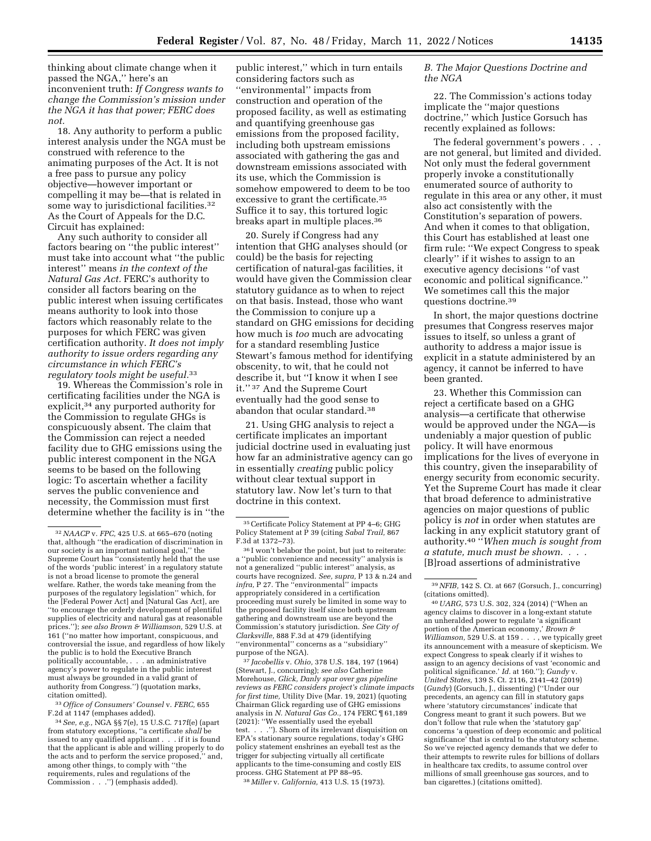thinking about climate change when it passed the NGA,'' here's an inconvenient truth: *If Congress wants to change the Commission's mission under the NGA it has that power; FERC does not.* 

18. Any authority to perform a public interest analysis under the NGA must be construed with reference to the animating purposes of the Act. It is not a free pass to pursue any policy objective—however important or compelling it may be—that is related in some way to jurisdictional facilities.<sup>32</sup> As the Court of Appeals for the D.C. Circuit has explained:

Any such authority to consider all factors bearing on ''the public interest'' must take into account what ''the public interest'' means *in the context of the Natural Gas Act.* FERC's authority to consider all factors bearing on the public interest when issuing certificates means authority to look into those factors which reasonably relate to the purposes for which FERC was given certification authority. *It does not imply authority to issue orders regarding any circumstance in which FERC's regulatory tools might be useful.*33

19. Whereas the Commission's role in certificating facilities under the NGA is explicit,34 any purported authority for the Commission to regulate GHGs is conspicuously absent. The claim that the Commission can reject a needed facility due to GHG emissions using the public interest component in the NGA seems to be based on the following logic: To ascertain whether a facility serves the public convenience and necessity, the Commission must first determine whether the facility is in ''the

33*Office of Consumers' Counsel* v. *FERC,* 655 F.2d at 1147 (emphases added).

public interest,'' which in turn entails considering factors such as ''environmental'' impacts from construction and operation of the proposed facility, as well as estimating and quantifying greenhouse gas emissions from the proposed facility, including both upstream emissions associated with gathering the gas and downstream emissions associated with its use, which the Commission is somehow empowered to deem to be too excessive to grant the certificate.<sup>35</sup> Suffice it to say, this tortured logic breaks apart in multiple places.36

20. Surely if Congress had any intention that GHG analyses should (or could) be the basis for rejecting certification of natural-gas facilities, it would have given the Commission clear statutory guidance as to when to reject on that basis. Instead, those who want the Commission to conjure up a standard on GHG emissions for deciding how much is *too* much are advocating for a standard resembling Justice Stewart's famous method for identifying obscenity, to wit, that he could not describe it, but ''I know it when I see it.'' 37 And the Supreme Court eventually had the good sense to abandon that ocular standard.38

21. Using GHG analysis to reject a certificate implicates an important judicial doctrine used in evaluating just how far an administrative agency can go in essentially *creating* public policy without clear textual support in statutory law. Now let's turn to that doctrine in this context.

37 *Jacobellis* v. *Ohio,* 378 U.S. 184, 197 (1964) (Stewart, J., concurring); *see also* Catherine Morehouse, *Glick, Danly spar over gas pipeline reviews as FERC considers project's climate impacts for first time,* Utility Dive (Mar. 19, 2021) (quoting Chairman Glick regarding use of GHG emissions analysis in *N. Natural Gas Co.,* 174 FERC ¶ 61,189 (2021): ''We essentially used the eyeball test. . . .''). Shorn of its irrelevant disquisition on EPA's stationary source regulations, today's GHG policy statement enshrines an eyeball test as the trigger for subjecting virtually all certificate applicants to the time-consuming and costly EIS process. GHG Statement at PP 88–95.

38 *Miller* v. *California,* 413 U.S. 15 (1973).

### *B. The Major Questions Doctrine and the NGA*

22. The Commission's actions today implicate the ''major questions doctrine,'' which Justice Gorsuch has recently explained as follows:

The federal government's powers . . . are not general, but limited and divided. Not only must the federal government properly invoke a constitutionally enumerated source of authority to regulate in this area or any other, it must also act consistently with the Constitution's separation of powers. And when it comes to that obligation, this Court has established at least one firm rule: ''We expect Congress to speak clearly'' if it wishes to assign to an executive agency decisions ''of vast economic and political significance.'' We sometimes call this the major questions doctrine.39

In short, the major questions doctrine presumes that Congress reserves major issues to itself, so unless a grant of authority to address a major issue is explicit in a statute administered by an agency, it cannot be inferred to have been granted.

23. Whether this Commission can reject a certificate based on a GHG analysis—a certificate that otherwise would be approved under the NGA—is undeniably a major question of public policy. It will have enormous implications for the lives of everyone in this country, given the inseparability of energy security from economic security. Yet the Supreme Court has made it clear that broad deference to administrative agencies on major questions of public policy is *not* in order when statutes are lacking in any explicit statutory grant of authority.40 ''*When much is sought from a statute, much must be shown. . . .*  [B]road assertions of administrative

40*UARG,* 573 U.S. 302, 324 (2014) (''When an agency claims to discover in a long-extant statute an unheralded power to regulate 'a significant portion of the American economy,' *Brown & Williamson,* 529 U.S. at 159 . . . , we typically greet its announcement with a measure of skepticism. We expect Congress to speak clearly if it wishes to assign to an agency decisions of vast 'economic and political significance.' *Id.* at 160.''); *Gundy* v. *United States,* 139 S. Ct. 2116, 2141–42 (2019) (*Gundy*) (Gorsuch, J., dissenting) (''Under our precedents, an agency can fill in statutory gaps where 'statutory circumstances' indicate that Congress meant to grant it such powers. But we don't follow that rule when the 'statutory gap' concerns 'a question of deep economic and political significance' that is central to the statutory scheme. So we've rejected agency demands that we defer to their attempts to rewrite rules for billions of dollars in healthcare tax credits, to assume control over millions of small greenhouse gas sources, and to ban cigarettes.) (citations omitted).

<sup>32</sup>*NAACP* v. *FPC,* 425 U.S. at 665–670 (noting that, although ''the eradication of discrimination in our society is an important national goal,'' the Supreme Court has ''consistently held that the use of the words 'public interest' in a regulatory statute is not a broad license to promote the general welfare. Rather, the words take meaning from the purposes of the regulatory legislation'' which, for the [Federal Power Act] and [Natural Gas Act], are ''to encourage the orderly development of plentiful supplies of electricity and natural gas at reasonable prices.''); *see also Brown & Williamson,* 529 U.S. at 161 (''no matter how important, conspicuous, and controversial the issue, and regardless of how likely the public is to hold the Executive Branch politically accountable, . . . an administrative agency's power to regulate in the public interest must always be grounded in a valid grant of authority from Congress.'') (quotation marks, citation omitted).

<sup>34</sup>*See, e.g.,* NGA §§ 7(e), 15 U.S.C. 717f(e) (apart from statutory exceptions, ''a certificate *shall* be issued to any qualified applicant . . . if it is found that the applicant is able and willing properly to do the acts and to perform the service proposed,'' and, among other things, to comply with ''the requirements, rules and regulations of the Commission . . .'') (emphasis added).

<sup>35</sup>Certificate Policy Statement at PP 4–6; GHG Policy Statement at P 39 (citing *Sabal Trail,* 867 F.3d at 1372–73).

<sup>36</sup> I won't belabor the point, but just to reiterate: a ''public convenience and necessity'' analysis is not a generalized ''public interest'' analysis, as courts have recognized. *See, supra,* P 13 & n.24 and *infra,* P 27. The ''environmental'' impacts appropriately considered in a certification proceeding must surely be limited in some way to the proposed facility itself since both upstream gathering and downstream use are beyond the Commission's statutory jurisdiction. *See City of Clarksville,* 888 F.3d at 479 (identifying ''environmental'' concerns as a ''subsidiary'' purpose of the NGA).

<sup>39</sup>*NFIB,* 142 S. Ct. at 667 (Gorsuch, J., concurring) (citations omitted).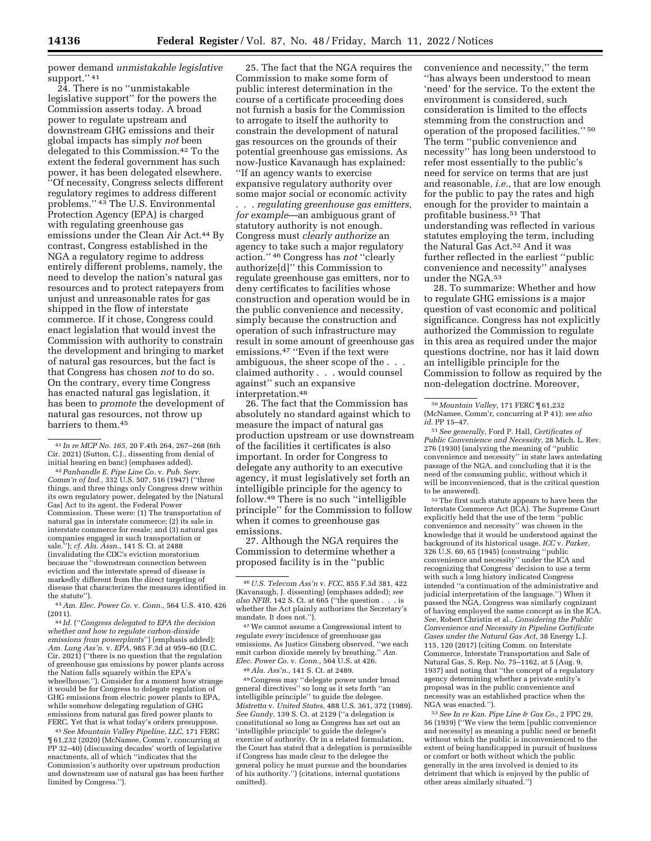power demand *unmistakable legislative*  support." 41

24. There is no ''unmistakable legislative support'' for the powers the Commission asserts today. A broad power to regulate upstream and downstream GHG emissions and their global impacts has simply *not* been delegated to this Commission.42 To the extent the federal government has such power, it has been delegated elsewhere. ''Of necessity, Congress selects different regulatory regimes to address different problems.'' 43 The U.S. Environmental Protection Agency (EPA) is charged with regulating greenhouse gas emissions under the Clean Air Act.44 By contrast, Congress established in the NGA a regulatory regime to address entirely different problems, namely, the need to develop the nation's natural gas resources and to protect ratepayers from unjust and unreasonable rates for gas shipped in the flow of interstate commerce. If it chose, Congress could enact legislation that would invest the Commission with authority to constrain the development and bringing to market of natural gas resources, but the fact is that Congress has chosen *not* to do so. On the contrary, every time Congress has enacted natural gas legislation, it has been to *promote* the development of natural gas resources, not throw up barriers to them.45

43*Am. Elec. Power Co.* v. *Conn.,* 564 U.S. 410, 426

(2011). 44 *Id.* (''*Congress delegated to EPA the decision whether and how to regulate carbon-dioxide emissions from powerplants*'') (emphasis added); *Am. Lung Ass'n.* v. *EPA,* 985 F.3d at 959–60 (D.C. Cir. 2021) (''there is no question that the regulation of greenhouse gas emissions by power plants across the Nation falls squarely within the EPA's wheelhouse."). Consider for a moment how strange it would be for Congress to delegate regulation of GHG emissions from electric power plants to EPA, while somehow delegating regulation of GHG emissions from natural gas fired power plants to FERC. Yet that is what today's orders presuppose.

45*See Mountain Valley Pipeline, LLC,* 171 FERC ¶ 61,232 (2020) (McNamee, Comm'r, concurring at PP 32–40) (discussing decades' worth of legislative enactments, all of which ''indicates that the Commission's authority over upstream production and downstream use of natural gas has been further limited by Congress.'').

25. The fact that the NGA requires the Commission to make some form of public interest determination in the course of a certificate proceeding does not furnish a basis for the Commission to arrogate to itself the authority to constrain the development of natural gas resources on the grounds of their potential greenhouse gas emissions. As now-Justice Kavanaugh has explained: ''If an agency wants to exercise expansive regulatory authority over some major social or economic activity . . . *regulating greenhouse gas emitters, for example*—an ambiguous grant of statutory authority is not enough. Congress must *clearly authorize* an agency to take such a major regulatory action.'' 46 Congress has *not* ''clearly authorize[d]'' this Commission to regulate greenhouse gas emitters, nor to deny certificates to facilities whose construction and operation would be in the public convenience and necessity, simply because the construction and operation of such infrastructure may result in some amount of greenhouse gas emissions.47 ''Even if the text were ambiguous, the sheer scope of the . . . claimed authority . . . would counsel against'' such an expansive interpretation.48

26. The fact that the Commission has absolutely no standard against which to measure the impact of natural gas production upstream or use downstream of the facilities it certificates is also important. In order for Congress to delegate any authority to an executive agency, it must legislatively set forth an intelligible principle for the agency to follow.49 There is no such ''intelligible principle'' for the Commission to follow when it comes to greenhouse gas emissions.

27. Although the NGA requires the Commission to determine whether a proposed facility is in the ''public

47We cannot assume a Congressional intent to regulate *every* incidence of greenhouse gas emissions. As Justice Ginsberg observed, ''we each emit carbon dioxide merely by breathing.'' *Am. Elec. Power Co.* v. *Conn.,* 564 U.S. at 426.

48*Ala. Ass'n.,* 141 S. Ct. at 2489.

49Congress may ''delegate power under broad general directives'' so long as it sets forth ''an intelligible principle'' to guide the delegee. *Mistretta* v. *United States,* 488 U.S. 361, 372 (1989). *See Gundy,* 139 S. Ct. at 2129 (''a delegation is constitutional so long as Congress has set out an 'intelligible principle' to guide the delegee's exercise of authority. Or in a related formulation, the Court has stated that a delegation is permissible if Congress has made clear to the delegee the general policy he must pursue and the boundaries of his authority.'') (citations, internal quotations omitted).

convenience and necessity,'' the term ''has always been understood to mean 'need' for the service. To the extent the environment is considered, such consideration is limited to the effects stemming from the construction and operation of the proposed facilities.'' 50 The term ''public convenience and necessity'' has long been understood to refer most essentially to the public's need for service on terms that are just and reasonable, *i.e.,* that are low enough for the public to pay the rates and high enough for the provider to maintain a profitable business.51 That understanding was reflected in various statutes employing the term, including the Natural Gas Act.52 And it was further reflected in the earliest ''public convenience and necessity'' analyses under the NGA.53

28. To summarize: Whether and how to regulate GHG emissions is a major question of vast economic and political significance. Congress has not explicitly authorized the Commission to regulate in this area as required under the major questions doctrine, nor has it laid down an intelligible principle for the Commission to follow as required by the non-delegation doctrine. Moreover,

 $^{52}\mathrm{\,The\,first\, such\,statute\, appears\ to\ have\ been\ the}$ Interstate Commerce Act (ICA). The Supreme Court explicitly held that the use of the term ''public convenience and necessity'' was chosen in the knowledge that it would be understood against the background of its historical usage. *ICC* v. *Parker,*  326 U.S. 60, 65 (1945) (construing ''public convenience and necessity'' under the ICA and recognizing that Congress' decision to use a term with such a long history indicated Congress intended ''a continuation of the administrative and judicial interpretation of the language.'') When it passed the NGA, Congress was similarly cognizant of having employed the same concept as in the ICA. *See,* Robert Christin et al., *Considering the Public Convenience and Necessity in Pipeline Certificate Cases under the Natural Gas Act,* 38 Energy L.J. 115, 120 (2017) (citing Comm. on Interstate Commerce, Interstate Transportation and Sale of Natural Gas, S. Rep. No. 75–1162, at 5 (Aug. 9, 1937) and noting that ''the concept of a regulatory agency determining whether a private entity's proposal was in the public convenience and necessity was an established practice when the NGA was enacted.'').

53*See In re Kan. Pipe Line & Gas Co.,* 2 FPC 29, 56 (1939) (''We view the term [public convenience and necessity] as meaning a public need or benefit without which the public is inconvenienced to the extent of being handicapped in pursuit of business or comfort or both without which the public generally in the area involved is denied to its detriment that which is enjoyed by the public of other areas similarly situated.'')

<sup>41</sup> *In re MCP No. 165,* 20 F.4th 264, 267–268 (6th Cir. 2021) (Sutton, C.J., dissenting from denial of

<sup>&</sup>lt;sup>42</sup> Panhandle E. Pipe Line Co. v. Pub. Serv. *Comm'n of Ind.,* 332 U.S. 507, 516 (1947) (''three things, and three things only Congress drew within its own regulatory power, delegated by the [Natural Gas] Act to its agent, the Federal Power Commission. These were: (1) The transportation of natural gas in interstate commerce; (2) its sale in interstate commerce for resale; and (3) natural gas companies engaged in such transportation or sale.''); *cf. Ala. Assn.,* 141 S. Ct. at 2488 (invalidating the CDC's eviction moratorium because the ''downstream connection between eviction and the interstate spread of disease is markedly different from the direct targeting of disease that characterizes the measures identified in the statute'').

<sup>46</sup>*U.S. Telecom Ass'n* v. *FCC,* 855 F.3d 381, 422 (Kavanaugh, J. dissenting) (emphases added); *see also NFIB,* 142 S. Ct. at 665 (''the question . . . is whether the Act plainly authorizes the Secretary's mandate. It does not.'').

<sup>50</sup> *Mountain Valley,* 171 FERC ¶ 61,232 (McNamee, Comm'r, concurring at P 41); *see also id.* PP 15–47.

<sup>51</sup>*See generally,* Ford P. Hall, *Certificates of Public Convenience and Necessity,* 28 Mich. L. Rev. 276 (1930) (analyzing the meaning of ''public convenience and necessity'' in state laws antedating passage of the NGA, and concluding that it is the need of the consuming public, without which it will be inconvenienced, that is the critical question to be answered).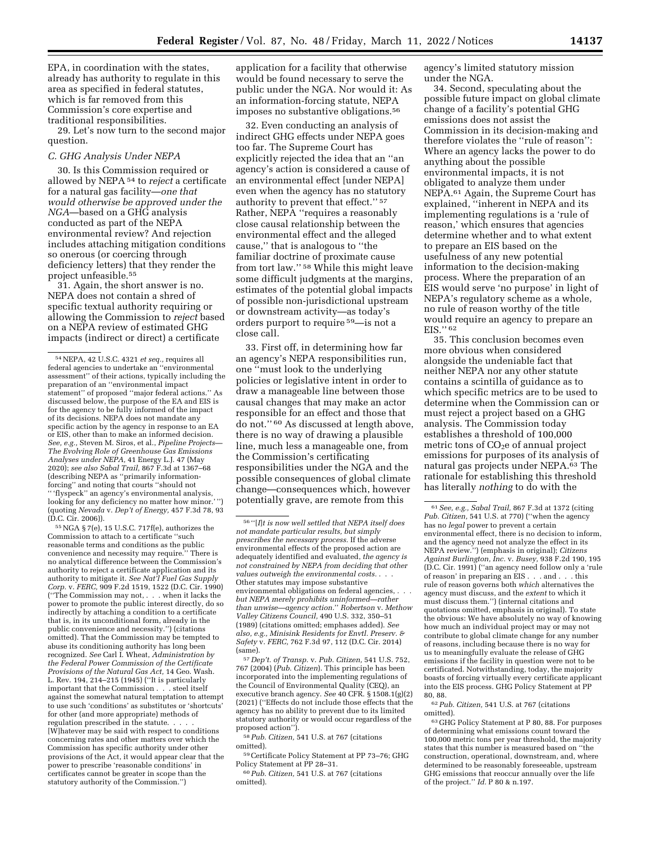EPA, in coordination with the states, already has authority to regulate in this area as specified in federal statutes, which is far removed from this Commission's core expertise and traditional responsibilities.

29. Let's now turn to the second major question.

# *C. GHG Analysis Under NEPA*

30. Is this Commission required or allowed by NEPA 54 to *reject* a certificate for a natural gas facility—*one that would otherwise be approved under the NGA*—based on a GHG analysis conducted as part of the NEPA environmental review? And rejection includes attaching mitigation conditions so onerous (or coercing through deficiency letters) that they render the project unfeasible.55

31. Again, the short answer is no. NEPA does not contain a shred of specific textual authority requiring or allowing the Commission to *reject* based on a NEPA review of estimated GHG impacts (indirect or direct) a certificate

55NGA § 7(e), 15 U.S.C. 717f(e), authorizes the Commission to attach to a certificate ''such reasonable terms and conditions as the public convenience and necessity may require.'' There is no analytical difference between the Commission's authority to reject a certificate application and its authority to mitigate it. *See Nat'l Fuel Gas Supply Corp.* v. *FERC,* 909 F.2d 1519, 1522 (D.C. Cir. 1990) (''The Commission may not, . . . when it lacks the power to promote the public interest directly, do so indirectly by attaching a condition to a certificate that is, in its unconditional form, already in the public convenience and necessity.'') (citations omitted). That the Commission may be tempted to abuse its conditioning authority has long been recognized. *See* Carl I. Wheat, *Administration by the Federal Power Commission of the Certificate Provisions of the Natural Gas Act,* 14 Geo. Wash. L. Rev. 194, 214–215 (1945) (''It is particularly important that the Commission . . . steel itself against the somewhat natural temptation to attempt to use such 'conditions' as substitutes or 'shortcuts' for other (and more appropriate) methods of regulation prescribed in the statute. . . . . [W]hatever may be said with respect to conditions concerning rates and other matters over which the Commission has specific authority under other provisions of the Act, it would appear clear that the power to prescribe 'reasonable conditions' in certificates cannot be greater in scope than the statutory authority of the Commission.'')

application for a facility that otherwise would be found necessary to serve the public under the NGA. Nor would it: As an information-forcing statute, NEPA imposes no substantive obligations.56

32. Even conducting an analysis of indirect GHG effects under NEPA goes too far. The Supreme Court has explicitly rejected the idea that an ''an agency's action is considered a cause of an environmental effect [under NEPA] even when the agency has no statutory authority to prevent that effect.'' 57 Rather, NEPA ''requires a reasonably close causal relationship between the environmental effect and the alleged cause,'' that is analogous to ''the familiar doctrine of proximate cause from tort law.'' 58 While this might leave some difficult judgments at the margins, estimates of the potential global impacts of possible non-jurisdictional upstream or downstream activity—as today's orders purport to require 59—is not a close call.

33. First off, in determining how far an agency's NEPA responsibilities run, one ''must look to the underlying policies or legislative intent in order to draw a manageable line between those causal changes that may make an actor responsible for an effect and those that do not.'' 60 As discussed at length above, there is no way of drawing a plausible line, much less a manageable one, from the Commission's certificating responsibilities under the NGA and the possible consequences of global climate change—consequences which, however potentially grave, are remote from this

57 *Dep't. of Transp.* v. *Pub. Citizen,* 541 U.S. 752, 767 (2004) (*Pub. Citizen*). This principle has been incorporated into the implementing regulations of the Council of Environmental Quality (CEQ), an executive branch agency. *See* 40 CFR. § 1508.1(g)(2) (2021) (''Effects do not include those effects that the agency has no ability to prevent due to its limited statutory authority or would occur regardless of the proposed action'').

58*Pub. Citizen,* 541 U.S. at 767 (citations omitted).

agency's limited statutory mission under the NGA.

34. Second, speculating about the possible future impact on global climate change of a facility's potential GHG emissions does not assist the Commission in its decision-making and therefore violates the ''rule of reason'': Where an agency lacks the power to do anything about the possible environmental impacts, it is not obligated to analyze them under NEPA.61 Again, the Supreme Court has explained, ''inherent in NEPA and its implementing regulations is a 'rule of reason,' which ensures that agencies determine whether and to what extent to prepare an EIS based on the usefulness of any new potential information to the decision-making process. Where the preparation of an EIS would serve 'no purpose' in light of NEPA's regulatory scheme as a whole, no rule of reason worthy of the title would require an agency to prepare an EIS.'' 62

35. This conclusion becomes even more obvious when considered alongside the undeniable fact that neither NEPA nor any other statute contains a scintilla of guidance as to which specific metrics are to be used to determine when the Commission can or must reject a project based on a GHG analysis. The Commission today establishes a threshold of 100,000 metric tons of  $CO<sub>2</sub>e$  of annual project emissions for purposes of its analysis of natural gas projects under NEPA.63 The rationale for establishing this threshold has literally *nothing* to do with the

62*Pub. Citizen,* 541 U.S. at 767 (citations omitted).

<sup>54</sup>NEPA, 42 U.S.C. 4321 *et seq.,* requires all federal agencies to undertake an ''environmental assessment'' of their actions, typically including the preparation of an ''environmental impact statement'' of proposed ''major federal actions.'' As discussed below, the purpose of the EA and EIS is for the agency to be fully informed of the impact of its decisions. NEPA does not mandate any specific action by the agency in response to an EA or EIS, other than to make an informed decision. *See, e.g.,* Steven M. Siros, et al., *Pipeline Projects— The Evolving Role of Greenhouse Gas Emissions Analyses under NEPA,* 41 Energy L.J. 47 (May 2020); *see also Sabal Trail,* 867 F.3d at 1367–68 (describing NEPA as ''primarily informationforcing'' and noting that courts ''should not '' 'flyspeck'' an agency's environmental analysis, looking for any deficiency no matter how minor.'") (quoting *Nevada* v. *Dep't of Energy,* 457 F.3d 78, 93 (D.C. Cir. 2006)).

<sup>56</sup> ''[*I*]*t is now well settled that NEPA itself does not mandate particular results, but simply prescribes the necessary process.* If the adverse environmental effects of the proposed action are adequately identified and evaluated, *the agency is not constrained by NEPA from deciding that other values outweigh the environmental costs.* . . . Other statutes may impose substantive environmental obligations on federal agencies, *. . . but NEPA merely prohibits uninformed—rather than unwise—agency action.*'' *Robertson* v. *Methow Valley Citizens Council,* 490 U.S. 332, 350–51 (1989) (citations omitted; emphases added). *See also, e.g., Minisink Residents for Envtl. Preserv. & Safety* v. *FERC,* 762 F.3d 97, 112 (D.C. Cir. 2014) (same).

<sup>59</sup>Certificate Policy Statement at PP 73–76; GHG Policy Statement at PP 28–31.

<sup>60</sup>*Pub. Citizen,* 541 U.S. at 767 (citations omitted).

<sup>61</sup>*See, e.g., Sabal Trail,* 867 F.3d at 1372 (citing *Pub. Citizen,* 541 U.S. at 770) (''when the agency has no *legal* power to prevent a certain environmental effect, there is no decision to inform, and the agency need not analyze the effect in its NEPA review.'') (emphasis in original); *Citizens Against Burlington, Inc.* v. *Busey,* 938 F.2d 190, 195 (D.C. Cir. 1991) (''an agency need follow only a 'rule of reason' in preparing an EIS . . . and . . . this rule of reason governs both *which* alternatives the agency must discuss, and the *extent* to which it must discuss them.'') (internal citations and quotations omitted, emphasis in original). To state the obvious: We have absolutely no way of knowing how much an individual project may or may not contribute to global climate change for any number of reasons, including because there is no way for us to meaningfully evaluate the release of GHG emissions if the facility in question were not to be certificated. Notwithstanding, today, the majority boasts of forcing virtually every certificate applicant into the EIS process. GHG Policy Statement at PP 80, 88.

<sup>63</sup> GHG Policy Statement at P 80, 88. For purposes of determining what emissions count toward the 100,000 metric tons per year threshold, the majority states that this number is measured based on ''the construction, operational, downstream, and, where determined to be reasonably foreseeable, upstream GHG emissions that reoccur annually over the life of the project.'' *Id.* P 80 & n.197.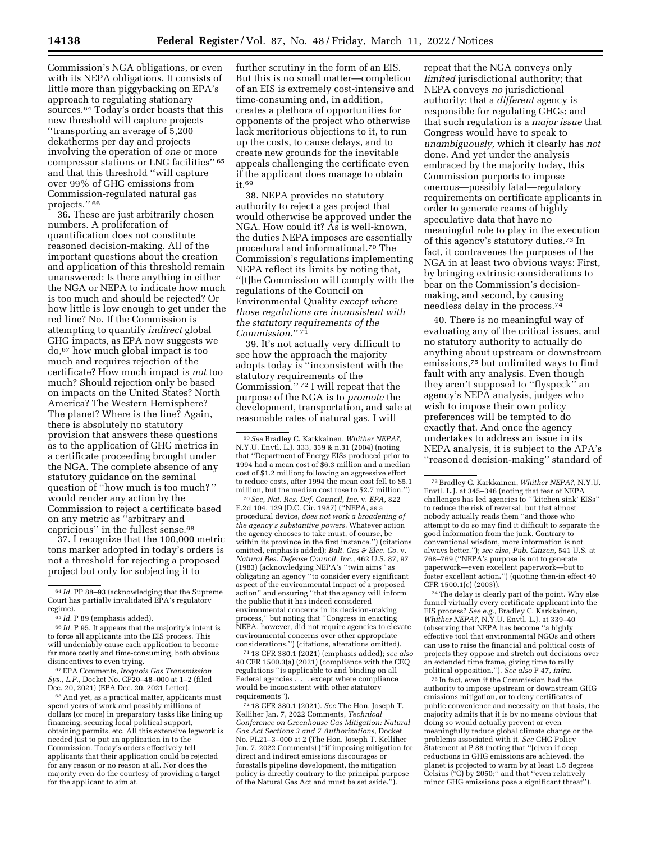Commission's NGA obligations, or even with its NEPA obligations. It consists of little more than piggybacking on EPA's approach to regulating stationary sources.<sup>64</sup> Today's order boasts that this new threshold will capture projects ''transporting an average of 5,200 dekatherms per day and projects involving the operation of *one* or more compressor stations or LNG facilities'' 65 and that this threshold ''will capture over 99% of GHG emissions from Commission-regulated natural gas projects.'' 66

36. These are just arbitrarily chosen numbers. A proliferation of quantification does not constitute reasoned decision-making. All of the important questions about the creation and application of this threshold remain unanswered: Is there anything in either the NGA or NEPA to indicate how much is too much and should be rejected? Or how little is low enough to get under the red line? No. If the Commission is attempting to quantify *indirect* global GHG impacts, as EPA now suggests we do,67 how much global impact is too much and requires rejection of the certificate? How much impact is *not* too much? Should rejection only be based on impacts on the United States? North America? The Western Hemisphere? The planet? Where is the line? Again, there is absolutely no statutory provision that answers these questions as to the application of GHG metrics in a certificate proceeding brought under the NGA. The complete absence of any statutory guidance on the seminal question of ''how much is too much? '' would render any action by the Commission to reject a certificate based on any metric as ''arbitrary and capricious'' in the fullest sense.68

37. I recognize that the 100,000 metric tons marker adopted in today's orders is not a threshold for rejecting a proposed project but only for subjecting it to

66 *Id.* P 95. It appears that the majority's intent is to force all applicants into the EIS process. This will undeniably cause each application to become far more costly and time-consuming, both obvious disincentives to even trying.

67EPA Comments, *Iroquois Gas Transmission Sys., L.P.,* Docket No. CP20–48–000 at 1–2 (filed Dec. 20, 2021) (EPA Dec. 20, 2021 Letter).

68And yet, as a practical matter, applicants must spend years of work and possibly millions of dollars (or more) in preparatory tasks like lining up financing, securing local political support, obtaining permits, etc. All this extensive legwork is needed just to put an application in to the Commission. Today's orders effectively tell applicants that their application could be rejected for any reason or no reason at all. Nor does the majority even do the courtesy of providing a target for the applicant to aim at.

further scrutiny in the form of an EIS. But this is no small matter—completion of an EIS is extremely cost-intensive and time-consuming and, in addition, creates a plethora of opportunities for opponents of the project who otherwise lack meritorious objections to it, to run up the costs, to cause delays, and to create new grounds for the inevitable appeals challenging the certificate even if the applicant does manage to obtain it.69

38. NEPA provides no statutory authority to reject a gas project that would otherwise be approved under the NGA. How could it? As is well-known, the duties NEPA imposes are essentially procedural and informational.70 The Commission's regulations implementing NEPA reflect its limits by noting that, ''[t]he Commission will comply with the regulations of the Council on Environmental Quality *except where those regulations are inconsistent with the statutory requirements of the Commission*.'' 71

39. It's not actually very difficult to see how the approach the majority adopts today is ''inconsistent with the statutory requirements of the Commission.'' 72 I will repeat that the purpose of the NGA is to *promote* the development, transportation, and sale at reasonable rates of natural gas. I will

70*See, Nat. Res. Def. Council, Inc.* v. *EPA,* 822 F.2d 104, 129 (D.C. Cir. 1987) (''NEPA, as a procedural device, *does not work a broadening of the agency's substantive powers.* Whatever action the agency chooses to take must, of course, be within its province in the first instance.'') (citations omitted, emphasis added); *Balt. Gas & Elec. Co.* v. *Natural Res. Defense Council, Inc.,* 462 U.S. 87, 97 (1983) (acknowledging NEPA's ''twin aims'' as obligating an agency ''to consider every significant aspect of the environmental impact of a proposed action'' and ensuring ''that the agency will inform the public that it has indeed considered environmental concerns in its decision-making process,'' but noting that ''Congress in enacting NEPA, however, did not require agencies to elevate environmental concerns over other appropriate considerations.'') (citations, alterations omitted).

71 18 CFR 380.1 (2021) (emphasis added); *see also*  40 CFR 1500.3(a) (2021) (compliance with the CEQ regulations ''is applicable to and binding on all Federal agencies . . . except where compliance would be inconsistent with other statutory requirements'').

72 18 CFR 380.1 (2021). *See* The Hon. Joseph T. Kelliher Jan. 7, 2022 Comments, *Technical Conference on Greenhouse Gas Mitigation: Natural Gas Act Sections 3 and 7 Authorizations,* Docket No. PL21–3–000 at 2 (The Hon. Joseph T. Kelliher Jan. 7, 2022 Comments) (''if imposing mitigation for direct and indirect emissions discourages or forestalls pipeline development, the mitigation policy is directly contrary to the principal purpose of the Natural Gas Act and must be set aside.'').

repeat that the NGA conveys only *limited* jurisdictional authority; that NEPA conveys *no* jurisdictional authority; that a *different* agency is responsible for regulating GHGs; and that such regulation is a *major issue* that Congress would have to speak to *unambiguously,* which it clearly has *not*  done. And yet under the analysis embraced by the majority today, this Commission purports to impose onerous—possibly fatal—regulatory requirements on certificate applicants in order to generate reams of highly speculative data that have no meaningful role to play in the execution of this agency's statutory duties.73 In fact, it contravenes the purposes of the NGA in at least two obvious ways: First, by bringing extrinsic considerations to bear on the Commission's decisionmaking, and second, by causing needless delay in the process.74

40. There is no meaningful way of evaluating any of the critical issues, and no statutory authority to actually do anything about upstream or downstream emissions,75 but unlimited ways to find fault with any analysis. Even though they aren't supposed to ''flyspeck'' an agency's NEPA analysis, judges who wish to impose their own policy preferences will be tempted to do exactly that. And once the agency undertakes to address an issue in its NEPA analysis, it is subject to the APA's ''reasoned decision-making'' standard of

74The delay is clearly part of the point. Why else funnel virtually every certificate applicant into the EIS process? *See e.g.,* Bradley C. Karkkainen, *Whither NEPA?,* N.Y.U. Envtl. L.J. at 339–40 (observing that NEPA has become ''a highly effective tool that environmental NGOs and others can use to raise the financial and political costs of projects they oppose and stretch out decisions over an extended time frame, giving time to rally political opposition.''). *See also* P 47, *infra.* 

75 In fact, even if the Commission had the authority to impose upstream or downstream GHG emissions mitigation, or to deny certificates of public convenience and necessity on that basis, the majority admits that it is by no means obvious that doing so would actually prevent or even meaningfully reduce global climate change or the problems associated with it. *See* GHG Policy Statement at P 88 (noting that ''[e]ven if deep reductions in GHG emissions are achieved, the planet is projected to warm by at least 1.5 degrees Celsius (°C) by 2050;'' and that ''even relatively minor GHG emissions pose a significant threat'').

<sup>64</sup> *Id.* PP 88–93 (acknowledging that the Supreme Court has partially invalidated EPA's regulatory regime).

<sup>65</sup> *Id.* P 89 (emphasis added).

<sup>69</sup>*See* Bradley C. Karkkainen, *Whither NEPA?,*  N.Y.U. Envtl. L.J. 333, 339 & n.31 (2004) (noting that ''Department of Energy EISs produced prior to 1994 had a mean cost of \$6.3 million and a median cost of \$1.2 million; following an aggressive effort to reduce costs, after 1994 the mean cost fell to \$5.1 million, but the median cost rose to \$2.7 million.'')

<sup>73</sup>Bradley C. Karkkainen, *Whither NEPA?,* N.Y.U. Envtl. L.J. at 345–346 (noting that fear of NEPA challenges has led agencies to '''kitchen sink' EISs'' to reduce the risk of reversal, but that almost nobody actually reads them ''and those who attempt to do so may find it difficult to separate the good information from the junk. Contrary to conventional wisdom, more information is not always better.''); *see also, Pub. Citizen,* 541 U.S. at 768–769 (''NEPA's purpose is not to generate paperwork—even excellent paperwork—but to foster excellent action.'') (quoting then-in effect 40 CFR 1500.1(c) (2003)).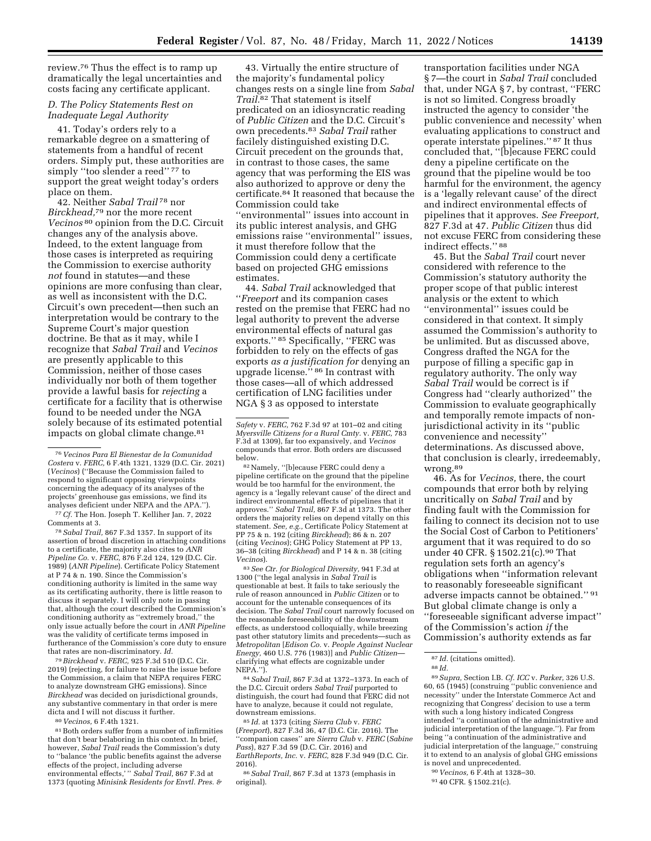review.76 Thus the effect is to ramp up dramatically the legal uncertainties and costs facing any certificate applicant.

# *D. The Policy Statements Rest on Inadequate Legal Authority*

41. Today's orders rely to a remarkable degree on a smattering of statements from a handful of recent orders. Simply put, these authorities are simply "too slender a reed" 77 to support the great weight today's orders place on them.

42. Neither *Sabal Trail* 78 nor *Birckhead,*79 nor the more recent *Vecinos* 80 opinion from the D.C. Circuit changes any of the analysis above. Indeed, to the extent language from those cases is interpreted as requiring the Commission to exercise authority *not* found in statutes—and these opinions are more confusing than clear, as well as inconsistent with the D.C. Circuit's own precedent—then such an interpretation would be contrary to the Supreme Court's major question doctrine. Be that as it may, while I recognize that *Sabal Trail* and *Vecinos*  are presently applicable to this Commission, neither of those cases individually nor both of them together provide a lawful basis for *rejecting* a certificate for a facility that is otherwise found to be needed under the NGA solely because of its estimated potential impacts on global climate change.81

78*Sabal Trail,* 867 F.3d 1357. In support of its assertion of broad discretion in attaching conditions to a certificate, the majority also cites to *ANR Pipeline Co.* v. *FERC,* 876 F.2d 124, 129 (D.C. Cir. 1989) (*ANR Pipeline*). Certificate Policy Statement at P 74 & n. 190. Since the Commission's conditioning authority is limited in the same way as its certificating authority, there is little reason to discuss it separately. I will only note in passing that, although the court described the Commission's conditioning authority as ''extremely broad,'' the only issue actually before the court in *ANR Pipeline*  was the validity of certificate terms imposed in furtherance of the Commission's core duty to ensure that rates are non-discriminatory. *Id.* 

79*Birckhead* v. *FERC,* 925 F.3d 510 (D.C. Cir. 2019) (rejecting, for failure to raise the issue before the Commission, a claim that NEPA requires FERC to analyze downstream GHG emissions). Since *Birckhead* was decided on jurisdictional grounds, any substantive commentary in that order is mere dicta and I will not discuss it further.

80 *Vecinos,* 6 F.4th 1321.

81Both orders suffer from a number of infirmities that don't bear belaboring in this context. In brief, however, *Sabal Trail* reads the Commission's duty to ''balance 'the public benefits against the adverse effects of the project, including adverse environmental effects,' '' *Sabal Trail,* 867 F.3d at 1373 (quoting *Minisink Residents for Envtl. Pres. &* 

43. Virtually the entire structure of the majority's fundamental policy changes rests on a single line from *Sabal Trail.*82 That statement is itself predicated on an idiosyncratic reading of *Public Citizen* and the D.C. Circuit's own precedents.83 *Sabal Trail* rather facilely distinguished existing D.C. Circuit precedent on the grounds that, in contrast to those cases, the same agency that was performing the EIS was also authorized to approve or deny the certificate.84 It reasoned that because the Commission could take ''environmental'' issues into account in its public interest analysis, and GHG emissions raise ''environmental'' issues, it must therefore follow that the Commission could deny a certificate based on projected GHG emissions estimates.

44. *Sabal Trail* acknowledged that ''*Freeport* and its companion cases rested on the premise that FERC had no legal authority to prevent the adverse environmental effects of natural gas exports.'' 85 Specifically, ''FERC was forbidden to rely on the effects of gas exports *as a justification for* denying an upgrade license.'' 86 In contrast with those cases—all of which addressed certification of LNG facilities under NGA § 3 as opposed to interstate

82Namely, ''[b]ecause FERC could deny a pipeline certificate on the ground that the pipeline would be too harmful for the environment, the agency is a 'legally relevant cause' of the direct and indirect environmental effects of pipelines that it approves.'' *Sabal Trail,* 867 F.3d at 1373. The other orders the majority relies on depend vitally on this statement. *See, e.g.,* Certificate Policy Statement at PP 75 & n. 192 (citing *Birckhead*); 86 & n. 207 (citing *Vecinos*); GHG Policy Statement at PP 13, 36–38 (citing *Birckhead*) and P 14 & n. 38 (citing *Vecinos*).

83*See Ctr. for Biological Diversity,* 941 F.3d at 1300 (''the legal analysis in *Sabal Trail* is questionable at best. It fails to take seriously the rule of reason announced in *Public Citizen* or to account for the untenable consequences of its decision. The *Sabal Trail* court narrowly focused on the reasonable foreseeability of the downstream effects, as understood colloquially, while breezing past other statutory limits and precedents—such as *Metropolitan* [*Edison Co.* v. *People Against Nuclear Energy,* 460 U.S. 776 (1983)] and *Public Citizen* clarifying what effects are cognizable under NEPA.'').

84*Sabal Trail,* 867 F.3d at 1372–1373. In each of the D.C. Circuit orders *Sabal Trail* purported to distinguish, the court had found that FERC did not have to analyze, because it could not regulate, downstream emissions.

85 *Id.* at 1373 (citing *Sierra Club* v. *FERC*  (*Freeport*), 827 F.3d 36, 47 (D.C. Cir. 2016). The 'companion cases'' are *Sierra Club v. FERC* (*Sabine Pass*), 827 F.3d 59 (D.C. Cir. 2016) and *EarthReports, Inc.* v. *FERC,* 828 F.3d 949 (D.C. Cir. 2016).

86*Sabal Trail,* 867 F.3d at 1373 (emphasis in original).

transportation facilities under NGA § 7—the court in *Sabal Trail* concluded that, under NGA § 7, by contrast, ''FERC is not so limited. Congress broadly instructed the agency to consider 'the public convenience and necessity' when evaluating applications to construct and operate interstate pipelines.'' 87 It thus concluded that, ''[b]ecause FERC could deny a pipeline certificate on the ground that the pipeline would be too harmful for the environment, the agency is a 'legally relevant cause' of the direct and indirect environmental effects of pipelines that it approves. *See Freeport,*  827 F.3d at 47. *Public Citizen* thus did not excuse FERC from considering these indirect effects.'' 88

45. But the *Sabal Trail* court never considered with reference to the Commission's statutory authority the proper scope of that public interest analysis or the extent to which ''environmental'' issues could be considered in that context. It simply assumed the Commission's authority to be unlimited. But as discussed above, Congress drafted the NGA for the purpose of filling a specific gap in regulatory authority. The only way *Sabal Trail* would be correct is if Congress had ''clearly authorized'' the Commission to evaluate geographically and temporally remote impacts of nonjurisdictional activity in its ''public convenience and necessity'' determinations. As discussed above, that conclusion is clearly, irredeemably, wrong.89

46. As for *Vecinos,* there, the court compounds that error both by relying uncritically on *Sabal Trail* and by finding fault with the Commission for failing to connect its decision not to use the Social Cost of Carbon to Petitioners' argument that it was required to do so under 40 CFR. § 1502.21(c).<sup>90</sup> That regulation sets forth an agency's obligations when ''information relevant to reasonably foreseeable significant adverse impacts cannot be obtained.'' 91 But global climate change is only a ''foreseeable significant adverse impact'' of the Commission's action *if* the Commission's authority extends as far

89*Supra,* Section I.B. *Cf. ICC* v. *Parker,* 326 U.S. 60, 65 (1945) (construing ''public convenience and necessity'' under the Interstate Commerce Act and recognizing that Congress' decision to use a term with such a long history indicated Congress intended ''a continuation of the administrative and judicial interpretation of the language.''). Far from being ''a continuation of the administrative and judicial interpretation of the language,'' construing it to extend to an analysis of global GHG emissions is novel and unprecedented.

<sup>76</sup> *Vecinos Para El Bienestar de la Comunidad Costera* v. *FERC,* 6 F.4th 1321, 1329 (D.C. Cir. 2021) (*Vecinos*) (''Because the Commission failed to respond to significant opposing viewpoints concerning the adequacy of its analyses of the projects' greenhouse gas emissions, we find its analyses deficient under NEPA and the APA.''). 77*Cf.* The Hon. Joseph T. Kelliher Jan. 7, 2022 Comments at 3.

*Safety* v. *FERC,* 762 F.3d 97 at 101–02 and citing *Myersville Citizens for a Rural Cmty.* v. *FERC,* 783 F.3d at 1309), far too expansively, and *Vecinos*  compounds that error. Both orders are discussed below.

<sup>87</sup> *Id.* (citations omitted).

<sup>88</sup> *Id.* 

<sup>90</sup> *Vecinos,* 6 F.4th at 1328–30.

<sup>91</sup> 40 CFR. § 1502.21(c).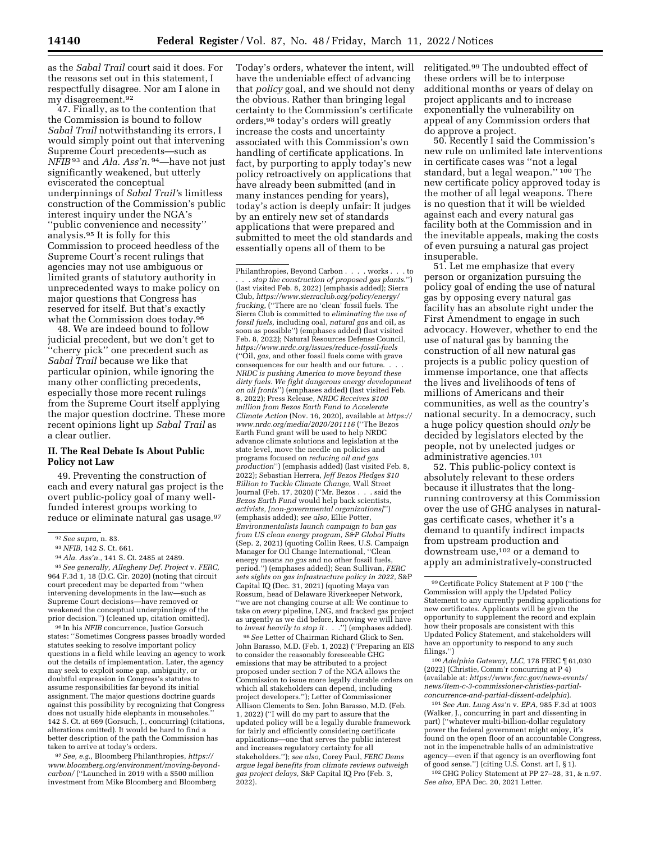as the *Sabal Trail* court said it does. For the reasons set out in this statement, I respectfully disagree. Nor am I alone in my disagreement.92

47. Finally, as to the contention that the Commission is bound to follow *Sabal Trail* notwithstanding its errors, I would simply point out that intervening Supreme Court precedents—such as *NFIB* 93 and *Ala. Ass'n.* 94—have not just significantly weakened, but utterly eviscerated the conceptual underpinnings of *Sabal Trail'*s limitless construction of the Commission's public interest inquiry under the NGA's ''public convenience and necessity'' analysis.95 It is folly for this Commission to proceed heedless of the Supreme Court's recent rulings that agencies may not use ambiguous or limited grants of statutory authority in unprecedented ways to make policy on major questions that Congress has reserved for itself. But that's exactly what the Commission does today.96

48. We are indeed bound to follow judicial precedent, but we don't get to ''cherry pick'' one precedent such as *Sabal Trail* because we like that particular opinion, while ignoring the many other conflicting precedents, especially those more recent rulings from the Supreme Court itself applying the major question doctrine. These more recent opinions light up *Sabal Trail* as a clear outlier.

## **II. The Real Debate Is About Public Policy not Law**

49. Preventing the construction of each and every natural gas project is the overt public-policy goal of many wellfunded interest groups working to reduce or eliminate natural gas usage.<sup>97</sup>

prior decision.'') (cleaned up, citation omitted). 96 In his *NFIB* concurrence, Justice Gorsuch states: ''Sometimes Congress passes broadly worded statutes seeking to resolve important policy questions in a field while leaving an agency to work out the details of implementation. Later, the agency may seek to exploit some gap, ambiguity, or doubtful expression in Congress's statutes to assume responsibilities far beyond its initial assignment. The major questions doctrine guards against this possibility by recognizing that Congress does not usually hide elephants in mouseholes. 142 S. Ct. at 669 (Gorsuch, J., concurring) (citations, alterations omitted). It would be hard to find a better description of the path the Commission has taken to arrive at today's orders.

97*See, e.g.,* Bloomberg Philanthropies, *[https://](https://www.bloomberg.org/environment/moving-beyond-carbon/) [www.bloomberg.org/environment/moving-beyond](https://www.bloomberg.org/environment/moving-beyond-carbon/)[carbon/](https://www.bloomberg.org/environment/moving-beyond-carbon/)* (''Launched in 2019 with a \$500 million investment from Mike Bloomberg and Bloomberg

Today's orders, whatever the intent, will have the undeniable effect of advancing that *policy* goal, and we should not deny the obvious. Rather than bringing legal certainty to the Commission's certificate orders,98 today's orders will greatly increase the costs and uncertainty associated with this Commission's own handling of certificate applications. In fact, by purporting to apply today's new policy retroactively on applications that have already been submitted (and in many instances pending for years), today's action is deeply unfair: It judges by an entirely new set of standards applications that were prepared and submitted to meet the old standards and essentially opens all of them to be

98*See* Letter of Chairman Richard Glick to Sen. John Barasso, M.D. (Feb. 1, 2022) (''Preparing an EIS to consider the reasonably foreseeable GHG emissions that may be attributed to a project proposed under section 7 of the NGA allows the Commission to issue more legally durable orders on which all stakeholders can depend, including project developers.''); Letter of Commissioner Allison Clements to Sen. John Barasso, M.D. (Feb. 1, 2022) (''I will do my part to assure that the updated policy will be a legally durable framework for fairly and efficiently considering certificate applications—one that serves the public interest and increases regulatory certainty for all stakeholders.''); *see also,* Corey Paul, *FERC Dems argue legal benefits from climate reviews outweigh gas project delays,* S&P Capital IQ Pro (Feb. 3,  $2022$ ).

relitigated.99 The undoubted effect of these orders will be to interpose additional months or years of delay on project applicants and to increase exponentially the vulnerability on appeal of any Commission orders that do approve a project.

50. Recently I said the Commission's new rule on unlimited late interventions in certificate cases was ''not a legal standard, but a legal weapon." 100 The new certificate policy approved today is the mother of all legal weapons. There is no question that it will be wielded against each and every natural gas facility both at the Commission and in the inevitable appeals, making the costs of even pursuing a natural gas project insuperable.

51. Let me emphasize that every person or organization pursuing the policy goal of ending the use of natural gas by opposing every natural gas facility has an absolute right under the First Amendment to engage in such advocacy. However, whether to end the use of natural gas by banning the construction of all new natural gas projects is a public policy question of immense importance, one that affects the lives and livelihoods of tens of millions of Americans and their communities, as well as the country's national security. In a democracy, such a huge policy question should *only* be decided by legislators elected by the people, not by unelected judges or administrative agencies.101

52. This public-policy context is absolutely relevant to these orders because it illustrates that the longrunning controversy at this Commission over the use of GHG analyses in naturalgas certificate cases, whether it's a demand to quantify indirect impacts from upstream production and downstream use,102 or a demand to apply an administratively-constructed

100*Adelphia Gateway, LLC,* 178 FERC ¶ 61,030 (2022) (Christie, Comm'r concurring at P 4) (available at: *[https://www.ferc.gov/news-events/](https://www.ferc.gov/news-events/news/item-c-3-commissioner-christies-partial-concurrence-and-partial-dissent-adelphia)  [news/item-c-3-commissioner-christies-partial](https://www.ferc.gov/news-events/news/item-c-3-commissioner-christies-partial-concurrence-and-partial-dissent-adelphia)[concurrence-and-partial-dissent-adelphia](https://www.ferc.gov/news-events/news/item-c-3-commissioner-christies-partial-concurrence-and-partial-dissent-adelphia)*).

101*See Am. Lung Ass'n* v. *EPA,* 985 F.3d at 1003 (Walker, J., concurring in part and dissenting in part) (''whatever multi-billion-dollar regulatory power the federal government might enjoy, it's found on the open floor of an accountable Congress, not in the impenetrable halls of an administrative agency—even if that agency is an overflowing font of good sense.'') (citing U.S. Const. art I, § 1).

102 GHG Policy Statement at PP 27–28, 31, & n.97. *See also,* EPA Dec. 20, 2021 Letter.

<sup>92</sup>*See supra,* n. 83.

<sup>93</sup>*NFIB,* 142 S. Ct. 661.

<sup>94</sup>*Ala. Ass'n.,* 141 S. Ct. 2485 at 2489. 95*See generally, Allegheny Def. Project* v. *FERC,*  964 F.3d 1, 18 (D.C. Cir. 2020) (noting that circuit court precedent may be departed from ''when intervening developments in the law—such as Supreme Court decisions—have removed or weakened the conceptual underpinnings of the

Philanthropies, Beyond Carbon . . . . works . . . to . . . *stop the construction of proposed gas plants*.'') (last visited Feb. 8, 2022) (emphasis added); Sierra Club, *[https://www.sierraclub.org/policy/energy/](https://www.sierraclub.org/policy/energy/fracking)  [fracking](https://www.sierraclub.org/policy/energy/fracking)*, (''There are no 'clean' fossil fuels. The Sierra Club is committed to *eliminating the use of fossil fuels,* including coal, *natural gas* and oil, as soon as possible'') (emphases added) (last visited Feb. 8, 2022); Natural Resources Defense Council, *<https://www.nrdc.org/issues/reduce-fossil-fuels>* (''Oil, *gas,* and other fossil fuels come with grave consequences for our health and our future. . . . *NRDC is pushing America to move beyond these dirty fuels. We fight dangerous energy development on all fronts*'') (emphases added) (last visited Feb. 8, 2022); Press Release, *NRDC Receives \$100 million from Bezos Earth Fund to Accelerate Climate Action* (Nov. 16, 2020), available at *[https://](https://www.nrdc.org/media/2020/201116) [www.nrdc.org/media/2020/201116](https://www.nrdc.org/media/2020/201116)* (''The Bezos Earth Fund grant will be used to help NRDC advance climate solutions and legislation at the state level, move the needle on policies and programs focused on *reducing oil and gas production*'') (emphasis added) (last visited Feb. 8, 2022); Sebastian Herrera, *Jeff Bezos Pledges \$10 Billion to Tackle Climate Change,* Wall Street Journal (Feb. 17, 2020) (''Mr. Bezos . . . said the *Bezos Earth Fund* would help back scientists, *activists, [non-governmental organizations]*'') (emphasis added); *see also,* Ellie Potter, *Environmentalists launch campaign to ban gas from US clean energy program, S&P Global Platts*  (Sep. 2, 2021) (quoting Collin Rees, U.S. Campaign Manager for Oil Change International, ''Clean energy means *no gas* and no other fossil fuels, period.'') (emphases added); Sean Sullivan, *FERC sets sights on gas infrastructure policy in 2022,* S&P Capital IQ (Dec. 31, 2021) (quoting Maya van Rossum, head of Delaware Riverkeeper Network, ''we are not changing course at all: We continue to take on *every* pipeline, LNG, and fracked gas project as urgently as we did before, knowing we will have to *invest heavily to stop it* . . .'') (emphases added).

<sup>99</sup>Certificate Policy Statement at P 100 (''the Commission will apply the Updated Policy Statement to any currently pending applications for new certificates. Applicants will be given the opportunity to supplement the record and explain how their proposals are consistent with this Updated Policy Statement, and stakeholders will have an opportunity to respond to any such filings.'')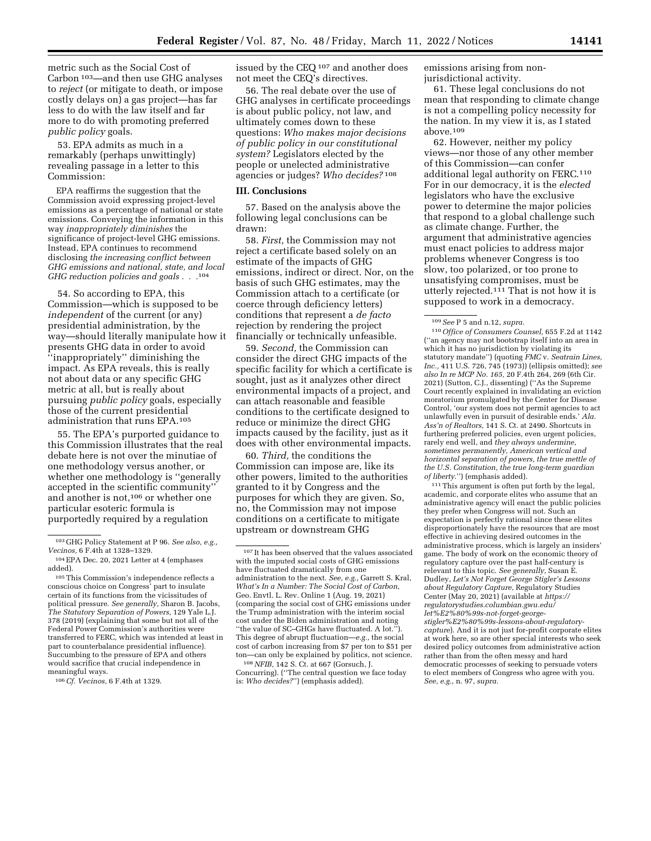metric such as the Social Cost of Carbon 103—and then use GHG analyses to *reject* (or mitigate to death, or impose costly delays on) a gas project—has far less to do with the law itself and far more to do with promoting preferred *public policy* goals.

53. EPA admits as much in a remarkably (perhaps unwittingly) revealing passage in a letter to this Commission:

EPA reaffirms the suggestion that the Commission avoid expressing project-level emissions as a percentage of national or state emissions. Conveying the information in this way *inappropriately diminishes* the significance of project-level GHG emissions. Instead, EPA continues to recommend disclosing *the increasing conflict between GHG emissions and national, state, and local GHG reduction policies and goals . . .*104

54. So according to EPA, this Commission—which is supposed to be *independent* of the current (or any) presidential administration, by the way—should literally manipulate how it presents GHG data in order to avoid ''inappropriately'' diminishing the impact. As EPA reveals, this is really not about data or any specific GHG metric at all, but is really about pursuing *public policy* goals, especially those of the current presidential administration that runs EPA.105

55. The EPA's purported guidance to this Commission illustrates that the real debate here is not over the minutiae of one methodology versus another, or whether one methodology is ''generally accepted in the scientific community'' and another is not,106 or whether one particular esoteric formula is purportedly required by a regulation

106*Cf. Vecinos,* 6 F.4th at 1329.

issued by the CEQ 107 and another does not meet the CEQ's directives.

56. The real debate over the use of GHG analyses in certificate proceedings is about public policy, not law, and ultimately comes down to these questions: *Who makes major decisions of public policy in our constitutional system?* Legislators elected by the people or unelected administrative agencies or judges? *Who decides?* 108

### **III. Conclusions**

57. Based on the analysis above the following legal conclusions can be drawn:

58. *First,* the Commission may not reject a certificate based solely on an estimate of the impacts of GHG emissions, indirect or direct. Nor, on the basis of such GHG estimates, may the Commission attach to a certificate (or coerce through deficiency letters) conditions that represent a *de facto*  rejection by rendering the project financially or technically unfeasible.

59. *Second,* the Commission can consider the direct GHG impacts of the specific facility for which a certificate is sought, just as it analyzes other direct environmental impacts of a project, and can attach reasonable and feasible conditions to the certificate designed to reduce or minimize the direct GHG impacts caused by the facility, just as it does with other environmental impacts.

60. *Third,* the conditions the Commission can impose are, like its other powers, limited to the authorities granted to it by Congress and the purposes for which they are given. So, no, the Commission may not impose conditions on a certificate to mitigate upstream or downstream GHG

108*NFIB,* 142 S. Ct. at 667 (Gorsuch, J. Concurring). (''The central question we face today is: *Who decides?*'') (emphasis added).

emissions arising from nonjurisdictional activity.

61. These legal conclusions do not mean that responding to climate change is not a compelling policy necessity for the nation. In my view it is, as I stated above.109

62. However, neither my policy views—nor those of any other member of this Commission—can confer additional legal authority on FERC.110 For in our democracy, it is the *elected*  legislators who have the exclusive power to determine the major policies that respond to a global challenge such as climate change. Further, the argument that administrative agencies must enact policies to address major problems whenever Congress is too slow, too polarized, or too prone to unsatisfying compromises, must be utterly rejected.<sup>111</sup> That is not how it is supposed to work in a democracy.

110*Office of Consumers Counsel,* 655 F.2d at 1142 (''an agency may not bootstrap itself into an area in which it has no jurisdiction by violating its statutory mandate'') (quoting *FMC* v. *Seatrain Lines, Inc.,* 411 U.S. 726, 745 (1973)) (ellipsis omitted); *see also In re MCP No. 165,* 20 F.4th 264, 269 (6th Cir. 2021) (Sutton, C.J., dissenting) (''As the Supreme Court recently explained in invalidating an eviction moratorium promulgated by the Center for Disease Control, 'our system does not permit agencies to act unlawfully even in pursuit of desirable ends.' *Ala. Ass'n of Realtors,* 141 S. Ct. at 2490. Shortcuts in furthering preferred policies, even urgent policies, rarely end well, and *they always undermine, sometimes permanently, American vertical and horizontal separation of powers, the true mettle of the U.S. Constitution, the true long-term guardian of liberty*.'') (emphasis added).

111This argument is often put forth by the legal, academic, and corporate elites who assume that an administrative agency will enact the public policies they prefer when Congress will not. Such an expectation is perfectly rational since these elites disproportionately have the resources that are most effective in achieving desired outcomes in the administrative process, which is largely an insiders' game. The body of work on the economic theory of regulatory capture over the past half-century is relevant to this topic. *See generally,* Susan E. Dudley, *Let's Not Forget George Stigler's Lessons about Regulatory Capture,* Regulatory Studies Center (May 20, 2021) (available at *[https://](https://regulatorystudies.columbian.gwu.edu/let%E2%80%99s-not-forget-george-stigler%E2%80%99s-lessons-about-regulatory-capture) [regulatorystudies.columbian.gwu.edu/](https://regulatorystudies.columbian.gwu.edu/let%E2%80%99s-not-forget-george-stigler%E2%80%99s-lessons-about-regulatory-capture)  [let%E2%80%99s-not-forget-george](https://regulatorystudies.columbian.gwu.edu/let%E2%80%99s-not-forget-george-stigler%E2%80%99s-lessons-about-regulatory-capture)[stigler%E2%80%99s-lessons-about-regulatory](https://regulatorystudies.columbian.gwu.edu/let%E2%80%99s-not-forget-george-stigler%E2%80%99s-lessons-about-regulatory-capture)[capture](https://regulatorystudies.columbian.gwu.edu/let%E2%80%99s-not-forget-george-stigler%E2%80%99s-lessons-about-regulatory-capture)*). And it is not just for-profit corporate elites at work here, so are other special interests who seek desired policy outcomes from administrative action rather than from the often messy and hard democratic processes of seeking to persuade voters to elect members of Congress who agree with you. *See, e.g.,* n. 97, *supra.* 

<sup>103</sup> GHG Policy Statement at P 96. *See also, e.g., Vecinos,* 6 F.4th at 1328–1329.

<sup>104</sup>EPA Dec. 20, 2021 Letter at 4 (emphases added).

<sup>105</sup>This Commission's independence reflects a conscious choice on Congress' part to insulate certain of its functions from the vicissitudes of political pressure. *See generally,* Sharon B. Jacobs, *The Statutory Separation of Powers,* 129 Yale L.J. 378 (2019) (explaining that some but not all of the Federal Power Commission's authorities were transferred to FERC, which was intended at least in part to counterbalance presidential influence). Succumbing to the pressure of EPA and others would sacrifice that crucial independence in meaningful ways.

<sup>107</sup> It has been observed that the values associated with the imputed social costs of GHG emissions have fluctuated dramatically from one administration to the next. *See, e.g.,* Garrett S. Kral, *What's In a Number: The Social Cost of Carbon,*  Geo. Envtl. L. Rev. Online 1 (Aug. 19, 2021) (comparing the social cost of GHG emissions under the Trump administration with the interim social cost under the Biden administration and noting ''the value of SC–GHGs have fluctuated. A lot.''). This degree of abrupt fluctuation—*e.g.,* the social cost of carbon increasing from \$7 per ton to \$51 per ton—can only be explained by politics, not science.

<sup>109</sup>*See* P 5 and n.12, *supra.*